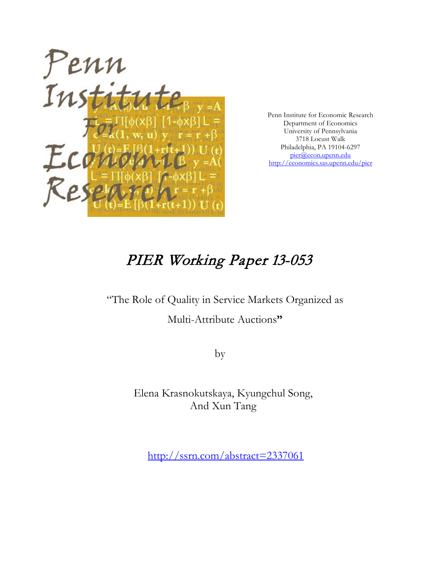

Penn Institute for Economic Research Department of Economics University of Pennsylvania 3718 Locust Walk Philadelphia, PA 19104-6297 [pier@econ.upenn.edu](mailto:pier@econ.upenn.edu) <http://economics.sas.upenn.edu/pier>

# PIER Working Paper 13-053

## "The Role of Quality in Service Markets Organized as

## Multi-Attribute Auctions**"**

by

Elena Krasnokutskaya, Kyungchul Song, And Xun Tang

[http://ssrn.com/abstract=2](http://ssrn.com/abstract_id=)337061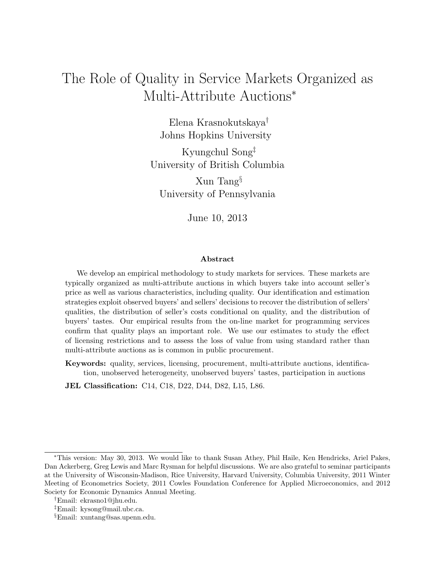## The Role of Quality in Service Markets Organized as Multi-Attribute Auctions<sup>∗</sup>

Elena Krasnokutskaya† Johns Hopkins University Kyungchul Song‡ University of British Columbia

Xun Tang§ University of Pennsylvania

June 10, 2013

#### Abstract

We develop an empirical methodology to study markets for services. These markets are typically organized as multi-attribute auctions in which buyers take into account seller's price as well as various characteristics, including quality. Our identification and estimation strategies exploit observed buyers' and sellers' decisions to recover the distribution of sellers' qualities, the distribution of seller's costs conditional on quality, and the distribution of buyers' tastes. Our empirical results from the on-line market for programming services confirm that quality plays an important role. We use our estimates to study the effect of licensing restrictions and to assess the loss of value from using standard rather than multi-attribute auctions as is common in public procurement.

Keywords: quality, services, licensing, procurement, multi-attribute auctions, identification, unobserved heterogeneity, unobserved buyers' tastes, participation in auctions

JEL Classification: C14, C18, D22, D44, D82, L15, L86.

<sup>∗</sup>This version: May 30, 2013. We would like to thank Susan Athey, Phil Haile, Ken Hendricks, Ariel Pakes, Dan Ackerberg, Greg Lewis and Marc Rysman for helpful discussions. We are also grateful to seminar participants at the University of Wisconsin-Madison, Rice University, Harvard University, Columbia University, 2011 Winter Meeting of Econometrics Society, 2011 Cowles Foundation Conference for Applied Microeconomics, and 2012 Society for Economic Dynamics Annual Meeting.

<sup>†</sup>Email: ekrasno1@jhu.edu.

<sup>‡</sup>Email: kysong@mail.ubc.ca.

<sup>§</sup>Email: xuntang@sas.upenn.edu.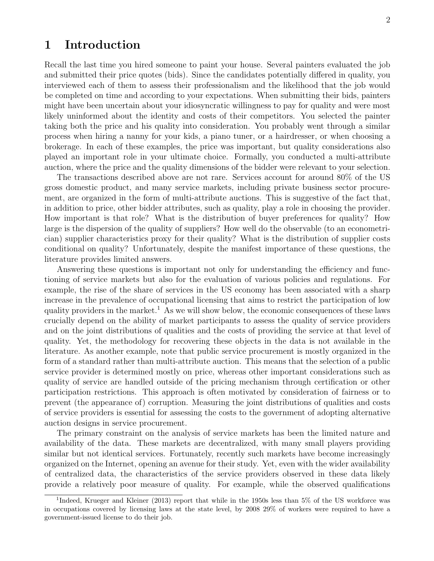## 1 Introduction

Recall the last time you hired someone to paint your house. Several painters evaluated the job and submitted their price quotes (bids). Since the candidates potentially differed in quality, you interviewed each of them to assess their professionalism and the likelihood that the job would be completed on time and according to your expectations. When submitting their bids, painters might have been uncertain about your idiosyncratic willingness to pay for quality and were most likely uninformed about the identity and costs of their competitors. You selected the painter taking both the price and his quality into consideration. You probably went through a similar process when hiring a nanny for your kids, a piano tuner, or a hairdresser, or when choosing a brokerage. In each of these examples, the price was important, but quality considerations also played an important role in your ultimate choice. Formally, you conducted a multi-attribute auction, where the price and the quality dimensions of the bidder were relevant to your selection.

The transactions described above are not rare. Services account for around 80% of the US gross domestic product, and many service markets, including private business sector procurement, are organized in the form of multi-attribute auctions. This is suggestive of the fact that, in addition to price, other bidder attributes, such as quality, play a role in choosing the provider. How important is that role? What is the distribution of buyer preferences for quality? How large is the dispersion of the quality of suppliers? How well do the observable (to an econometrician) supplier characteristics proxy for their quality? What is the distribution of supplier costs conditional on quality? Unfortunately, despite the manifest importance of these questions, the literature provides limited answers.

Answering these questions is important not only for understanding the efficiency and functioning of service markets but also for the evaluation of various policies and regulations. For example, the rise of the share of services in the US economy has been associated with a sharp increase in the prevalence of occupational licensing that aims to restrict the participation of low quality providers in the market.<sup>1</sup> As we will show below, the economic consequences of these laws crucially depend on the ability of market participants to assess the quality of service providers and on the joint distributions of qualities and the costs of providing the service at that level of quality. Yet, the methodology for recovering these objects in the data is not available in the literature. As another example, note that public service procurement is mostly organized in the form of a standard rather than multi-attribute auction. This means that the selection of a public service provider is determined mostly on price, whereas other important considerations such as quality of service are handled outside of the pricing mechanism through certification or other participation restrictions. This approach is often motivated by consideration of fairness or to prevent (the appearance of) corruption. Measuring the joint distributions of qualities and costs of service providers is essential for assessing the costs to the government of adopting alternative auction designs in service procurement.

The primary constraint on the analysis of service markets has been the limited nature and availability of the data. These markets are decentralized, with many small players providing similar but not identical services. Fortunately, recently such markets have become increasingly organized on the Internet, opening an avenue for their study. Yet, even with the wider availability of centralized data, the characteristics of the service providers observed in these data likely provide a relatively poor measure of quality. For example, while the observed qualifications

<sup>&</sup>lt;sup>1</sup>Indeed, Krueger and Kleiner (2013) report that while in the 1950s less than 5% of the US workforce was in occupations covered by licensing laws at the state level, by 2008 29% of workers were required to have a government-issued license to do their job.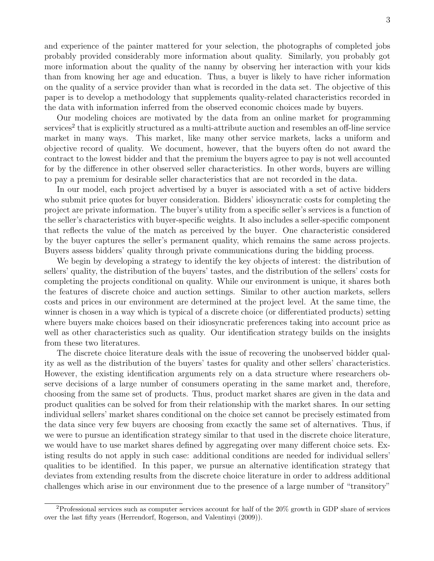3

and experience of the painter mattered for your selection, the photographs of completed jobs probably provided considerably more information about quality. Similarly, you probably got more information about the quality of the nanny by observing her interaction with your kids than from knowing her age and education. Thus, a buyer is likely to have richer information on the quality of a service provider than what is recorded in the data set. The objective of this paper is to develop a methodology that supplements quality-related characteristics recorded in the data with information inferred from the observed economic choices made by buyers.

Our modeling choices are motivated by the data from an online market for programming services<sup>2</sup> that is explicitly structured as a multi-attribute auction and resembles an off-line service market in many ways. This market, like many other service markets, lacks a uniform and objective record of quality. We document, however, that the buyers often do not award the contract to the lowest bidder and that the premium the buyers agree to pay is not well accounted for by the difference in other observed seller characteristics. In other words, buyers are willing to pay a premium for desirable seller characteristics that are not recorded in the data.

In our model, each project advertised by a buyer is associated with a set of active bidders who submit price quotes for buyer consideration. Bidders' idiosyncratic costs for completing the project are private information. The buyer's utility from a specific seller's services is a function of the seller's characteristics with buyer-specific weights. It also includes a seller-specific component that reflects the value of the match as perceived by the buyer. One characteristic considered by the buyer captures the seller's permanent quality, which remains the same across projects. Buyers assess bidders' quality through private communications during the bidding process.

We begin by developing a strategy to identify the key objects of interest: the distribution of sellers' quality, the distribution of the buyers' tastes, and the distribution of the sellers' costs for completing the projects conditional on quality. While our environment is unique, it shares both the features of discrete choice and auction settings. Similar to other auction markets, sellers costs and prices in our environment are determined at the project level. At the same time, the winner is chosen in a way which is typical of a discrete choice (or differentiated products) setting where buyers make choices based on their idiosyncratic preferences taking into account price as well as other characteristics such as quality. Our identification strategy builds on the insights from these two literatures.

The discrete choice literature deals with the issue of recovering the unobserved bidder quality as well as the distribution of the buyers' tastes for quality and other sellers' characteristics. However, the existing identification arguments rely on a data structure where researchers observe decisions of a large number of consumers operating in the same market and, therefore, choosing from the same set of products. Thus, product market shares are given in the data and product qualities can be solved for from their relationship with the market shares. In our setting individual sellers' market shares conditional on the choice set cannot be precisely estimated from the data since very few buyers are choosing from exactly the same set of alternatives. Thus, if we were to pursue an identification strategy similar to that used in the discrete choice literature, we would have to use market shares defined by aggregating over many different choice sets. Existing results do not apply in such case: additional conditions are needed for individual sellers' qualities to be identified. In this paper, we pursue an alternative identification strategy that deviates from extending results from the discrete choice literature in order to address additional challenges which arise in our environment due to the presence of a large number of "transitory"

<sup>2</sup>Professional services such as computer services account for half of the 20% growth in GDP share of services over the last fifty years (Herrendorf, Rogerson, and Valentinyi (2009)).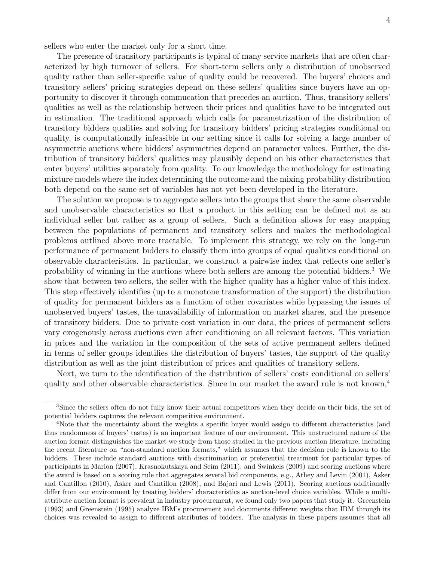sellers who enter the market only for a short time.

The presence of transitory participants is typical of many service markets that are often characterized by high turnover of sellers. For short-term sellers only a distribution of unobserved quality rather than seller-specific value of quality could be recovered. The buyers' choices and transitory sellers' pricing strategies depend on these sellers' qualities since buyers have an opportunity to discover it through commucation that precedes an auction. Thus, transitory sellers' qualities as well as the relationship between their prices and qualities have to be integrated out in estimation. The traditional approach which calls for parametrization of the distribution of transitory bidders qualities and solving for transitory bidders' pricing strategies conditional on quality, is computationally infeasible in our setting since it calls for solving a large number of asymmetric auctions where bidders' asymmetries depend on parameter values. Further, the distribution of transitory bidders' qualities may plausibly depend on his other characteristics that enter buyers' utilities separately from quality. To our knowledge the methodology for estimating mixture models where the index determining the outcome and the mixing probability distribution both depend on the same set of variables has not yet been developed in the literature.

The solution we propose is to aggregate sellers into the groups that share the same observable and unobservable characteristics so that a product in this setting can be defined not as an individual seller but rather as a group of sellers. Such a definition allows for easy mapping between the populations of permanent and transitory sellers and makes the methodological problems outlined above more tractable. To implement this strategy, we rely on the long-run performance of permanent bidders to classify them into groups of equal qualities conditional on observable characteristics. In particular, we construct a pairwise index that reflects one seller's probability of winning in the auctions where both sellers are among the potential bidders.<sup>3</sup> We show that between two sellers, the seller with the higher quality has a higher value of this index. This step effectively identifies (up to a monotone transformation of the support) the distribution of quality for permanent bidders as a function of other covariates while bypassing the issues of unobserved buyers' tastes, the unavailability of information on market shares, and the presence of transitory bidders. Due to private cost variation in our data, the prices of permanent sellers vary exogenously across auctions even after conditioning on all relevant factors. This variation in prices and the variation in the composition of the sets of active permanent sellers defined in terms of seller groups identifies the distribution of buyers' tastes, the support of the quality distribution as well as the joint distribution of prices and qualities of transitory sellers.

Next, we turn to the identification of the distribution of sellers' costs conditional on sellers' quality and other observable characteristics. Since in our market the award rule is not known, $4$ 

<sup>3</sup>Since the sellers often do not fully know their actual competitors when they decide on their bids, the set of potential bidders captures the relevant competitive environment.

<sup>&</sup>lt;sup>4</sup>Note that the uncertainty about the weights a specific buyer would assign to different characteristics (and thus randomness of buyers' tastes) is an important feature of our environment. This unstructured nature of the auction format distinguishes the market we study from those studied in the previous auction literature, including the recent literature on "non-standard auction formats," which assumes that the decision rule is known to the bidders. These include standard auctions with discrimination or preferential treatment for particular types of participants in Marion (2007), Krasnokutskaya and Seim (2011), and Swinkels (2009) and scoring auctions where the award is based on a scoring rule that aggregates several bid components, e.g., Athey and Levin (2001), Asker and Cantillon (2010), Asker and Cantillon (2008), and Bajari and Lewis (2011). Scoring auctions additionally differ from our environment by treating bidders' characteristics as auction-level choice variables. While a multiattribute auction format is prevalent in industry procurement, we found only two papers that study it. Greenstein (1993) and Greenstein (1995) analyze IBM's procurement and documents different weights that IBM through its choices was revealed to assign to different attributes of bidders. The analysis in these papers assumes that all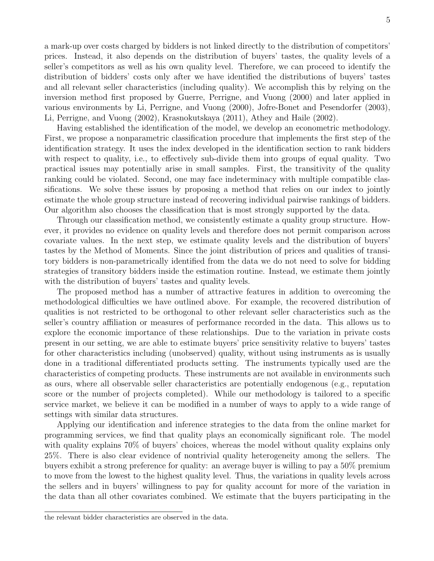a mark-up over costs charged by bidders is not linked directly to the distribution of competitors' prices. Instead, it also depends on the distribution of buyers' tastes, the quality levels of a seller's competitors as well as his own quality level. Therefore, we can proceed to identify the distribution of bidders' costs only after we have identified the distributions of buyers' tastes and all relevant seller characteristics (including quality). We accomplish this by relying on the inversion method first proposed by Guerre, Perrigne, and Vuong (2000) and later applied in various environments by Li, Perrigne, and Vuong (2000), Jofre-Bonet and Pesendorfer (2003), Li, Perrigne, and Vuong (2002), Krasnokutskaya (2011), Athey and Haile (2002).

Having established the identification of the model, we develop an econometric methodology. First, we propose a nonparametric classification procedure that implements the first step of the identification strategy. It uses the index developed in the identification section to rank bidders with respect to quality, i.e., to effectively sub-divide them into groups of equal quality. Two practical issues may potentially arise in small samples. First, the transitivity of the quality ranking could be violated. Second, one may face indeterminacy with multiple compatible classifications. We solve these issues by proposing a method that relies on our index to jointly estimate the whole group structure instead of recovering individual pairwise rankings of bidders. Our algorithm also chooses the classification that is most strongly supported by the data.

Through our classification method, we consistently estimate a quality group structure. However, it provides no evidence on quality levels and therefore does not permit comparison across covariate values. In the next step, we estimate quality levels and the distribution of buyers' tastes by the Method of Moments. Since the joint distribution of prices and qualities of transitory bidders is non-parametrically identified from the data we do not need to solve for bidding strategies of transitory bidders inside the estimation routine. Instead, we estimate them jointly with the distribution of buyers' tastes and quality levels.

The proposed method has a number of attractive features in addition to overcoming the methodological difficulties we have outlined above. For example, the recovered distribution of qualities is not restricted to be orthogonal to other relevant seller characteristics such as the seller's country affiliation or measures of performance recorded in the data. This allows us to explore the economic importance of these relationships. Due to the variation in private costs present in our setting, we are able to estimate buyers' price sensitivity relative to buyers' tastes for other characteristics including (unobserved) quality, without using instruments as is usually done in a traditional differentiated products setting. The instruments typically used are the characteristics of competing products. These instruments are not available in environments such as ours, where all observable seller characteristics are potentially endogenous (e.g., reputation score or the number of projects completed). While our methodology is tailored to a specific service market, we believe it can be modified in a number of ways to apply to a wide range of settings with similar data structures.

Applying our identification and inference strategies to the data from the online market for programming services, we find that quality plays an economically significant role. The model with quality explains 70% of buyers' choices, whereas the model without quality explains only 25%. There is also clear evidence of nontrivial quality heterogeneity among the sellers. The buyers exhibit a strong preference for quality: an average buyer is willing to pay a 50% premium to move from the lowest to the highest quality level. Thus, the variations in quality levels across the sellers and in buyers' willingness to pay for quality account for more of the variation in the data than all other covariates combined. We estimate that the buyers participating in the

the relevant bidder characteristics are observed in the data.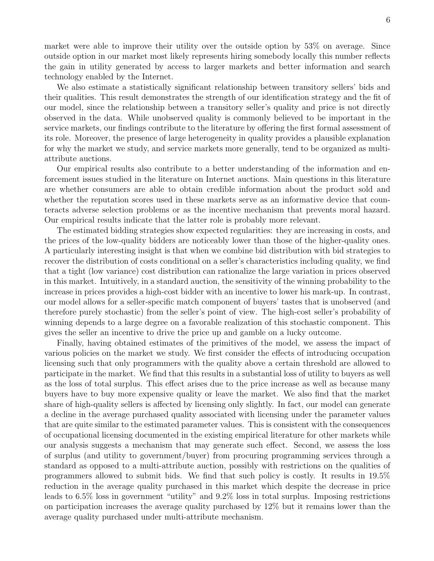market were able to improve their utility over the outside option by 53% on average. Since outside option in our market most likely represents hiring somebody locally this number reflects the gain in utility generated by access to larger markets and better information and search technology enabled by the Internet.

We also estimate a statistically significant relationship between transitory sellers' bids and their qualities. This result demonstrates the strength of our identification strategy and the fit of our model, since the relationship between a transitory seller's quality and price is not directly observed in the data. While unobserved quality is commonly believed to be important in the service markets, our findings contribute to the literature by offering the first formal assessment of its role. Moreover, the presence of large heterogeneity in quality provides a plausible explanation for why the market we study, and service markets more generally, tend to be organized as multiattribute auctions.

Our empirical results also contribute to a better understanding of the information and enforcement issues studied in the literature on Internet auctions. Main questions in this literature are whether consumers are able to obtain credible information about the product sold and whether the reputation scores used in these markets serve as an informative device that counteracts adverse selection problems or as the incentive mechanism that prevents moral hazard. Our empirical results indicate that the latter role is probably more relevant.

The estimated bidding strategies show expected regularities: they are increasing in costs, and the prices of the low-quality bidders are noticeably lower than those of the higher-quality ones. A particularly interesting insight is that when we combine bid distribution with bid strategies to recover the distribution of costs conditional on a seller's characteristics including quality, we find that a tight (low variance) cost distribution can rationalize the large variation in prices observed in this market. Intuitively, in a standard auction, the sensitivity of the winning probability to the increase in prices provides a high-cost bidder with an incentive to lower his mark-up. In contrast, our model allows for a seller-specific match component of buyers' tastes that is unobserved (and therefore purely stochastic) from the seller's point of view. The high-cost seller's probability of winning depends to a large degree on a favorable realization of this stochastic component. This gives the seller an incentive to drive the price up and gamble on a lucky outcome.

Finally, having obtained estimates of the primitives of the model, we assess the impact of various policies on the market we study. We first consider the effects of introducing occupation licensing such that only programmers with the quality above a certain threshold are allowed to participate in the market. We find that this results in a substantial loss of utility to buyers as well as the loss of total surplus. This effect arises due to the price increase as well as because many buyers have to buy more expensive quality or leave the market. We also find that the market share of high-quality sellers is affected by licensing only slightly. In fact, our model can generate a decline in the average purchased quality associated with licensing under the parameter values that are quite similar to the estimated parameter values. This is consistent with the consequences of occupational licensing documented in the existing empirical literature for other markets while our analysis suggests a mechanism that may generate such effect. Second, we assess the loss of surplus (and utility to government/buyer) from procuring programming services through a standard as opposed to a multi-attribute auction, possibly with restrictions on the qualities of programmers allowed to submit bids. We find that such policy is costly. It results in 19.5% reduction in the average quality purchased in this market which despite the decrease in price leads to 6.5% loss in government "utility" and 9.2% loss in total surplus. Imposing restrictions on participation increases the average quality purchased by 12% but it remains lower than the average quality purchased under multi-attribute mechanism.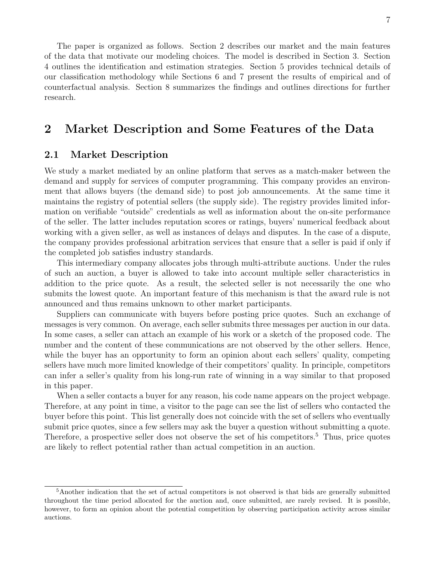The paper is organized as follows. Section 2 describes our market and the main features of the data that motivate our modeling choices. The model is described in Section 3. Section 4 outlines the identification and estimation strategies. Section 5 provides technical details of our classification methodology while Sections 6 and 7 present the results of empirical and of counterfactual analysis. Section 8 summarizes the findings and outlines directions for further research.

## 2 Market Description and Some Features of the Data

#### 2.1 Market Description

We study a market mediated by an online platform that serves as a match-maker between the demand and supply for services of computer programming. This company provides an environment that allows buyers (the demand side) to post job announcements. At the same time it maintains the registry of potential sellers (the supply side). The registry provides limited information on verifiable "outside" credentials as well as information about the on-site performance of the seller. The latter includes reputation scores or ratings, buyers' numerical feedback about working with a given seller, as well as instances of delays and disputes. In the case of a dispute, the company provides professional arbitration services that ensure that a seller is paid if only if the completed job satisfies industry standards.

This intermediary company allocates jobs through multi-attribute auctions. Under the rules of such an auction, a buyer is allowed to take into account multiple seller characteristics in addition to the price quote. As a result, the selected seller is not necessarily the one who submits the lowest quote. An important feature of this mechanism is that the award rule is not announced and thus remains unknown to other market participants.

Suppliers can communicate with buyers before posting price quotes. Such an exchange of messages is very common. On average, each seller submits three messages per auction in our data. In some cases, a seller can attach an example of his work or a sketch of the proposed code. The number and the content of these communications are not observed by the other sellers. Hence, while the buyer has an opportunity to form an opinion about each sellers' quality, competing sellers have much more limited knowledge of their competitors' quality. In principle, competitors can infer a seller's quality from his long-run rate of winning in a way similar to that proposed in this paper.

When a seller contacts a buyer for any reason, his code name appears on the project webpage. Therefore, at any point in time, a visitor to the page can see the list of sellers who contacted the buyer before this point. This list generally does not coincide with the set of sellers who eventually submit price quotes, since a few sellers may ask the buyer a question without submitting a quote. Therefore, a prospective seller does not observe the set of his competitors.<sup>5</sup> Thus, price quotes are likely to reflect potential rather than actual competition in an auction.

<sup>5</sup>Another indication that the set of actual competitors is not observed is that bids are generally submitted throughout the time period allocated for the auction and, once submitted, are rarely revised. It is possible, however, to form an opinion about the potential competition by observing participation activity across similar auctions.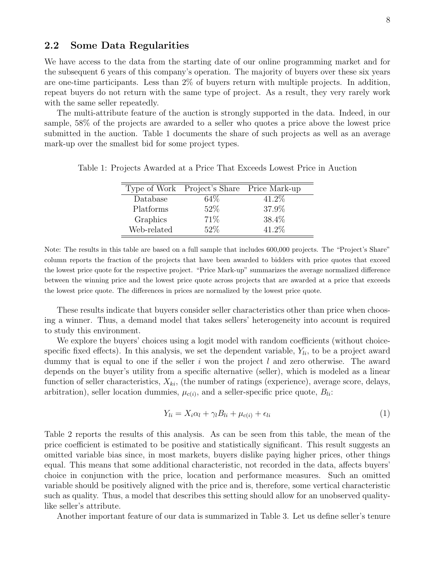#### 2.2 Some Data Regularities

We have access to the data from the starting date of our online programming market and for the subsequent 6 years of this company's operation. The majority of buyers over these six years are one-time participants. Less than 2% of buyers return with multiple projects. In addition, repeat buyers do not return with the same type of project. As a result, they very rarely work with the same seller repeatedly.

The multi-attribute feature of the auction is strongly supported in the data. Indeed, in our sample, 58% of the projects are awarded to a seller who quotes a price above the lowest price submitted in the auction. Table 1 documents the share of such projects as well as an average mark-up over the smallest bid for some project types.

|             | Type of Work Project's Share Price Mark-up |        |
|-------------|--------------------------------------------|--------|
| Database    | 64\%                                       | 41.2\% |
| Platforms   | 52%                                        | 37.9%  |
| Graphics    | 71\%                                       | 38.4\% |
| Web-related | 52%                                        | 41.2%  |

Table 1: Projects Awarded at a Price That Exceeds Lowest Price in Auction

Note: The results in this table are based on a full sample that includes 600,000 projects. The "Project's Share" column reports the fraction of the projects that have been awarded to bidders with price quotes that exceed the lowest price quote for the respective project. "Price Mark-up" summarizes the average normalized difference between the winning price and the lowest price quote across projects that are awarded at a price that exceeds the lowest price quote. The differences in prices are normalized by the lowest price quote.

These results indicate that buyers consider seller characteristics other than price when choosing a winner. Thus, a demand model that takes sellers' heterogeneity into account is required to study this environment.

We explore the buyers' choices using a logit model with random coefficients (without choicespecific fixed effects). In this analysis, we set the dependent variable,  $Y_{li}$ , to be a project award dummy that is equal to one if the seller  $i$  won the project  $l$  and zero otherwise. The award depends on the buyer's utility from a specific alternative (seller), which is modeled as a linear function of seller characteristics,  $X_{ki}$ , (the number of ratings (experience), average score, delays, arbitration), seller location dummies,  $\mu_{c(i)}$ , and a seller-specific price quote,  $B_{li}$ :

$$
Y_{li} = X_i \alpha_l + \gamma_l B_{li} + \mu_{c(i)} + \epsilon_{li} \tag{1}
$$

Table 2 reports the results of this analysis. As can be seen from this table, the mean of the price coefficient is estimated to be positive and statistically significant. This result suggests an omitted variable bias since, in most markets, buyers dislike paying higher prices, other things equal. This means that some additional characteristic, not recorded in the data, affects buyers' choice in conjunction with the price, location and performance measures. Such an omitted variable should be positively aligned with the price and is, therefore, some vertical characteristic such as quality. Thus, a model that describes this setting should allow for an unobserved qualitylike seller's attribute.

Another important feature of our data is summarized in Table 3. Let us define seller's tenure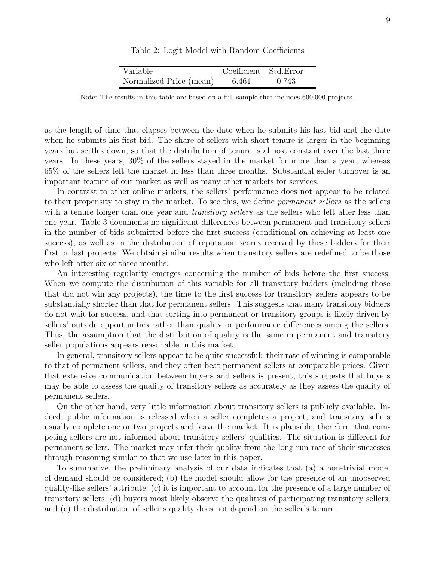| Variable                | Coefficient Std.Error |       |  |
|-------------------------|-----------------------|-------|--|
| Normalized Price (mean) | 6.461                 | 0.743 |  |

Note: The results in this table are based on a full sample that includes 600,000 projects.

as the length of time that elapses between the date when he submits his last bid and the date when he submits his first bid. The share of sellers with short tenure is larger in the beginning years but settles down, so that the distribution of tenure is almost constant over the last three years. In these years, 30% of the sellers stayed in the market for more than a year, whereas 65% of the sellers left the market in less than three months. Substantial seller turnover is an important feature of our market as well as many other markets for services.

In contrast to other online markets, the sellers' performance does not appear to be related to their propensity to stay in the market. To see this, we define permanent sellers as the sellers with a tenure longer than one year and *transitory sellers* as the sellers who left after less than one year. Table 3 documents no significant differences between permanent and transitory sellers in the number of bids submitted before the first success (conditional on achieving at least one success), as well as in the distribution of reputation scores received by these bidders for their first or last projects. We obtain similar results when transitory sellers are redefined to be those who left after six or three months.

An interesting regularity emerges concerning the number of bids before the first success. When we compute the distribution of this variable for all transitory bidders (including those that did not win any projects), the time to the first success for transitory sellers appears to be substantially shorter than that for permanent sellers. This suggests that many transitory bidders do not wait for success, and that sorting into permanent or transitory groups is likely driven by sellers' outside opportunities rather than quality or performance differences among the sellers. Thus, the assumption that the distribution of quality is the same in permanent and transitory seller populations appears reasonable in this market.

In general, transitory sellers appear to be quite successful: their rate of winning is comparable to that of permanent sellers, and they often beat permanent sellers at comparable prices. Given that extensive communication between buyers and sellers is present, this suggests that buyers may be able to assess the quality of transitory sellers as accurately as they assess the quality of permanent sellers.

On the other hand, very little information about transitory sellers is publicly available. Indeed, public information is released when a seller completes a project, and transitory sellers usually complete one or two projects and leave the market. It is plausible, therefore, that competing sellers are not informed about transitory sellers' qualities. The situation is different for permanent sellers. The market may infer their quality from the long-run rate of their successes through reasoning similar to that we use later in this paper.

To summarize, the preliminary analysis of our data indicates that (a) a non-trivial model of demand should be considered; (b) the model should allow for the presence of an unobserved quality-like sellers' attribute; (c) it is important to account for the presence of a large number of transitory sellers; (d) buyers most likely observe the qualities of participating transitory sellers; and (e) the distribution of seller's quality does not depend on the seller's tenure.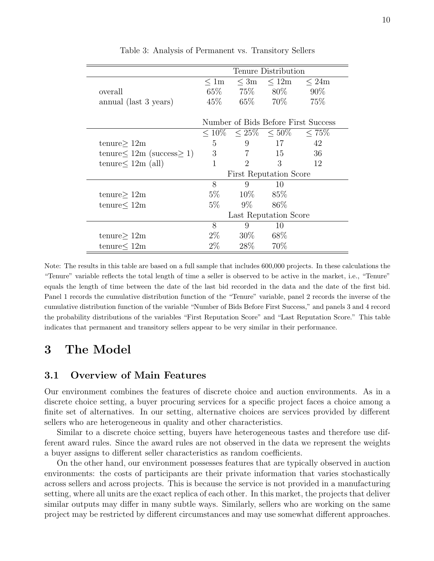|                                       | Tenure Distribution                 |                |                                     |            |  |
|---------------------------------------|-------------------------------------|----------------|-------------------------------------|------------|--|
|                                       |                                     |                | $\leq 1$ m $\leq 3$ m $\leq 12$ m   | $\leq 24m$ |  |
| overall                               |                                     |                | 65\% 75\% 80\% 90\%                 |            |  |
| annual (last 3 years)                 |                                     |                | 45\% 65\% 70\%                      | 75%        |  |
|                                       |                                     |                |                                     |            |  |
|                                       | Number of Bids Before First Success |                |                                     |            |  |
|                                       |                                     |                | $< 10\%$ $< 25\%$ $< 50\%$ $< 75\%$ |            |  |
| tenure $> 12m$                        | 5                                   | 9              | 17                                  | 42         |  |
| tenure $\leq 12m$ (success $\geq 1$ ) | 3                                   | $\overline{7}$ | 15                                  | 36         |  |
| tenure $\leq 12m$ (all)               | $\mathbf{1}$                        | $\overline{2}$ | 3                                   | 12         |  |
|                                       | <b>First Reputation Score</b>       |                |                                     |            |  |
|                                       | 8                                   | 9              | 10                                  |            |  |
| tenure $> 12m$                        | $5\%$                               |                | $10\%$ 85\%                         |            |  |
| $t$ enure $\leq 12m$                  | $5\%$                               |                | $9\%$ 86\%                          |            |  |
|                                       | Last Reputation Score               |                |                                     |            |  |
|                                       | 8                                   | 9              | 10                                  |            |  |
| tenure $> 12m$                        | $2\%$                               | $30\%$         | 68\%                                |            |  |
| $t$ enure $\leq 12m$                  | $2\%$                               |                | 28\% 70\%                           |            |  |

Table 3: Analysis of Permanent vs. Transitory Sellers

Note: The results in this table are based on a full sample that includes 600,000 projects. In these calculations the "Tenure" variable reflects the total length of time a seller is observed to be active in the market, i.e., "Tenure" equals the length of time between the date of the last bid recorded in the data and the date of the first bid. Panel 1 records the cumulative distribution function of the "Tenure" variable, panel 2 records the inverse of the cumulative distribution function of the variable "Number of Bids Before First Success," and panels 3 and 4 record the probability distributions of the variables "First Reputation Score" and "Last Reputation Score." This table indicates that permanent and transitory sellers appear to be very similar in their performance.

## 3 The Model

### 3.1 Overview of Main Features

Our environment combines the features of discrete choice and auction environments. As in a discrete choice setting, a buyer procuring services for a specific project faces a choice among a finite set of alternatives. In our setting, alternative choices are services provided by different sellers who are heterogeneous in quality and other characteristics.

Similar to a discrete choice setting, buyers have heterogeneous tastes and therefore use different award rules. Since the award rules are not observed in the data we represent the weights a buyer assigns to different seller characteristics as random coefficients.

On the other hand, our environment possesses features that are typically observed in auction environments: the costs of participants are their private information that varies stochastically across sellers and across projects. This is because the service is not provided in a manufacturing setting, where all units are the exact replica of each other. In this market, the projects that deliver similar outputs may differ in many subtle ways. Similarly, sellers who are working on the same project may be restricted by different circumstances and may use somewhat different approaches.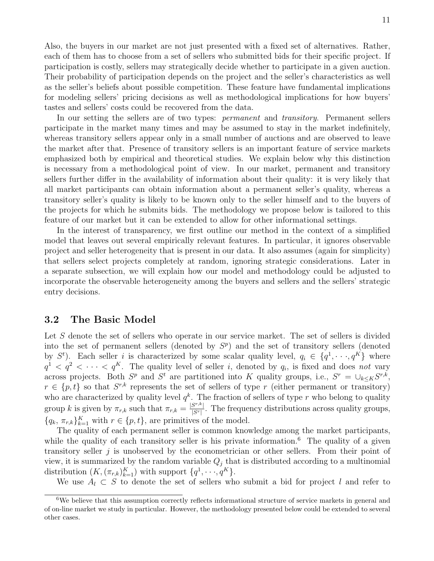Also, the buyers in our market are not just presented with a fixed set of alternatives. Rather, each of them has to choose from a set of sellers who submitted bids for their specific project. If participation is costly, sellers may strategically decide whether to participate in a given auction. Their probability of participation depends on the project and the seller's characteristics as well as the seller's beliefs about possible competition. These feature have fundamental implications for modeling sellers' pricing decisions as well as methodological implications for how buyers' tastes and sellers' costs could be recovered from the data.

In our setting the sellers are of two types: *permanent* and *transitory*. Permanent sellers participate in the market many times and may be assumed to stay in the market indefinitely, whereas transitory sellers appear only in a small number of auctions and are observed to leave the market after that. Presence of transitory sellers is an important feature of service markets emphasized both by empirical and theoretical studies. We explain below why this distinction is necessary from a methodological point of view. In our market, permanent and transitory sellers further differ in the availability of information about their quality: it is very likely that all market participants can obtain information about a permanent seller's quality, whereas a transitory seller's quality is likely to be known only to the seller himself and to the buyers of the projects for which he submits bids. The methodology we propose below is tailored to this feature of our market but it can be extended to allow for other informational settings.

In the interest of transparency, we first outline our method in the context of a simplified model that leaves out several empirically relevant features. In particular, it ignores observable project and seller heterogeneity that is present in our data. It also assumes (again for simplicity) that sellers select projects completely at random, ignoring strategic considerations. Later in a separate subsection, we will explain how our model and methodology could be adjusted to incorporate the observable heterogeneity among the buyers and sellers and the sellers' strategic entry decisions.

#### 3.2 The Basic Model

Let S denote the set of sellers who operate in our service market. The set of sellers is divided into the set of permanent sellers (denoted by  $S<sup>p</sup>$ ) and the set of transitory sellers (denoted by  $S^t$ ). Each seller i is characterized by some scalar quality level,  $q_i \in \{q^1, \dots, q^K\}$  where  $q^1 \langle q^2 \langle \cdots \langle q^K \rangle$ . The quality level of seller i, denoted by  $q_i$ , is fixed and does not vary across projects. Both  $S^p$  and  $S^t$  are partitioned into K quality groups, i.e.,  $S^r = \bigcup_{k \leq K} S^{r,k}$ ,  $r \in \{p, t\}$  so that  $S^{r,k}$  represents the set of sellers of type r (either permanent or transitory) who are characterized by quality level  $q^k$ . The fraction of sellers of type r who belong to quality group k is given by  $\pi_{r,k}$  such that  $\pi_{r,k} = \frac{|S^{r,k}|}{|S^{r}|}$  $\frac{|S^{(n)}|}{|S^{(n)}|}$ . The frequency distributions across quality groups,  ${q_k, \pi_{r,k}}_{k=1}^K$  with  $r \in \{p, t\}$ , are primitives of the model.

The quality of each permanent seller is common knowledge among the market participants, while the quality of each transitory seller is his private information.<sup>6</sup> The quality of a given transitory seller  $j$  is unobserved by the econometrician or other sellers. From their point of view, it is summarized by the random variable  $Q_i$  that is distributed according to a multinomial distribution  $(K, (\pi_{r,k})_{k=1}^K)$  with support  $\{q^1, \dots, q^K\}$ .

We use  $A_l \subset S$  to denote the set of sellers who submit a bid for project l and refer to

<sup>&</sup>lt;sup>6</sup>We believe that this assumption correctly reflects informational structure of service markets in general and of on-line market we study in particular. However, the methodology presented below could be extended to several other cases.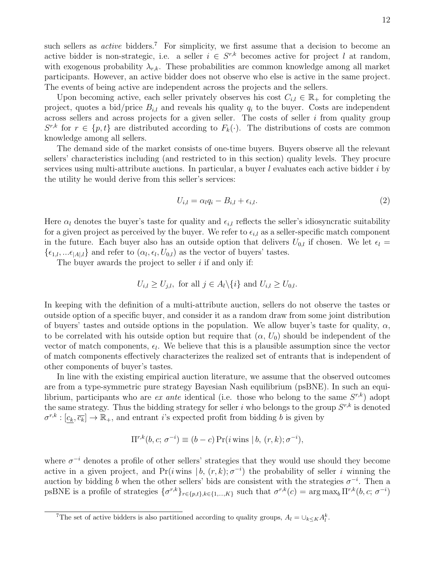such sellers as *active* bidders.<sup>7</sup> For simplicity, we first assume that a decision to become an active bidder is non-strategic, i.e. a seller  $i \in S^{r,k}$  becomes active for project l at random, with exogenous probability  $\lambda_{r,k}$ . These probabilities are common knowledge among all market participants. However, an active bidder does not observe who else is active in the same project. The events of being active are independent across the projects and the sellers.

Upon becoming active, each seller privately observes his cost  $C_{i,l} \in \mathbb{R}_+$  for completing the project, quotes a bid/price  $B_{i,l}$  and reveals his quality  $q_i$  to the buyer. Costs are independent across sellers and across projects for a given seller. The costs of seller  $i$  from quality group  $S^{r,k}$  for  $r \in \{p,t\}$  are distributed according to  $F_k(\cdot)$ . The distributions of costs are common knowledge among all sellers.

The demand side of the market consists of one-time buyers. Buyers observe all the relevant sellers' characteristics including (and restricted to in this section) quality levels. They procure services using multi-attribute auctions. In particular, a buyer  $l$  evaluates each active bidder  $i$  by the utility he would derive from this seller's services:

$$
U_{i,l} = \alpha_l q_i - B_{i,l} + \epsilon_{i,l}.\tag{2}
$$

Here  $\alpha_l$  denotes the buyer's taste for quality and  $\epsilon_{i,l}$  reflects the seller's idiosyncratic suitability for a given project as perceived by the buyer. We refer to  $\epsilon_{i,l}$  as a seller-specific match component in the future. Each buyer also has an outside option that delivers  $U_{0,l}$  if chosen. We let  $\epsilon_l =$  $\{\epsilon_{1,l},...\epsilon_{|A|,l}\}\$  and refer to  $(\alpha_l,\epsilon_l,U_{0,l})$  as the vector of buyers' tastes.

The buyer awards the project to seller  $i$  if and only if:

$$
U_{i,l} \ge U_{j,l}
$$
, for all  $j \in A_l \setminus \{i\}$  and  $U_{i,l} \ge U_{0,l}$ .

In keeping with the definition of a multi-attribute auction, sellers do not observe the tastes or outside option of a specific buyer, and consider it as a random draw from some joint distribution of buyers' tastes and outside options in the population. We allow buyer's taste for quality,  $\alpha$ , to be correlated with his outside option but require that  $(\alpha, U_0)$  should be independent of the vector of match components,  $\epsilon_l$ . We believe that this is a plausible assumption since the vector of match components effectively characterizes the realized set of entrants that is independent of other components of buyer's tastes.

In line with the existing empirical auction literature, we assume that the observed outcomes are from a type-symmetric pure strategy Bayesian Nash equilibrium (psBNE). In such an equilibrium, participants who are *ex ante* identical (i.e. those who belong to the same  $S^{r,k}$ ) adopt the same strategy. Thus the bidding strategy for seller i who belongs to the group  $S^{r,k}$  is denoted  $\sigma^{r,k} : [c_k, \overline{c_k}] \to \overline{\mathbb{R}}_+$ , and entrant *i*'s expected profit from bidding *b* is given by

$$
\Pi^{r,k}(b,c;\,\sigma^{-i}) \equiv (b-c)\Pr(i\,\text{wins}\,|\,b,\,(r,k);\sigma^{-i}),
$$

where  $\sigma^{-i}$  denotes a profile of other sellers' strategies that they would use should they become active in a given project, and  $Pr(i \text{ wins } | b, (r, k); \sigma^{-i})$  the probability of seller i winning the auction by bidding b when the other sellers' bids are consistent with the strategies  $\sigma^{-i}$ . Then a psBNE is a profile of strategies  $\{\sigma^{r,k}\}_{r \in \{p,t\}, k \in \{1,\dots,K\}}$  such that  $\sigma^{r,k}(c) = \arg \max_b \Pi^{r,k}(b, c; \sigma^{-i})$ 

<sup>&</sup>lt;sup>7</sup>The set of active bidders is also partitioned according to quality groups,  $A_l = \bigcup_{k \leq K} A_l^k$ .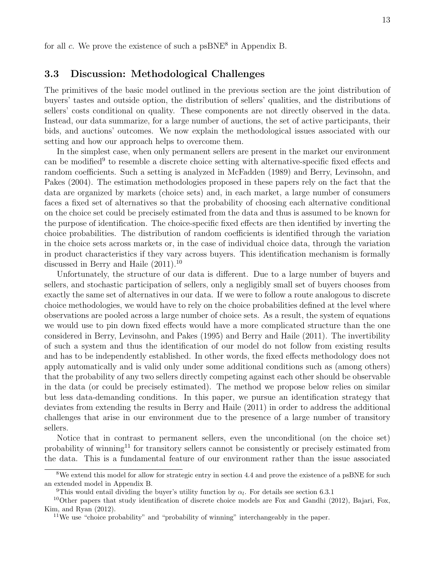for all  $c$ . We prove the existence of such a  $psBNE<sup>8</sup>$  in Appendix B.

#### 3.3 Discussion: Methodological Challenges

The primitives of the basic model outlined in the previous section are the joint distribution of buyers' tastes and outside option, the distribution of sellers' qualities, and the distributions of sellers' costs conditional on quality. These components are not directly observed in the data. Instead, our data summarize, for a large number of auctions, the set of active participants, their bids, and auctions' outcomes. We now explain the methodological issues associated with our setting and how our approach helps to overcome them.

In the simplest case, when only permanent sellers are present in the market our environment can be modified<sup>9</sup> to resemble a discrete choice setting with alternative-specific fixed effects and random coefficients. Such a setting is analyzed in McFadden (1989) and Berry, Levinsohn, and Pakes (2004). The estimation methodologies proposed in these papers rely on the fact that the data are organized by markets (choice sets) and, in each market, a large number of consumers faces a fixed set of alternatives so that the probability of choosing each alternative conditional on the choice set could be precisely estimated from the data and thus is assumed to be known for the purpose of identification. The choice-specific fixed effects are then identified by inverting the choice probabilities. The distribution of random coefficients is identified through the variation in the choice sets across markets or, in the case of individual choice data, through the variation in product characteristics if they vary across buyers. This identification mechanism is formally discussed in Berry and Haile  $(2011).^{10}$ 

Unfortunately, the structure of our data is different. Due to a large number of buyers and sellers, and stochastic participation of sellers, only a negligibly small set of buyers chooses from exactly the same set of alternatives in our data. If we were to follow a route analogous to discrete choice methodologies, we would have to rely on the choice probabilities defined at the level where observations are pooled across a large number of choice sets. As a result, the system of equations we would use to pin down fixed effects would have a more complicated structure than the one considered in Berry, Levinsohn, and Pakes (1995) and Berry and Haile (2011). The invertibility of such a system and thus the identification of our model do not follow from existing results and has to be independently established. In other words, the fixed effects methodology does not apply automatically and is valid only under some additional conditions such as (among others) that the probability of any two sellers directly competing against each other should be observable in the data (or could be precisely estimated). The method we propose below relies on similar but less data-demanding conditions. In this paper, we pursue an identification strategy that deviates from extending the results in Berry and Haile (2011) in order to address the additional challenges that arise in our environment due to the presence of a large number of transitory sellers.

Notice that in contrast to permanent sellers, even the unconditional (on the choice set) probability of winning<sup>11</sup> for transitory sellers cannot be consistently or precisely estimated from the data. This is a fundamental feature of our environment rather than the issue associated

<sup>&</sup>lt;sup>8</sup>We extend this model for allow for strategic entry in section 4.4 and prove the existence of a psBNE for such an extended model in Appendix B.

<sup>&</sup>lt;sup>9</sup>This would entail dividing the buyer's utility function by  $\alpha_l$ . For details see section 6.3.1

<sup>&</sup>lt;sup>10</sup>Other papers that study identification of discrete choice models are Fox and Gandhi (2012), Bajari, Fox, Kim, and Ryan (2012).

<sup>&</sup>lt;sup>11</sup>We use "choice probability" and "probability of winning" interchangeably in the paper.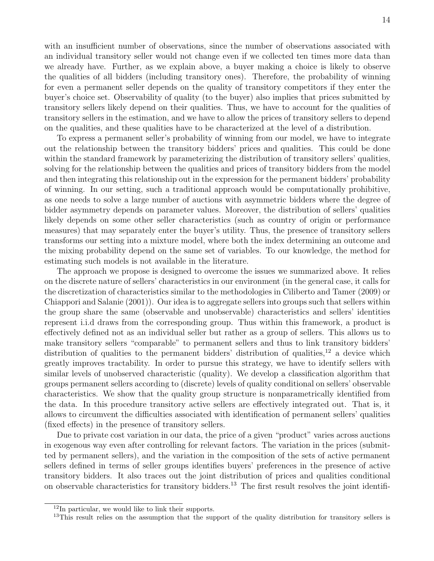with an insufficient number of observations, since the number of observations associated with an individual transitory seller would not change even if we collected ten times more data than we already have. Further, as we explain above, a buyer making a choice is likely to observe the qualities of all bidders (including transitory ones). Therefore, the probability of winning for even a permanent seller depends on the quality of transitory competitors if they enter the buyer's choice set. Observability of quality (to the buyer) also implies that prices submitted by transitory sellers likely depend on their qualities. Thus, we have to account for the qualities of transitory sellers in the estimation, and we have to allow the prices of transitory sellers to depend on the qualities, and these qualities have to be characterized at the level of a distribution.

To express a permanent seller's probability of winning from our model, we have to integrate out the relationship between the transitory bidders' prices and qualities. This could be done within the standard framework by parameterizing the distribution of transitory sellers' qualities, solving for the relationship between the qualities and prices of transitory bidders from the model and then integrating this relationship out in the expression for the permanent bidders' probability of winning. In our setting, such a traditional approach would be computationally prohibitive, as one needs to solve a large number of auctions with asymmetric bidders where the degree of bidder asymmetry depends on parameter values. Moreover, the distribution of sellers' qualities likely depends on some other seller characteristics (such as country of origin or performance measures) that may separately enter the buyer's utility. Thus, the presence of transitory sellers transforms our setting into a mixture model, where both the index determining an outcome and the mixing probability depend on the same set of variables. To our knowledge, the method for estimating such models is not available in the literature.

The approach we propose is designed to overcome the issues we summarized above. It relies on the discrete nature of sellers' characteristics in our environment (in the general case, it calls for the discretization of characteristics similar to the methodologies in Ciliberto and Tamer (2009) or Chiappori and Salanie (2001)). Our idea is to aggregate sellers into groups such that sellers within the group share the same (observable and unobservable) characteristics and sellers' identities represent i.i.d draws from the corresponding group. Thus within this framework, a product is effectively defined not as an individual seller but rather as a group of sellers. This allows us to make transitory sellers "comparable" to permanent sellers and thus to link transitory bidders' distribution of qualities to the permanent bidders' distribution of qualities,<sup>12</sup> a device which greatly improves tractability. In order to pursue this strategy, we have to identify sellers with similar levels of unobserved characteristic (quality). We develop a classification algorithm that groups permanent sellers according to (discrete) levels of quality conditional on sellers' observable characteristics. We show that the quality group structure is nonparametrically identified from the data. In this procedure transitory active sellers are effectively integrated out. That is, it allows to circumvent the difficulties associated with identification of permanent sellers' qualities (fixed effects) in the presence of transitory sellers.

Due to private cost variation in our data, the price of a given "product" varies across auctions in exogenous way even after controlling for relevant factors. The variation in the prices (submitted by permanent sellers), and the variation in the composition of the sets of active permanent sellers defined in terms of seller groups identifies buyers' preferences in the presence of active transitory bidders. It also traces out the joint distribution of prices and qualities conditional on observable characteristics for transitory bidders.<sup>13</sup> The first result resolves the joint identifi-

 $12$ In particular, we would like to link their supports.

<sup>&</sup>lt;sup>13</sup>This result relies on the assumption that the support of the quality distribution for transitory sellers is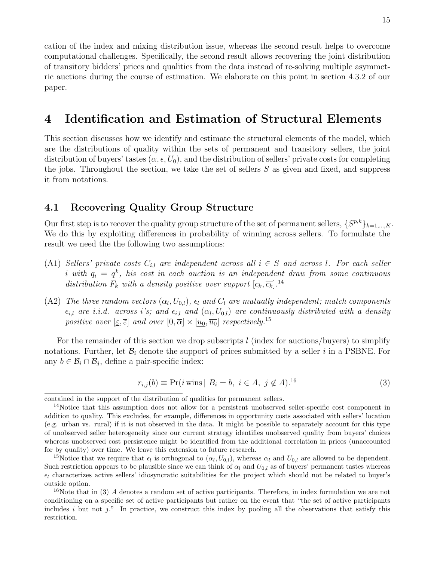cation of the index and mixing distribution issue, whereas the second result helps to overcome computational challenges. Specifically, the second result allows recovering the joint distribution of transitory bidders' prices and qualities from the data instead of re-solving multiple asymmetric auctions during the course of estimation. We elaborate on this point in section 4.3.2 of our paper.

### 4 Identification and Estimation of Structural Elements

This section discusses how we identify and estimate the structural elements of the model, which are the distributions of quality within the sets of permanent and transitory sellers, the joint distribution of buyers' tastes  $(\alpha, \epsilon, U_0)$ , and the distribution of sellers' private costs for completing the jobs. Throughout the section, we take the set of sellers  $S$  as given and fixed, and suppress it from notations.

#### 4.1 Recovering Quality Group Structure

Our first step is to recover the quality group structure of the set of permanent sellers,  $\{S^{p,k}\}_{k=1,\dots,K}$ . We do this by exploiting differences in probability of winning across sellers. To formulate the result we need the the following two assumptions:

- (A1) Sellers' private costs  $C_{i,l}$  are independent across all  $i \in S$  and across l. For each seller i with  $q_i = q^k$ , his cost in each auction is an independent draw from some continuous distribution  $F_k$  with a density positive over support  $[c_k, \overline{c_k}]$ .<sup>14</sup>
- (A2) The three random vectors  $(\alpha_l, U_{0,l})$ ,  $\epsilon_l$  and  $C_l$  are mutually independent; match components  $\epsilon_{i,l}$  are i.i.d. across i's; and  $\epsilon_{i,l}$  and  $(\alpha_l, U_{0,l})$  are continuously distributed with a density positive over  $[\underline{\varepsilon}, \overline{\varepsilon}]$  and over  $[0, \overline{\alpha}] \times [\underline{u_0}, \overline{u_0}]$  respectively.<sup>15</sup>

For the remainder of this section we drop subscripts  $l$  (index for auctions/buyers) to simplify notations. Further, let  $\mathcal{B}_i$  denote the support of prices submitted by a seller i in a PSBNE. For any  $b \in \mathcal{B}_i \cap \mathcal{B}_j$ , define a pair-specific index:

$$
r_{i,j}(b) \equiv \Pr(i \text{ wins} \mid B_i = b, \ i \in A, \ j \notin A).^{16} \tag{3}
$$

contained in the support of the distribution of qualities for permanent sellers.

<sup>&</sup>lt;sup>14</sup>Notice that this assumption does not allow for a persistent unobserved seller-specific cost component in addition to quality. This excludes, for example, differences in opportunity costs associated with sellers' location (e.g. urban vs. rural) if it is not observed in the data. It might be possible to separately account for this type of unobserved seller heterogeneity since our current strategy identifies unobserved quality from buyers' choices whereas unobserved cost persistence might be identified from the additional correlation in prices (unaccounted for by quality) over time. We leave this extension to future research.

<sup>&</sup>lt;sup>15</sup>Notice that we require that  $\epsilon_l$  is orthogonal to  $(\alpha_l, U_{0,l})$ , whereas  $\alpha_l$  and  $U_{0,l}$  are allowed to be dependent. Such restriction appears to be plausible since we can think of  $\alpha_l$  and  $U_{0,l}$  as of buyers' permanent tastes whereas  $\epsilon_l$  characterizes active sellers' idiosyncratic suitabilities for the project which should not be related to buyer's outside option.

<sup>&</sup>lt;sup>16</sup>Note that in (3) A denotes a random set of active participants. Therefore, in index formulation we are not conditioning on a specific set of active participants but rather on the event that "the set of active participants includes i but not j." In practice, we construct this index by pooling all the observations that satisfy this restriction.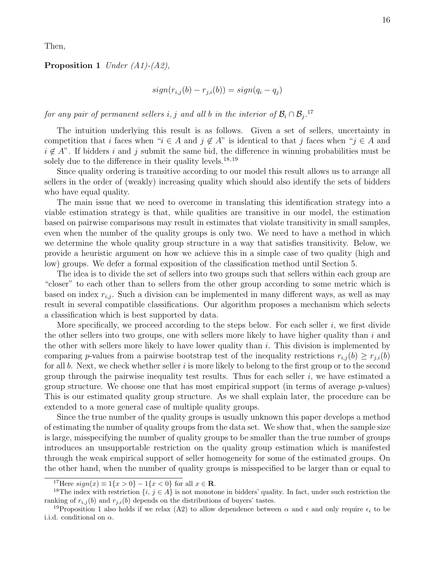Then,

#### **Proposition 1** Under  $(A1)$ - $(A2)$ ,

$$
sign(r_{i,j}(b) - r_{j,i}(b)) = sign(q_i - q_j)
$$

for any pair of permanent sellers i, j and all b in the interior of  $\mathcal{B}_i \cap \mathcal{B}_j$ .<sup>17</sup>

The intuition underlying this result is as follows. Given a set of sellers, uncertainty in competition that i faces when " $i \in A$  and  $j \notin A$ " is identical to that j faces when " $j \in A$  and  $i \notin A$ ". If bidders i and j submit the same bid, the difference in winning probabilities must be solely due to the difference in their quality levels. $^{18,19}$ 

Since quality ordering is transitive according to our model this result allows us to arrange all sellers in the order of (weakly) increasing quality which should also identify the sets of bidders who have equal quality.

The main issue that we need to overcome in translating this identification strategy into a viable estimation strategy is that, while qualities are transitive in our model, the estimation based on pairwise comparisons may result in estimates that violate transitivity in small samples, even when the number of the quality groups is only two. We need to have a method in which we determine the whole quality group structure in a way that satisfies transitivity. Below, we provide a heuristic argument on how we achieve this in a simple case of two quality (high and low) groups. We defer a formal exposition of the classification method until Section 5.

The idea is to divide the set of sellers into two groups such that sellers within each group are "closer" to each other than to sellers from the other group according to some metric which is based on index  $r_{i,j}$ . Such a division can be implemented in many different ways, as well as may result in several compatible classifications. Our algorithm proposes a mechanism which selects a classification which is best supported by data.

More specifically, we proceed according to the steps below. For each seller  $i$ , we first divide the other sellers into two groups, one with sellers more likely to have higher quality than  $i$  and the other with sellers more likely to have lower quality than  $i$ . This division is implemented by comparing p-values from a pairwise bootstrap test of the inequality restrictions  $r_{i,j}(b) \geq r_{j,i}(b)$ for all b. Next, we check whether seller  $i$  is more likely to belong to the first group or to the second group through the pairwise inequality test results. Thus for each seller  $i$ , we have estimated a group structure. We choose one that has most empirical support (in terms of average p-values) This is our estimated quality group structure. As we shall explain later, the procedure can be extended to a more general case of multiple quality groups.

Since the true number of the quality groups is usually unknown this paper develops a method of estimating the number of quality groups from the data set. We show that, when the sample size is large, misspecifying the number of quality groups to be smaller than the true number of groups introduces an unsupportable restriction on the quality group estimation which is manifested through the weak empirical support of seller homogeneity for some of the estimated groups. On the other hand, when the number of quality groups is misspecified to be larger than or equal to

<sup>&</sup>lt;sup>17</sup>Here  $sign(x) \equiv 1\{x > 0\} - 1\{x < 0\}$  for all  $x \in \mathbb{R}$ .

<sup>&</sup>lt;sup>18</sup>The index with restriction  $\{i, j \in A\}$  is not monotone in bidders' quality. In fact, under such restriction the ranking of  $r_{i,j}(b)$  and  $r_{j,i}(b)$  depends on the distributions of buyers' tastes.

<sup>&</sup>lt;sup>19</sup>Proposition 1 also holds if we relax (A2) to allow dependence between  $\alpha$  and  $\epsilon$  and only require  $\epsilon_i$  to be i.i.d. conditional on  $\alpha$ .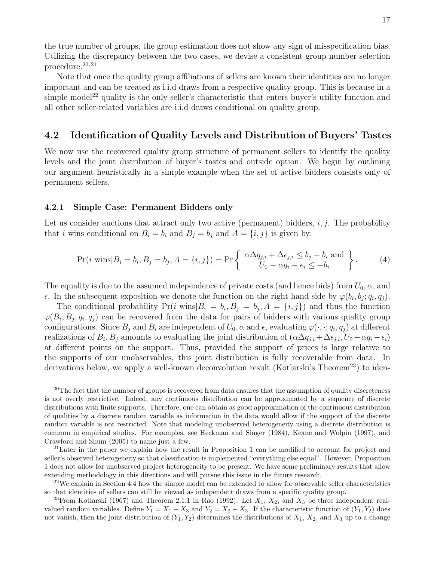the true number of groups, the group estimation does not show any sign of misspecification bias. Utilizing the discrepancy between the two cases, we devise a consistent group number selection procedure.<sup>20</sup>,<sup>21</sup>

Note that once the quality group affiliations of sellers are known their identities are no longer important and can be treated as i.i.d draws from a respective quality group. This is because in a simple model<sup>22</sup> quality is the only seller's characteristic that enters buyer's utility function and all other seller-related variables are i.i.d draws conditional on quality group.

#### 4.2 Identification of Quality Levels and Distribution of Buyers' Tastes

We now use the recovered quality group structure of permanent sellers to identify the quality levels and the joint distribution of buyer's tastes and outside option. We begin by outlining our argument heuristically in a simple example when the set of active bidders consists only of permanent sellers.

#### 4.2.1 Simple Case: Permanent Bidders only

Let us consider auctions that attract only two active (permanent) bidders,  $i, j$ . The probability that *i* wins conditional on  $B_i = b_i$  and  $B_j = b_j$  and  $A = \{i, j\}$  is given by:

$$
\Pr(i \text{ wins}|B_i = b_i, B_j = b_j, A = \{i, j\}) = \Pr\left\{\begin{array}{c} \alpha \Delta q_{j,i} + \Delta \epsilon_{j,i} \le b_j - b_i \text{ and } \\ U_0 - \alpha q_i - \epsilon_i \le -b_i \end{array}\right\}.
$$
 (4)

The equality is due to the assumed independence of private costs (and hence bids) from  $U_0$ ,  $\alpha$ , and  $\epsilon$ . In the subsequent exposition we denote the function on the right hand side by  $\varphi(b_i, b_j; q_i, q_j)$ .

The conditional probability  $Pr(i \text{ wins} | B_i = b_i, B_j = b_j, A = \{i, j\})$  and thus the function  $\varphi(B_i, B_j; q_i, q_j)$  can be recovered from the data for pairs of bidders with various quality group configurations. Since  $B_j$  and  $B_i$  are independent of  $U_0$ ,  $\alpha$  and  $\epsilon$ , evaluating  $\varphi(\cdot,\cdot;q_i,q_j)$  at different realizations of  $B_i$ ,  $B_j$  amounts to evaluating the joint distribution of  $(\alpha \Delta q_{j,i} + \Delta \epsilon_{j,i}, U_0 - \alpha q_i - \epsilon_i)$ at different points on the support. Thus, provided the support of prices is large relative to the supports of our unobservables, this joint distribution is fully recoverable from data. In derivations below, we apply a well-known deconvolution result (Kotlarski's Theorem<sup>23</sup>) to iden-

 $^{20}$ The fact that the number of groups is recovered from data ensures that the assumption of quality discreteness is not overly restrictive. Indeed, any continuous distribution can be approximated by a sequence of discrete distributions with finite supports. Therefore, one can obtain as good approximation of the continuous distribution of qualities by a discrete random variable as information in the data would allow if the support of the discrete random variable is not restricted. Note that modeling unobserved heterogeneity using a discrete distribution is common in empirical studies. For examples, see Heckman and Singer (1984), Keane and Wolpin (1997), and Crawford and Shum (2005) to name just a few.

<sup>&</sup>lt;sup>21</sup>Later in the paper we explain how the result in Proposition 1 can be modified to account for project and seller's observed heterogeneity so that classification is implemented "everything else equal". However, Proposition 1 does not allow for unobserved project heterogeneity to be present. We have some preliminary results that allow extending methodology in this directions and will pursue this issue in the future research.

 $22$ We explain in Section 4.4 how the simple model can be extended to allow for observable seller characteristics so that identities of sellers can still be viewed as independent draws from a specific quality group.

<sup>&</sup>lt;sup>23</sup>From Kotlarski (1967) and Theorem 2.1.1 in Rao (1992): Let  $X_1$ ,  $X_2$ , and  $X_3$  be three independent realvalued random variables. Define  $Y_1 = X_1 + X_3$  and  $Y_2 = X_2 + X_3$ . If the characteristic function of  $(Y_1, Y_2)$  does not vanish, then the joint distribution of  $(Y_1, Y_2)$  determines the distributions of  $X_1, X_2$ , and  $X_3$  up to a change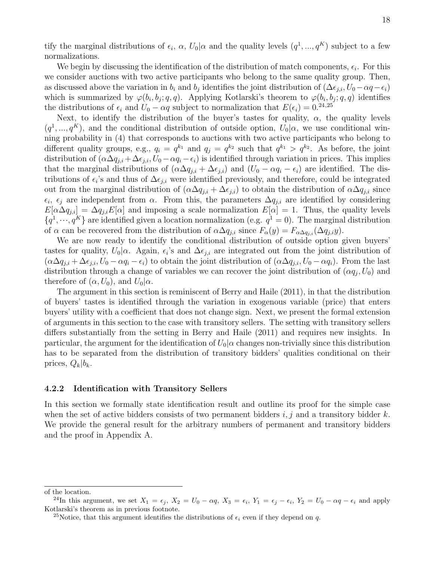tify the marginal distributions of  $\epsilon_i$ ,  $\alpha$ ,  $U_0|\alpha$  and the quality levels  $(q^1, ..., q^K)$  subject to a few normalizations.

We begin by discussing the identification of the distribution of match components,  $\epsilon_i$ . For this we consider auctions with two active participants who belong to the same quality group. Then, as discussed above the variation in  $b_i$  and  $b_j$  identifies the joint distribution of  $(\Delta \epsilon_{j,i}, U_0 - \alpha q - \epsilon_i)$ which is summarized by  $\varphi(b_i, b_j; q, q)$ . Applying Kotlarski's theorem to  $\varphi(b_i, b_j; q, q)$  identifies the distributions of  $\epsilon_i$  and  $U_0 - \alpha q$  subject to normalization that  $E(\epsilon_i) = 0.2435$ 

Next, to identify the distribution of the buyer's tastes for quality,  $\alpha$ , the quality levels  $(q^1, ..., q^K)$ , and the conditional distribution of outside option,  $U_0|\alpha$ , we use conditional winning probability in (4) that corresponds to auctions with two active participants who belong to different quality groups, e.g.,  $q_i = q^{k_1}$  and  $q_j = q^{k_2}$  such that  $q^{k_1} > q^{k_2}$ . As before, the joint distribution of  $(\alpha \Delta q_{i,i} + \Delta \epsilon_{i,i}, U_0 - \alpha q_i - \epsilon_i)$  is identified through variation in prices. This implies that the marginal distributions of  $(\alpha \Delta q_{j,i} + \Delta \epsilon_{j,i})$  and  $(U_0 - \alpha q_i - \epsilon_i)$  are identified. The distributions of  $\epsilon_i$ 's and thus of  $\Delta \epsilon_{j,i}$  were identified previously, and therefore, could be integrated out from the marginal distribution of  $(\alpha \Delta q_{j,i} + \Delta \epsilon_{j,i})$  to obtain the distribution of  $\alpha \Delta q_{j,i}$  since  $\epsilon_i$ ,  $\epsilon_j$  are independent from  $\alpha$ . From this, the parameters  $\Delta q_{j,i}$  are identified by considering  $E[\alpha \Delta q_{j,i}] = \Delta q_{j,i} E[\alpha]$  and imposing a scale normalization  $E[\alpha] = 1$ . Thus, the quality levels  ${q^1, \dots, q^K}$  are identified given a location normalization (e.g.  $q^1 = 0$ ). The marginal distribution of  $\alpha$  can be recovered from the distribution of  $\alpha \Delta q_{i,i}$  since  $F_{\alpha}(y) = F_{\alpha \Delta q_{i,i}}(\Delta q_{i,i}y)$ .

We are now ready to identify the conditional distribution of outside option given buyers' tastes for quality,  $U_0|\alpha$ . Again,  $\epsilon_i$ 's and  $\Delta \epsilon_{j,i}$  are integrated out from the joint distribution of  $(\alpha \Delta q_{j,i} + \Delta \epsilon_{j,i}, U_0 - \alpha q_i - \epsilon_i)$  to obtain the joint distribution of  $(\alpha \Delta q_{j,i}, U_0 - \alpha q_i)$ . From the last distribution through a change of variables we can recover the joint distribution of  $(\alpha q_j, U_0)$  and therefore of  $(\alpha, U_0)$ , and  $U_0|\alpha$ .

The argument in this section is reminiscent of Berry and Haile (2011), in that the distribution of buyers' tastes is identified through the variation in exogenous variable (price) that enters buyers' utility with a coefficient that does not change sign. Next, we present the formal extension of arguments in this section to the case with transitory sellers. The setting with transitory sellers differs substantially from the setting in Berry and Haile (2011) and requires new insights. In particular, the argument for the identification of  $U_0|\alpha$  changes non-trivially since this distribution has to be separated from the distribution of transitory bidders' qualities conditional on their prices,  $Q_k|b_k$ .

#### 4.2.2 Identification with Transitory Sellers

In this section we formally state identification result and outline its proof for the simple case when the set of active bidders consists of two permanent bidders  $i, j$  and a transitory bidder k. We provide the general result for the arbitrary numbers of permanent and transitory bidders and the proof in Appendix A.

of the location.

<sup>&</sup>lt;sup>24</sup>In this argument, we set  $X_1 = \epsilon_j$ ,  $X_2 = U_0 - \alpha q$ ,  $X_3 = \epsilon_i$ ,  $Y_1 = \epsilon_j - \epsilon_i$ ,  $Y_2 = U_0 - \alpha q - \epsilon_i$  and apply Kotlarski's theorem as in previous footnote.

<sup>&</sup>lt;sup>25</sup>Notice, that this argument identifies the distributions of  $\epsilon_i$  even if they depend on q.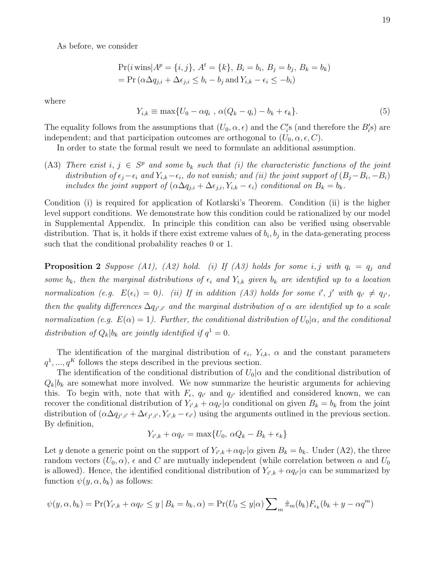As before, we consider

$$
\Pr(i \text{ wins} | A^p = \{i, j\}, A^t = \{k\}, B_i = b_i, B_j = b_j, B_k = b_k) \n= \Pr(\alpha \Delta q_{j,i} + \Delta \epsilon_{j,i} \le b_i - b_j \text{ and } Y_{i,k} - \epsilon_i \le -b_i)
$$

where

$$
Y_{i,k} \equiv \max\{U_0 - \alpha q_i, \ \alpha(Q_k - q_i) - b_k + \epsilon_k\}.
$$
\n
$$
(5)
$$

The equality follows from the assumptions that  $(U_0, \alpha, \epsilon)$  and the  $C_i$ 's (and therefore the  $B_i$ 's) are independent; and that participation outcomes are orthogonal to  $(U_0, \alpha, \epsilon, C)$ .

In order to state the formal result we need to formulate an additional assumption.

(A3) There exist  $i, j \in S^p$  and some  $b_k$  such that (i) the characteristic functions of the joint distribution of  $\epsilon_j - \epsilon_i$  and  $Y_{i,k} - \epsilon_i$ , do not vanish; and (ii) the joint support of  $(B_j - B_i, -B_i)$ includes the joint support of  $(\alpha \Delta q_{j,i} + \Delta \epsilon_{j,i}, Y_{i,k} - \epsilon_i)$  conditional on  $B_k = b_k$ .

Condition (i) is required for application of Kotlarski's Theorem. Condition (ii) is the higher level support conditions. We demonstrate how this condition could be rationalized by our model in Supplemental Appendix. In principle this condition can also be verified using observable distribution. That is, it holds if there exist extreme values of  $b_i, b_j$  in the data-generating process such that the conditional probability reaches 0 or 1.

**Proposition 2** Suppose (A1), (A2) hold. (i) If (A3) holds for some i, j with  $q_i = q_j$  and some  $b_k$ , then the marginal distributions of  $\epsilon_i$  and  $Y_{i,k}$  given  $b_k$  are identified up to a location normalization (e.g.  $E(\epsilon_i) = 0$ ). (ii) If in addition (A3) holds for some i', j' with  $q_{i'} \neq q_{j'}$ , then the quality differences  $\Delta q_{j',i'}$  and the marginal distribution of  $\alpha$  are identified up to a scale normalization (e.g.  $E(\alpha) = 1$ ). Further, the conditional distribution of  $U_0|\alpha$ , and the conditional distribution of  $Q_k|b_k$  are jointly identified if  $q^1 = 0$ .

The identification of the marginal distribution of  $\epsilon_i$ ,  $Y_{i,k}$ ,  $\alpha$  and the constant parameters  $q^1, ..., q^K$  follows the steps described in the previous section.

The identification of the conditional distribution of  $U_0|\alpha$  and the conditional distribution of  $Q_k|b_k$  are somewhat more involved. We now summarize the heuristic arguments for achieving this. To begin with, note that with  $F_{\epsilon}$ ,  $q_{i'}$  and  $q_{j'}$  identified and considered known, we can recover the conditional distribution of  $Y_{i',k} + \alpha q_{i'} | \alpha$  conditional on given  $B_k = b_k$  from the joint distribution of  $(\alpha \Delta q_{j',i'} + \Delta \epsilon_{j',i'}, Y_{i',k} - \epsilon_{i'})$  using the arguments outlined in the previous section. By definition,

$$
Y_{i',k} + \alpha q_{i'} = \max\{U_0, \alpha Q_k - B_k + \epsilon_k\}
$$

Let y denote a generic point on the support of  $Y_{i',k} + \alpha q_{i'} | \alpha$  given  $B_k = b_k$ . Under (A2), the three random vectors  $(U_0, \alpha)$ ,  $\epsilon$  and C are mutually independent (while correlation between  $\alpha$  and  $U_0$ is allowed). Hence, the identified conditional distribution of  $Y_{i',k} + \alpha q_{i'} | \alpha$  can be summarized by function  $\psi(y, \alpha, b_k)$  as follows:

$$
\psi(y,\alpha,b_k) = \Pr(Y_{i',k} + \alpha q_{i'} \le y \mid B_k = b_k, \alpha) = \Pr(U_0 \le y \mid \alpha) \sum\nolimits_m \tilde{\pi}_m(b_k) F_{\epsilon_k}(b_k + y - \alpha q^m)
$$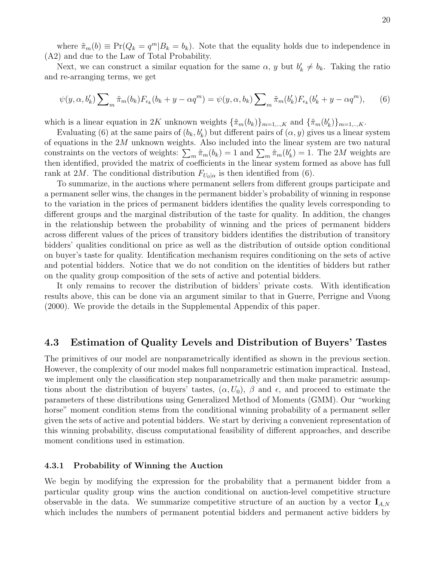where  $\tilde{\pi}_m(b) \equiv Pr(Q_k = q^m | B_k = b_k)$ . Note that the equality holds due to independence in (A2) and due to the Law of Total Probability.

Next, we can construct a similar equation for the same  $\alpha$ , y but  $b'_k \neq b_k$ . Taking the ratio and re-arranging terms, we get

$$
\psi(y,\alpha,b'_k)\sum_{m}\tilde{\pi}_m(b_k)F_{\epsilon_k}(b_k+y-\alpha q^m)=\psi(y,\alpha,b_k)\sum_{m}\tilde{\pi}_m(b'_k)F_{\epsilon_k}(b'_k+y-\alpha q^m),\qquad(6)
$$

which is a linear equation in 2K unknown weights  $\{\tilde{\pi}_m(b_k)\}_{m=1,\dots,K}$  and  $\{\tilde{\pi}_m(b'_k)\}_{m=1,\dots,K}$ .

Evaluating (6) at the same pairs of  $(b_k, b'_k)$  but different pairs of  $(\alpha, y)$  gives us a linear system of equations in the  $2M$  unknown weights. Also included into the linear system are two natural constraints on the vectors of weights:  $\sum_m \tilde{\pi}_m(b_k) = 1$  and  $\sum_m \tilde{\pi}_m(b'_k) = 1$ . The 2M weights are then identified, provided the matrix of coefficients in the linear system formed as above has full rank at 2M. The conditional distribution  $F_{U_0|\alpha}$  is then identified from (6).

To summarize, in the auctions where permanent sellers from different groups participate and a permanent seller wins, the changes in the permanent bidder's probability of winning in response to the variation in the prices of permanent bidders identifies the quality levels corresponding to different groups and the marginal distribution of the taste for quality. In addition, the changes in the relationship between the probability of winning and the prices of permanent bidders across different values of the prices of transitory bidders identifies the distribution of transitory bidders' qualities conditional on price as well as the distribution of outside option conditional on buyer's taste for quality. Identification mechanism requires conditioning on the sets of active and potential bidders. Notice that we do not condition on the identities of bidders but rather on the quality group composition of the sets of active and potential bidders.

It only remains to recover the distribution of bidders' private costs. With identification results above, this can be done via an argument similar to that in Guerre, Perrigne and Vuong (2000). We provide the details in the Supplemental Appendix of this paper.

#### 4.3 Estimation of Quality Levels and Distribution of Buyers' Tastes

The primitives of our model are nonparametrically identified as shown in the previous section. However, the complexity of our model makes full nonparametric estimation impractical. Instead, we implement only the classification step nonparametrically and then make parametric assumptions about the distribution of buyers' tastes,  $(\alpha, U_0)$ ,  $\beta$  and  $\epsilon$ , and proceed to estimate the parameters of these distributions using Generalized Method of Moments (GMM). Our "working horse" moment condition stems from the conditional winning probability of a permanent seller given the sets of active and potential bidders. We start by deriving a convenient representation of this winning probability, discuss computational feasibility of different approaches, and describe moment conditions used in estimation.

#### 4.3.1 Probability of Winning the Auction

We begin by modifying the expression for the probability that a permanent bidder from a particular quality group wins the auction conditional on auction-level competitive structure observable in the data. We summarize competitive structure of an auction by a vector  $I_{A,N}$ which includes the numbers of permanent potential bidders and permanent active bidders by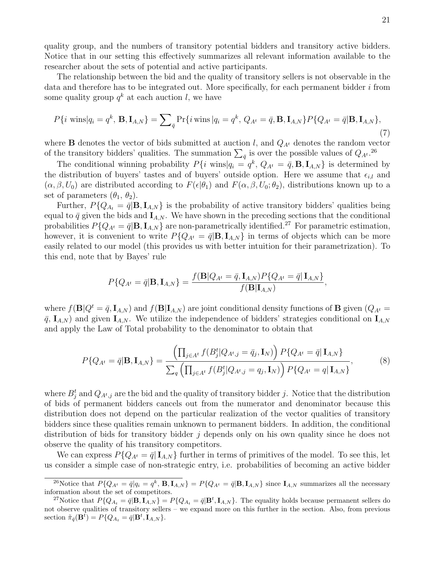quality group, and the numbers of transitory potential bidders and transitory active bidders. Notice that in our setting this effectively summarizes all relevant information available to the researcher about the sets of potential and active participants.

The relationship between the bid and the quality of transitory sellers is not observable in the data and therefore has to be integrated out. More specifically, for each permanent bidder  $i$  from some quality group  $q^k$  at each auction l, we have

$$
P\{i \text{ wins}| q_i = q^k, \mathbf{B}, \mathbf{I}_{A,N}\} = \sum_{\bar{q}} \Pr\{i \text{ wins}| q_i = q^k, \ Q_{A^t} = \bar{q}, \mathbf{B}, \mathbf{I}_{A,N}\} P\{Q_{A^t} = \bar{q} | \mathbf{B}, \mathbf{I}_{A,N}\},\tag{7}
$$

where **B** denotes the vector of bids submitted at auction l, and  $Q_{A<sup>t</sup>}$  denotes the random vector of the transitory bidders' qualities. The summation  $\sum_{\bar{q}}$  is over the possible values of  $Q_{A^t}$ . 26

The conditional winning probability  $P\{i \text{ wins}|q_i = q^k, Q_{A^t} = \bar{q}, \mathbf{B}, \mathbf{I}_{A,N}\}\$ is determined by the distribution of buyers' tastes and of buyers' outside option. Here we assume that  $\epsilon_{i,l}$  and  $(\alpha, \beta, U_0)$  are distributed according to  $F(\epsilon|\theta_1)$  and  $F(\alpha, \beta, U_0; \theta_2)$ , distributions known up to a set of parameters  $(\theta_1, \theta_2)$ .

Further,  $P\{Q_{A_t} = \bar{q} | \mathbf{B}, \mathbf{I}_{A,N}\}\$  is the probability of active transitory bidders' qualities being equal to  $\bar{q}$  given the bids and  $I_{A,N}$ . We have shown in the preceding sections that the conditional probabilities  $P\{Q_{A^t} = \bar{q} | \mathbf{B}, \mathbf{I}_{A,N}\}\$  are non-parametrically identified.<sup>27</sup> For parametric estimation, however, it is convenient to write  $P\{Q_{A^t} = \bar{q} | \mathbf{B}, \mathbf{I}_{A,N}\}\$  in terms of objects which can be more easily related to our model (this provides us with better intuition for their parametrization). To this end, note that by Bayes' rule

$$
P\{Q_{A^t}=\bar{q}|{\bf B},{\bf I}_{A,N}\}=\frac{f({\bf B}|Q_{A^t}=\bar{q},{\bf I}_{A,N})P\{Q_{A^t}=\bar{q}|{\bf I}_{A,N}\}}{f({\bf B}|{\bf I}_{A,N})},
$$

where  $f(\mathbf{B}|Q^t = \bar{q}, \mathbf{I}_{A,N})$  and  $f(\mathbf{B}|\mathbf{I}_{A,N})$  are joint conditional density functions of **B** given  $(Q_{A^t} =$  $\bar{q}$ ,  $I_{A,N}$ ) and given  $I_{A,N}$ . We utilize the independence of bidders' strategies conditional on  $I_{A,N}$ and apply the Law of Total probability to the denominator to obtain that

$$
P\{Q_{A^t} = \bar{q} | \mathbf{B}, \mathbf{I}_{A,N}\} = \frac{\left(\prod_{j \in A^t} f(B_j^t | Q_{A^t,j} = \bar{q}_j, \mathbf{I}_N)\right) P\{Q_{A^t} = \bar{q} | \mathbf{I}_{A,N}\}}{\sum_q \left(\prod_{j \in A^t} f(B_j^t | Q_{A^t,j} = q_j, \mathbf{I}_N)\right) P\{Q_{A^t} = q | \mathbf{I}_{A,N}\}},\tag{8}
$$

where  $B_j^t$  and  $Q_{A^t,j}$  are the bid and the quality of transitory bidder j. Notice that the distribution of bids of permanent bidders cancels out from the numerator and denominator because this distribution does not depend on the particular realization of the vector qualities of transitory bidders since these qualities remain unknown to permanent bidders. In addition, the conditional distribution of bids for transitory bidder  $j$  depends only on his own quality since he does not observe the quality of his transitory competitors.

We can express  $P\{Q_{A^t} = \bar{q} | \mathbf{I}_{A,N}\}\)$  further in terms of primitives of the model. To see this, let us consider a simple case of non-strategic entry, i.e. probabilities of becoming an active bidder

<sup>&</sup>lt;sup>26</sup>Notice that  $P\{Q_{A^t} = \bar{q}|q_i = q^k, \mathbf{B}, \mathbf{I}_{A,N}\} = P\{Q_{A^t} = \bar{q}|\mathbf{B}, \mathbf{I}_{A,N}\}$  since  $\mathbf{I}_{A,N}$  summarizes all the necessary information about the set of competitors.

<sup>&</sup>lt;sup>27</sup>Notice that  $P\{Q_{A_t} = \bar{q} | \mathbf{B}, \mathbf{I}_{A,N}\} = P\{Q_{A_t} = \bar{q} | \mathbf{B}^t, \mathbf{I}_{A,N}\}.$  The equality holds because permanent sellers do not observe qualities of transitory sellers – we expand more on this further in the section. Also, from previous section  $\tilde{\pi}_{\bar{q}}(\mathbf{B}^t) = P\{Q_{A_t} = \bar{q} | \mathbf{B}^t, \mathbf{I}_{A,N}\}.$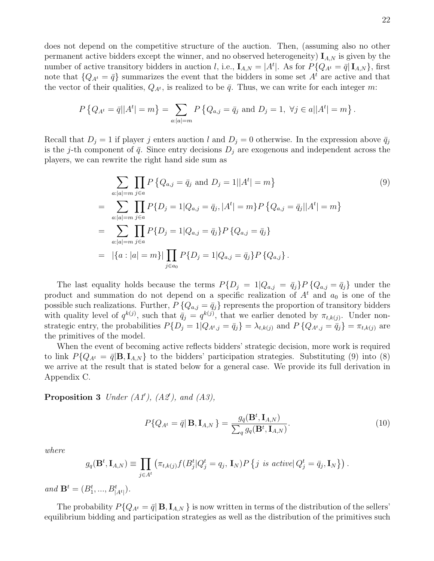does not depend on the competitive structure of the auction. Then, (assuming also no other permanent active bidders except the winner, and no observed heterogeneity)  $I_{A,N}$  is given by the number of active transitory bidders in auction l, i.e.,  $\mathbf{I}_{A,N} = |A^t|$ . As for  $P\{Q_{A^t} = \bar{q} | \mathbf{I}_{A,N}\}$ , first note that  $\{Q_{A^t} = \bar{q}\}\$  summarizes the event that the bidders in some set  $A^t$  are active and that the vector of their qualities,  $Q_{A^t}$ , is realized to be  $\bar{q}$ . Thus, we can write for each integer m:

$$
P\left\{Q_{A^t} = \bar{q}||A^t| = m\right\} = \sum_{a:|a|=m} P\left\{Q_{a,j} = \bar{q}_j \text{ and } D_j = 1, \ \forall j \in a||A^t| = m\right\}.
$$

Recall that  $D_j = 1$  if player j enters auction l and  $D_j = 0$  otherwise. In the expression above  $\bar{q}_j$ is the j-th component of  $\bar{q}$ . Since entry decisions  $D_i$  are exogenous and independent across the players, we can rewrite the right hand side sum as

$$
\sum_{a:|a|=m} \prod_{j\in a} P\left\{Q_{a,j} = \bar{q}_j \text{ and } D_j = 1||A^t| = m\right\}
$$
(9)  
= 
$$
\sum_{a:|a|=m} \prod_{j\in a} P\{D_j = 1|Q_{a,j} = \bar{q}_j, |A^t| = m\} P\left\{Q_{a,j} = \bar{q}_j||A^t| = m\right\}
$$
  
= 
$$
\sum_{a:|a|=m} \prod_{j\in a} P\{D_j = 1|Q_{a,j} = \bar{q}_j\} P\left\{Q_{a,j} = \bar{q}_j\right\}
$$
  
= 
$$
|\{a:|a|=m\}|\prod_{j\in a_0} P\{D_j = 1|Q_{a,j} = \bar{q}_j\} P\left\{Q_{a,j}\right\}.
$$

The last equality holds because the terms  $P\{D_j = 1|Q_{a,j} = \bar{q}_j\}P\{Q_{a,j} = \bar{q}_j\}$  under the product and summation do not depend on a specific realization of  $A<sup>t</sup>$  and  $a<sub>0</sub>$  is one of the possible such realizations. Further,  $P\{Q_{a,j} = \bar{q}_j\}$  represents the proportion of transitory bidders with quality level of  $q^{k(j)}$ , such that  $\bar{q}_j = q^{k(j)}$ , that we earlier denoted by  $\pi_{t,k(j)}$ . Under nonstrategic entry, the probabilities  $P\{D_j = 1 | Q_{A^t,j} = \bar{q}_j\} = \lambda_{t,k(j)}$  and  $P\{Q_{A^t,j} = \bar{q}_j\} = \pi_{t,k(j)}$  are the primitives of the model.

When the event of becoming active reflects bidders' strategic decision, more work is required to link  $P\{Q_{A^t} = \bar{q} | \mathbf{B}, \mathbf{I}_{A,N}\}\)$  to the bidders' participation strategies. Substituting (9) into (8) we arrive at the result that is stated below for a general case. We provide its full derivation in Appendix C.

Proposition 3 Under  $(A1')$ ,  $(A2')$ , and  $(A3)$ ,

$$
P\{Q_{A^t} = \bar{q} | \mathbf{B}, \mathbf{I}_{A,N}\} = \frac{g_{\bar{q}}(\mathbf{B}^t, \mathbf{I}_{A,N})}{\sum_{q} g_q(\mathbf{B}^t, \mathbf{I}_{A,N})}.
$$
(10)

where

$$
g_q(\mathbf{B}^t, \mathbf{I}_{A,N}) \equiv \prod_{j \in A^t} \left( \pi_{t,k(j)} f(B_j^t | Q_j^t = q_j, \mathbf{I}_N) P\left\{j \text{ is active} | Q_j^t = \bar{q}_j, \mathbf{I}_N \right\} \right).
$$

and  $\mathbf{B}^t = (B_1^t, ..., B_{|A^t|}^t).$ 

The probability  $P\{Q_{A^t} = \bar{q} | \mathbf{B}, \mathbf{I}_{A,N}\}\$ is now written in terms of the distribution of the sellers' equilibrium bidding and participation strategies as well as the distribution of the primitives such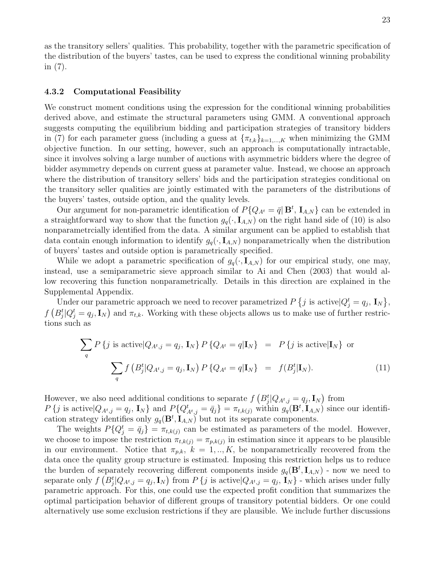as the transitory sellers' qualities. This probability, together with the parametric specification of the distribution of the buyers' tastes, can be used to express the conditional winning probability in (7).

#### 4.3.2 Computational Feasibility

We construct moment conditions using the expression for the conditional winning probabilities derived above, and estimate the structural parameters using GMM. A conventional approach suggests computing the equilibrium bidding and participation strategies of transitory bidders in (7) for each parameter guess (including a guess at  $\{\pi_{t,k}\}_{k=1,\dots,K}$  when minimizing the GMM objective function. In our setting, however, such an approach is computationally intractable, since it involves solving a large number of auctions with asymmetric bidders where the degree of bidder asymmetry depends on current guess at parameter value. Instead, we choose an approach where the distribution of transitory sellers' bids and the participation strategies conditional on the transitory seller qualities are jointly estimated with the parameters of the distributions of the buyers' tastes, outside option, and the quality levels.

Our argument for non-parametric identification of  $P\{Q_{A^t} = \bar{q} | \mathbf{B}^t, \mathbf{I}_{A,N}\}\)$  can be extended in a straightforward way to show that the function  $g_q(\cdot, \mathbf{I}_{A,N})$  on the right hand side of (10) is also nonparametrcially identified from the data. A similar argument can be applied to establish that data contain enough information to identify  $g_q(\cdot, \mathbf{I}_{A,N})$  nonparametrically when the distribution of buyers' tastes and outside option is parametrically specified.

While we adopt a parametric specification of  $g_q(\cdot, \mathbf{I}_{A,N})$  for our empirical study, one may, instead, use a semiparametric sieve approach similar to Ai and Chen (2003) that would allow recovering this function nonparametrically. Details in this direction are explained in the Supplemental Appendix.

Under our parametric approach we need to recover parametrized  $P\{j \text{ is active} | Q_j^t = q_j, \mathbf{I}_N\},\$  $f(B_j^t|Q_j^t = q_j, I_N)$  and  $\pi_{t,k}$ . Working with these objects allows us to make use of further restrictions such as

$$
\sum_{q} P\left\{j \text{ is active} | Q_{A^t,j} = q_j, \mathbf{I}_N\right\} P\left\{Q_{A^t} = q | \mathbf{I}_N\right\} = P\left\{j \text{ is active} | \mathbf{I}_N\right\} \text{ or}
$$
\n
$$
\sum_{q} f\left(B_j^t | Q_{A^t,j} = q_j, \mathbf{I}_N\right) P\left\{Q_{A^t} = q | \mathbf{I}_N\right\} = f(B_j^t | \mathbf{I}_N). \tag{11}
$$

However, we also need additional conditions to separate  $f(B_j^t|Q_{A^t,j} = q_j, I_N)$  from  $P\{j \text{ is active}|Q_{A^t,j}=q_j, \mathbf{I}_N\}$  and  $P\{Q_{A^t,j}^t=\bar{q}_j\}=\pi_{t,k(j)}$  within  $g_q(\mathbf{B}^t,\mathbf{I}_{A,N})$  since our identification strategy identifies only  $g_q(\mathbf{B}^t, \mathbf{I}_{A,N})$  but not its separate components.

The weights  $P\{Q_j^t = \bar{q}_j\} = \pi_{t,k(j)}$  can be estimated as parameters of the model. However, we choose to impose the restriction  $\pi_{t,k}(j) = \pi_{p,k}(j)$  in estimation since it appears to be plausible in our environment. Notice that  $\pi_{p,k}$ ,  $k = 1, ..., K$ , be nonparametrically recovered from the data once the quality group structure is estimated. Imposing this restriction helps us to reduce the burden of separately recovering different components inside  $g_q(\mathbf{B}^t, \mathbf{I}_{A,N})$  - now we need to separate only  $f(B_j^t|Q_{A^t,j} = q_j, I_N)$  from  $P\{j \text{ is active}|Q_{A^t,j} = q_j, I_N\}$  - which arises under fully parametric approach. For this, one could use the expected profit condition that summarizes the optimal participation behavior of different groups of transitory potential bidders. Or one could alternatively use some exclusion restrictions if they are plausible. We include further discussions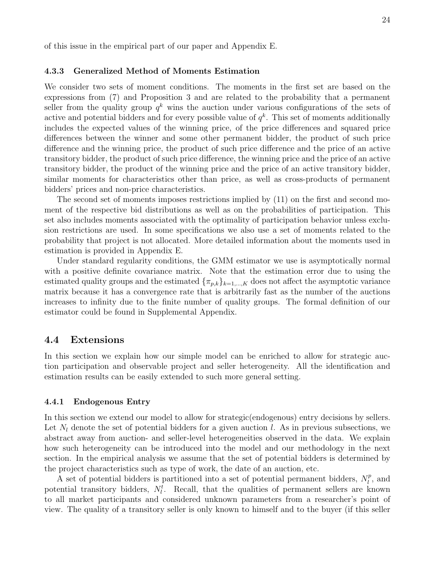of this issue in the empirical part of our paper and Appendix E.

#### 4.3.3 Generalized Method of Moments Estimation

We consider two sets of moment conditions. The moments in the first set are based on the expressions from (7) and Proposition 3 and are related to the probability that a permanent seller from the quality group  $q^k$  wins the auction under various configurations of the sets of active and potential bidders and for every possible value of  $q^k$ . This set of moments additionally includes the expected values of the winning price, of the price differences and squared price differences between the winner and some other permanent bidder, the product of such price difference and the winning price, the product of such price difference and the price of an active transitory bidder, the product of such price difference, the winning price and the price of an active transitory bidder, the product of the winning price and the price of an active transitory bidder, similar moments for characteristics other than price, as well as cross-products of permanent bidders' prices and non-price characteristics.

The second set of moments imposes restrictions implied by (11) on the first and second moment of the respective bid distributions as well as on the probabilities of participation. This set also includes moments associated with the optimality of participation behavior unless exclusion restrictions are used. In some specifications we also use a set of moments related to the probability that project is not allocated. More detailed information about the moments used in estimation is provided in Appendix E.

Under standard regularity conditions, the GMM estimator we use is asymptotically normal with a positive definite covariance matrix. Note that the estimation error due to using the estimated quality groups and the estimated  $\{\pi_{p,k}\}_{k=1,\dots,K}$  does not affect the asymptotic variance matrix because it has a convergence rate that is arbitrarily fast as the number of the auctions increases to infinity due to the finite number of quality groups. The formal definition of our estimator could be found in Supplemental Appendix.

#### 4.4 Extensions

In this section we explain how our simple model can be enriched to allow for strategic auction participation and observable project and seller heterogeneity. All the identification and estimation results can be easily extended to such more general setting.

#### 4.4.1 Endogenous Entry

In this section we extend our model to allow for strategic(endogenous) entry decisions by sellers. Let  $N_l$  denote the set of potential bidders for a given auction l. As in previous subsections, we abstract away from auction- and seller-level heterogeneities observed in the data. We explain how such heterogeneity can be introduced into the model and our methodology in the next section. In the empirical analysis we assume that the set of potential bidders is determined by the project characteristics such as type of work, the date of an auction, etc.

A set of potential bidders is partitioned into a set of potential permanent bidders,  $N_l^p$  $l^p$ , and potential transitory bidders,  $N_t^t$ . Recall, that the qualities of permanent sellers are known to all market participants and considered unknown parameters from a researcher's point of view. The quality of a transitory seller is only known to himself and to the buyer (if this seller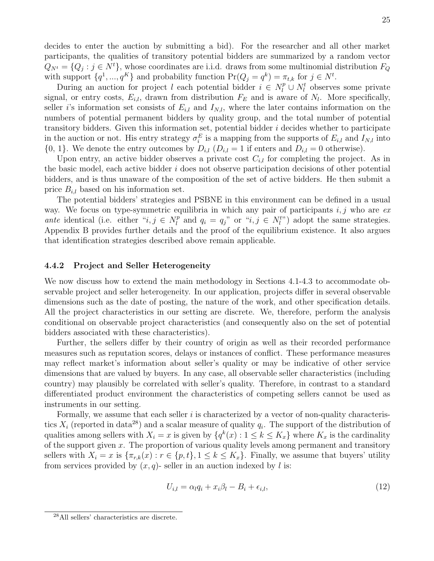decides to enter the auction by submitting a bid). For the researcher and all other market participants, the qualities of transitory potential bidders are summarized by a random vector  $Q_{N^t} = \{Q_j : j \in N^t\}$ , whose coordinates are i.i.d. draws from some multinomial distribution  $F_Q$ with support  $\{q^1, ..., q^K\}$  and probability function  $Pr(Q_j = q^k) = \pi_{t,k}$  for  $j \in N^t$ .

During an auction for project l each potential bidder  $i \in N_l^p \cup N_l^t$  observes some private signal, or entry costs,  $E_{i,l}$ , drawn from distribution  $F_E$  and is aware of  $N_l$ . More specifically, seller i's information set consists of  $E_{i,l}$  and  $I_{N,l}$ , where the later contains information on the numbers of potential permanent bidders by quality group, and the total number of potential transitory bidders. Given this information set, potential bidder i decides whether to participate in the auction or not. His entry strategy  $\sigma_i^E$  is a mapping from the supports of  $E_{i,l}$  and  $I_{N,l}$  into  $\{0, 1\}$ . We denote the entry outcomes by  $D_{i,l}$   $(D_{i,l} = 1$  if enters and  $D_{i,l} = 0$  otherwise).

Upon entry, an active bidder observes a private cost  $C_{i,l}$  for completing the project. As in the basic model, each active bidder  $i$  does not observe participation decisions of other potential bidders, and is thus unaware of the composition of the set of active bidders. He then submit a price  $B_{i,l}$  based on his information set.

The potential bidders' strategies and PSBNE in this environment can be defined in a usual way. We focus on type-symmetric equilibria in which any pair of participants  $i, j$  who are exante identical (i.e. either " $i, j \in N_l^p$  $l_l^p$  and  $q_i = q_j^p$  or " $i, j \in N_l^{tr}$ " adopt the same strategies. Appendix B provides further details and the proof of the equilibrium existence. It also argues that identification strategies described above remain applicable.

#### 4.4.2 Project and Seller Heterogeneity

We now discuss how to extend the main methodology in Sections 4.1-4.3 to accommodate observable project and seller heterogeneity. In our application, projects differ in several observable dimensions such as the date of posting, the nature of the work, and other specification details. All the project characteristics in our setting are discrete. We, therefore, perform the analysis conditional on observable project characteristics (and consequently also on the set of potential bidders associated with these characteristics).

Further, the sellers differ by their country of origin as well as their recorded performance measures such as reputation scores, delays or instances of conflict. These performance measures may reflect market's information about seller's quality or may be indicative of other service dimensions that are valued by buyers. In any case, all observable seller characteristics (including country) may plausibly be correlated with seller's quality. Therefore, in contrast to a standard differentiated product environment the characteristics of competing sellers cannot be used as instruments in our setting.

Formally, we assume that each seller  $i$  is characterized by a vector of non-quality characteristics  $X_i$  (reported in data<sup>28</sup>) and a scalar measure of quality  $q_i$ . The support of the distribution of qualities among sellers with  $X_i = x$  is given by  $\{q^k(x) : 1 \leq k \leq K_x\}$  where  $K_x$  is the cardinality of the support given  $x$ . The proportion of various quality levels among permanent and transitory sellers with  $X_i = x$  is  $\{\pi_{r,k}(x) : r \in \{p,t\}, 1 \le k \le K_x\}$ . Finally, we assume that buyers' utility from services provided by  $(x, q)$ - seller in an auction indexed by l is:

$$
U_{i,l} = \alpha_l q_i + x_i \beta_l - B_i + \epsilon_{i,l},\tag{12}
$$

<sup>28</sup>All sellers' characteristics are discrete.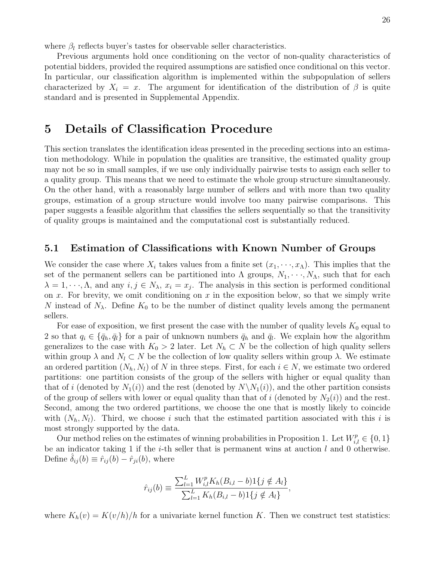where  $\beta_l$  reflects buyer's tastes for observable seller characteristics.

Previous arguments hold once conditioning on the vector of non-quality characteristics of potential bidders, provided the required assumptions are satisfied once conditional on this vector. In particular, our classification algorithm is implemented within the subpopulation of sellers characterized by  $X_i = x$ . The argument for identification of the distribution of  $\beta$  is quite standard and is presented in Supplemental Appendix.

## 5 Details of Classification Procedure

This section translates the identification ideas presented in the preceding sections into an estimation methodology. While in population the qualities are transitive, the estimated quality group may not be so in small samples, if we use only individually pairwise tests to assign each seller to a quality group. This means that we need to estimate the whole group structure simultaneously. On the other hand, with a reasonably large number of sellers and with more than two quality groups, estimation of a group structure would involve too many pairwise comparisons. This paper suggests a feasible algorithm that classifies the sellers sequentially so that the transitivity of quality groups is maintained and the computational cost is substantially reduced.

#### 5.1 Estimation of Classifications with Known Number of Groups

We consider the case where  $X_i$  takes values from a finite set  $(x_1, \dots, x_\Lambda)$ . This implies that the set of the permanent sellers can be partitioned into  $\Lambda$  groups,  $N_1, \dots, N_\Lambda$ , such that for each  $\lambda = 1, \dots, \Lambda$ , and any  $i, j \in N_\lambda$ ,  $x_i = x_j$ . The analysis in this section is performed conditional on x. For brevity, we omit conditioning on x in the exposition below, so that we simply write N instead of  $N_{\lambda}$ . Define  $K_0$  to be the number of distinct quality levels among the permanent sellers.

For ease of exposition, we first present the case with the number of quality levels  $K_0$  equal to 2 so that  $q_i \in \{\bar{q}_h, \bar{q}_l\}$  for a pair of unknown numbers  $\bar{q}_h$  and  $\bar{q}_l$ . We explain how the algorithm generalizes to the case with  $K_0 > 2$  later. Let  $N_h \subset N$  be the collection of high quality sellers within group  $\lambda$  and  $N_l \subset N$  be the collection of low quality sellers within group  $\lambda$ . We estimate an ordered partition  $(N_h, N_l)$  of N in three steps. First, for each  $i \in N$ , we estimate two ordered partitions: one partition consists of the group of the sellers with higher or equal quality than that of i (denoted by  $N_1(i)$ ) and the rest (denoted by  $N\setminus N_1(i)$ ), and the other partition consists of the group of sellers with lower or equal quality than that of i (denoted by  $N_2(i)$ ) and the rest. Second, among the two ordered partitions, we choose the one that is mostly likely to coincide with  $(N_h, N_l)$ . Third, we choose i such that the estimated partition associated with this i is most strongly supported by the data.

Our method relies on the estimates of winning probabilities in Proposition 1. Let  $W_{i,l}^p \in \{0,1\}$ be an indicator taking 1 if the *i*-th seller that is permanent wins at auction  $l$  and 0 otherwise. Define  $\delta_{ij}(b) \equiv \hat{r}_{ij}(b) - \hat{r}_{ji}(b)$ , where

$$
\hat{r}_{ij}(b) \equiv \frac{\sum_{l=1}^{L} W_{i,l}^p K_h(B_{i,l} - b) 1\{j \notin A_l\}}{\sum_{l=1}^{L} K_h(B_{i,l} - b) 1\{j \notin A_l\}},
$$

where  $K_h(v) = K(v/h)/h$  for a univariate kernel function K. Then we construct test statistics: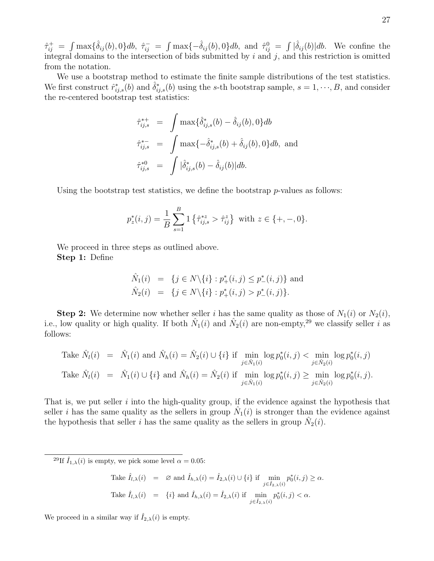$\hat{\tau}_{ij}^+ = \int \max\{\hat{\delta}_{ij}(b), 0\} db, \quad \hat{\tau}_{ij}^- = \int \max\{-\hat{\delta}_{ij}(b), 0\} db, \text{ and } \hat{\tau}_{ij}^0 = \int |\hat{\delta}_{ij}(b)| db.$  We confine the integral domains to the intersection of bids submitted by  $i$  and  $j$ , and this restriction is omitted from the notation.

We use a bootstrap method to estimate the finite sample distributions of the test statistics. We first construct  $\hat{r}_{ij,s}^*(b)$  and  $\hat{\delta}_{ij,s}^*(b)$  using the s-th bootstrap sample,  $s = 1, \dots, B$ , and consider the re-centered bootstrap test statistics:

$$
\hat{\tau}_{ij,s}^{*+} = \int \max \{ \hat{\delta}_{ij,s}^{*}(b) - \hat{\delta}_{ij}(b), 0 \} db
$$
  

$$
\hat{\tau}_{ij,s}^{*-} = \int \max \{ -\hat{\delta}_{ij,s}^{*}(b) + \hat{\delta}_{ij}(b), 0 \} db, \text{ and}
$$
  

$$
\hat{\tau}_{ij,s}^{*0} = \int |\hat{\delta}_{ij,s}^{*}(b) - \hat{\delta}_{ij}(b)| db.
$$

Using the bootstrap test statistics, we define the bootstrap  $p$ -values as follows:

$$
p_z^*(i,j) = \frac{1}{B} \sum_{s=1}^{B} 1 \left\{ \hat{\tau}_{ij,s}^{*z} > \hat{\tau}_{ij}^z \right\} \text{ with } z \in \{ +, -, 0 \}.
$$

We proceed in three steps as outlined above. Step 1: Define

$$
\hat{N}_1(i) = \{ j \in N \setminus \{i\} : p_+^*(i,j) \le p_-^*(i,j) \} \text{ and } \n\hat{N}_2(i) = \{ j \in N \setminus \{i\} : p_+^*(i,j) > p_-^*(i,j) \}.
$$

**Step 2:** We determine now whether seller i has the same quality as those of  $N_1(i)$  or  $N_2(i)$ , i.e., low quality or high quality. If both  $\hat{N}_1(i)$  and  $\hat{N}_2(i)$  are non-empty,<sup>29</sup> we classify seller i as follows:

Take 
$$
\hat{N}_l(i) = \hat{N}_1(i)
$$
 and  $\hat{N}_h(i) = \hat{N}_2(i) \cup \{i\}$  if  $\min_{j \in \hat{N}_1(i)} \log p_0^*(i, j) < \min_{j \in \hat{N}_2(i)} \log p_0^*(i, j)$   
Take  $\hat{N}_l(i) = \hat{N}_1(i) \cup \{i\}$  and  $\hat{N}_h(i) = \hat{N}_2(i)$  if  $\min_{j \in \hat{N}_1(i)} \log p_0^*(i, j) \ge \min_{j \in \hat{N}_2(i)} \log p_0^*(i, j)$ .

That is, we put seller  $i$  into the high-quality group, if the evidence against the hypothesis that seller *i* has the same quality as the sellers in group  $\hat{N}_1(i)$  is stronger than the evidence against the hypothesis that seller i has the same quality as the sellers in group  $\hat{N}_2(i)$ .

<sup>29</sup>If  $\hat{I}_{1,\lambda}(i)$  is empty, we pick some level  $\alpha = 0.05$ :

$$
\begin{array}{lcl} \text{Take } \hat{I}_{l,\lambda}(i) & = & \varnothing \text{ and } \hat{I}_{h,\lambda}(i) = \hat{I}_{2,\lambda}(i) \cup \{i\} \text{ if } \min_{j \in \hat{I}_{2,\lambda}(i)} p_0^*(i,j) \geq \alpha. \\ \text{Take } \hat{I}_{l,\lambda}(i) & = & \{i\} \text{ and } \hat{I}_{h,\lambda}(i) = \hat{I}_{2,\lambda}(i) \text{ if } \min_{j \in \hat{I}_{2,\lambda}(i)} p_0^*(i,j) < \alpha. \end{array}
$$

We proceed in a similar way if  $\hat{I}_{2,\lambda}(i)$  is empty.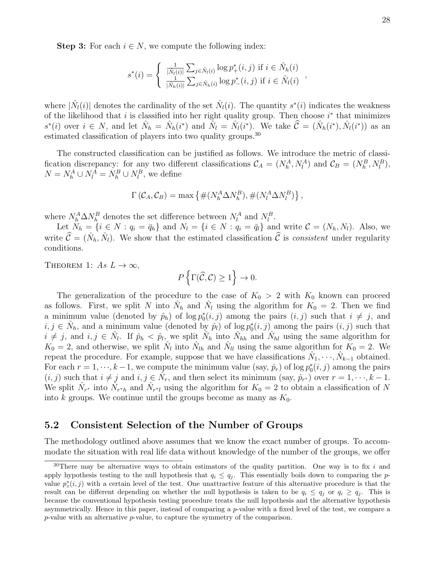**Step 3:** For each  $i \in N$ , we compute the following index:

$$
s^*(i) = \begin{cases} \frac{1}{|\hat{N}_l(i)|} \sum_{j \in \hat{N}_l(i)} \log p_+^*(i, j) & \text{if } i \in \hat{N}_h(i) \\ \frac{1}{|\hat{N}_h(i)|} \sum_{j \in \hat{N}_h(i)} \log p_-^*(i, j) & \text{if } i \in \hat{N}_l(i) \end{cases}
$$

where  $|\hat{N}_l(i)|$  denotes the cardinality of the set  $\hat{N}_l(i)$ . The quantity  $s^*(i)$  indicates the weakness of the likelihood that  $i$  is classified into her right quality group. Then choose  $i^*$  that minimizes  $s^*(i)$  over  $i \in N$ , and let  $\hat{N}_h = \hat{N}_h(i^*)$  and  $\tilde{N}_l = \hat{N}_l(i^*)$ . We take  $\hat{C} = (\hat{N}_h(i^*), \hat{N}_l(i^*))$  as an estimated classification of players into two quality groups.<sup>30</sup>

The constructed classification can be justified as follows. We introduce the metric of classification discrepancy: for any two different classifications  $\mathcal{C}_A = (N_h^A, N_l^A)$  and  $\mathcal{C}_B = (N_h^B, N_l^B)$ ,  $N = N_h^A \cup N_l^A = N_h^B \cup N_l^B$ , we define

$$
\Gamma\left(\mathcal{C}_A,\mathcal{C}_B\right) = \max\left\{\#(N_h^A \Delta N_h^B), \#(N_l^A \Delta N_l^B)\right\},\,
$$

where  $N_h^A \Delta N_h^B$  denotes the set difference between  $N_l^A$  and  $N_l^B$ .

Let  $N_h = \{i \in N : q_i = \bar{q}_h\}$  and  $N_l = \{i \in N : \bar{q}_i = \bar{q}_l\}$  and write  $\mathcal{C} = (N_h, N_l)$ . Also, we write  $\hat{\mathcal{C}} = (\hat{N}_h, \hat{N}_l)$ . We show that the estimated classification  $\hat{\mathcal{C}}$  is consistent under regularity conditions.

THEOREM 1: As  $L \to \infty$ ,

$$
P\left\{\Gamma(\widehat{\mathcal{C}}, \mathcal{C}) \ge 1\right\} \to 0.
$$

The generalization of the procedure to the case of  $K_0 > 2$  with  $K_0$  known can proceed as follows. First, we split N into  $\hat{N}_h$  and  $\hat{N}_l$  using the algorithm for  $K_0 = 2$ . Then we find a minimum value (denoted by  $\hat{p}_h$ ) of  $\log p_0^*(i,j)$  among the pairs  $(i,j)$  such that  $i \neq j$ , and  $i, j \in \hat{N}_h$ , and a minimum value (denoted by  $\hat{p}_l$ ) of  $\log p_0^*(i, j)$  among the pairs  $(i, j)$  such that  $i \neq j$ , and  $i, j \in \hat{N}_l$ . If  $\hat{p}_h < \hat{p}_l$ , we split  $\hat{N}_h$  into  $\hat{N}_{hh}$  and  $\hat{N}_{hl}$  using the same algorithm for  $K_0 = 2$ , and otherwise, we split  $\hat{N}_l$  into  $\hat{N}_{lh}$  and  $\hat{N}_{ll}$  using the same algorithm for  $\hat{K}_0 = 2$ . We repeat the procedure. For example, suppose that we have classifications  $\hat{N}_1, \dots, \hat{N}_{k-1}$  obtained. For each  $r = 1, \dots, k-1$ , we compute the minimum value (say,  $\hat{p}_r$ ) of log  $p_0^*(i, j)$  among the pairs  $(i, j)$  such that  $i \neq j$  and  $i, j \in \tilde{N}_r$ , and then select its minimum (say,  $\hat{p}_{r^*}$ ) over  $r = 1, \dots, k-1$ . We split  $\hat{N}_{r}$  into  $\hat{N}_{r}$ <sub>\*h</sub> and  $\hat{N}_{r}$ <sub>\*\*l</sub> using the algorithm for  $K_0 = 2$  to obtain a classification of N into k groups. We continue until the groups become as many as  $K_0$ .

#### 5.2 Consistent Selection of the Number of Groups

The methodology outlined above assumes that we know the exact number of groups. To accommodate the situation with real life data without knowledge of the number of the groups, we offer

<sup>&</sup>lt;sup>30</sup>There may be alternative ways to obtain estimators of the quality partition. One way is to fix i and apply hypothesis testing to the null hypothesis that  $q_i \leq q_j$ . This essentially boils down to comparing the pvalue  $p_z^*(i,j)$  with a certain level of the test. One unattractive feature of this alternative procedure is that the result can be different depending on whether the null hypothesis is taken to be  $q_i \leq q_j$  or  $q_i \geq q_j$ . This is because the conventional hypothesis testing procedure treats the null hypothesis and the alternative hypothesis asymmetrically. Hence in this paper, instead of comparing a p-value with a fixed level of the test, we compare a p-value with an alternative p-value, to capture the symmetry of the comparison.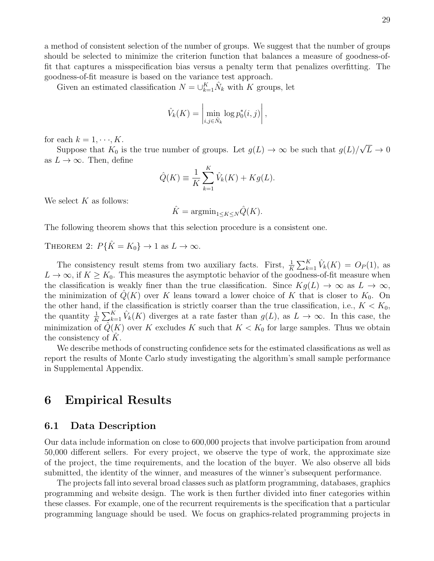a method of consistent selection of the number of groups. We suggest that the number of groups should be selected to minimize the criterion function that balances a measure of goodness-offit that captures a misspecification bias versus a penalty term that penalizes overfitting. The goodness-of-fit measure is based on the variance test approach.

Given an estimated classification  $N = \bigcup_{k=1}^{K} \hat{N}_k$  with K groups, let

$$
\hat{V}_k(K) = \left| \min_{i,j \in \hat{N}_k} \log p_0^*(i,j) \right|,
$$

for each  $k = 1, \dots, K$ .

Suppose that  $K_0$  is the true number of groups. Let  $g(L) \to \infty$  be such that  $g(L)/$ √  $L \rightarrow 0$ as  $L \to \infty$ . Then, define

$$
\hat{Q}(K) \equiv \frac{1}{K} \sum_{k=1}^{K} \hat{V}_k(K) + Kg(L).
$$

We select  $K$  as follows:

$$
\hat{K} = \operatorname{argmin}_{1 \le K \le N} \hat{Q}(K).
$$

The following theorem shows that this selection procedure is a consistent one.

THEOREM 2:  $P\{\hat{K} = K_0\} \to 1$  as  $L \to \infty$ .

The consistency result stems from two auxiliary facts. First,  $\frac{1}{K} \sum_{k=1}^{K} \hat{V}_k(K) = O_P(1)$ , as  $L \to \infty$ , if  $K \geq K_0$ . This measures the asymptotic behavior of the goodness-of-fit measure when the classification is weakly finer than the true classification. Since  $Kg(L) \to \infty$  as  $L \to \infty$ , the minimization of  $Q(K)$  over K leans toward a lower choice of K that is closer to  $K_0$ . On the other hand, if the classification is strictly coarser than the true classification, i.e.,  $K < K_0$ , the quantity  $\frac{1}{K} \sum_{k=1}^{K} \hat{V}_k(K)$  diverges at a rate faster than  $g(L)$ , as  $L \to \infty$ . In this case, the minimization of  $\hat{Q}(K)$  over K excludes K such that  $K < K_0$  for large samples. Thus we obtain the consistency of  $K$ .

We describe methods of constructing confidence sets for the estimated classifications as well as report the results of Monte Carlo study investigating the algorithm's small sample performance in Supplemental Appendix.

## 6 Empirical Results

#### 6.1 Data Description

Our data include information on close to 600,000 projects that involve participation from around 50,000 different sellers. For every project, we observe the type of work, the approximate size of the project, the time requirements, and the location of the buyer. We also observe all bids submitted, the identity of the winner, and measures of the winner's subsequent performance.

The projects fall into several broad classes such as platform programming, databases, graphics programming and website design. The work is then further divided into finer categories within these classes. For example, one of the recurrent requirements is the specification that a particular programming language should be used. We focus on graphics-related programming projects in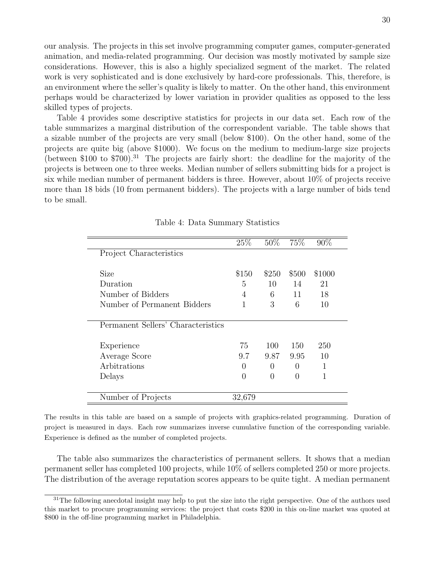our analysis. The projects in this set involve programming computer games, computer-generated animation, and media-related programming. Our decision was mostly motivated by sample size considerations. However, this is also a highly specialized segment of the market. The related work is very sophisticated and is done exclusively by hard-core professionals. This, therefore, is an environment where the seller's quality is likely to matter. On the other hand, this environment perhaps would be characterized by lower variation in provider qualities as opposed to the less skilled types of projects.

Table 4 provides some descriptive statistics for projects in our data set. Each row of the table summarizes a marginal distribution of the correspondent variable. The table shows that a sizable number of the projects are very small (below \$100). On the other hand, some of the projects are quite big (above \$1000). We focus on the medium to medium-large size projects (between \$100 to  $$700$ ).<sup>31</sup> The projects are fairly short: the deadline for the majority of the projects is between one to three weeks. Median number of sellers submitting bids for a project is six while median number of permanent bidders is three. However, about 10% of projects receive more than 18 bids (10 from permanent bidders). The projects with a large number of bids tend to be small.

|                                    | 25\%             | $50\%$   | 75%              | 90%    |
|------------------------------------|------------------|----------|------------------|--------|
| Project Characteristics            |                  |          |                  |        |
|                                    |                  |          |                  |        |
| Size                               | \$150            | \$250    | \$500            | \$1000 |
| Duration                           | 5                | 10       | 14               | 21     |
| Number of Bidders                  | 4                | 6        | 11               | 18     |
| Number of Permanent Bidders        | 1                | 3        | 6                | 10     |
| Permanent Sellers' Characteristics |                  |          |                  |        |
| Experience                         | 75               | 100      | 150              | 250    |
| Average Score                      | 9.7              | 9.87     | 9.95             | 10     |
| Arbitrations                       | $\left( \right)$ | 0        | $\theta$         |        |
| Delays                             | $\Omega$         | $\Omega$ | $\left( \right)$ | 1      |
| Number of Projects                 | 32,679           |          |                  |        |

Table 4: Data Summary Statistics

The results in this table are based on a sample of projects with graphics-related programming. Duration of project is measured in days. Each row summarizes inverse cumulative function of the corresponding variable. Experience is defined as the number of completed projects.

The table also summarizes the characteristics of permanent sellers. It shows that a median permanent seller has completed 100 projects, while 10% of sellers completed 250 or more projects. The distribution of the average reputation scores appears to be quite tight. A median permanent

 $31$ The following anecdotal insight may help to put the size into the right perspective. One of the authors used this market to procure programming services: the project that costs \$200 in this on-line market was quoted at \$800 in the off-line programming market in Philadelphia.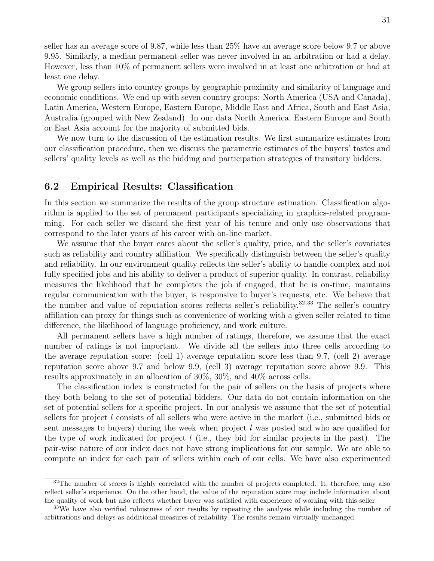seller has an average score of 9.87, while less than 25% have an average score below 9.7 or above 9.95. Similarly, a median permanent seller was never involved in an arbitration or had a delay. However, less than 10% of permanent sellers were involved in at least one arbitration or had at least one delay.

We group sellers into country groups by geographic proximity and similarity of language and economic conditions. We end up with seven country groups: North America (USA and Canada), Latin America, Western Europe, Eastern Europe, Middle East and Africa, South and East Asia, Australia (grouped with New Zealand). In our data North America, Eastern Europe and South or East Asia account for the majority of submitted bids.

We now turn to the discussion of the estimation results. We first summarize estimates from our classification procedure, then we discuss the parametric estimates of the buyers' tastes and sellers' quality levels as well as the bidding and participation strategies of transitory bidders.

#### 6.2 Empirical Results: Classification

In this section we summarize the results of the group structure estimation. Classification algorithm is applied to the set of permanent participants specializing in graphics-related programming. For each seller we discard the first year of his tenure and only use observations that correspond to the later years of his career with on-line market.

We assume that the buyer cares about the seller's quality, price, and the seller's covariates such as reliability and country affiliation. We specifically distinguish between the seller's quality and reliability. In our environment quality reflects the seller's ability to handle complex and not fully specified jobs and his ability to deliver a product of superior quality. In contrast, reliability measures the likelihood that he completes the job if engaged, that he is on-time, maintains regular communication with the buyer, is responsive to buyer's requests, etc. We believe that the number and value of reputation scores reflects seller's reliability.<sup>32,33</sup> The seller's country affiliation can proxy for things such as convenience of working with a given seller related to time difference, the likelihood of language proficiency, and work culture.

All permanent sellers have a high number of ratings, therefore, we assume that the exact number of ratings is not important. We divide all the sellers into three cells according to the average reputation score: (cell 1) average reputation score less than 9.7, (cell 2) average reputation score above 9.7 and below 9.9, (cell 3) average reputation score above 9.9. This results approximately in an allocation of 30%, 30%, and 40% across cells.

The classification index is constructed for the pair of sellers on the basis of projects where they both belong to the set of potential bidders. Our data do not contain information on the set of potential sellers for a specific project. In our analysis we assume that the set of potential sellers for project l consists of all sellers who were active in the market (i.e., submitted bids or sent messages to buyers) during the week when project  $l$  was posted and who are qualified for the type of work indicated for project  $l$  (i.e., they bid for similar projects in the past). The pair-wise nature of our index does not have strong implications for our sample. We are able to compute an index for each pair of sellers within each of our cells. We have also experimented

 $32$ The number of scores is highly correlated with the number of projects completed. It, therefore, may also reflect seller's experience. On the other hand, the value of the reputation score may include information about the quality of work but also reflects whether buyer was satisfied with experience of working with this seller.

<sup>&</sup>lt;sup>33</sup>We have also verified robustness of our results by repeating the analysis while including the number of arbitrations and delays as additional measures of reliability. The results remain virtually unchanged.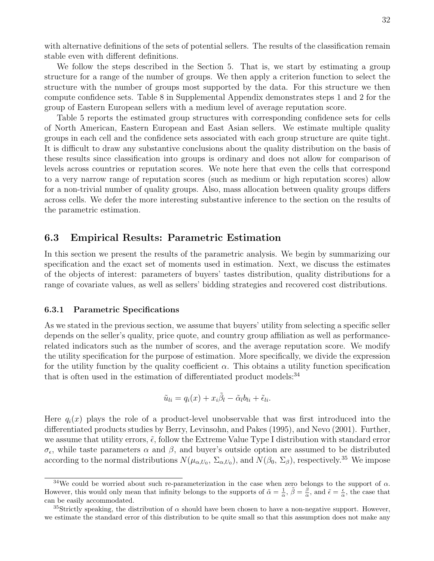with alternative definitions of the sets of potential sellers. The results of the classification remain stable even with different definitions.

We follow the steps described in the Section 5. That is, we start by estimating a group structure for a range of the number of groups. We then apply a criterion function to select the structure with the number of groups most supported by the data. For this structure we then compute confidence sets. Table 8 in Supplemental Appendix demonstrates steps 1 and 2 for the group of Eastern European sellers with a medium level of average reputation score.

Table 5 reports the estimated group structures with corresponding confidence sets for cells of North American, Eastern European and East Asian sellers. We estimate multiple quality groups in each cell and the confidence sets associated with each group structure are quite tight. It is difficult to draw any substantive conclusions about the quality distribution on the basis of these results since classification into groups is ordinary and does not allow for comparison of levels across countries or reputation scores. We note here that even the cells that correspond to a very narrow range of reputation scores (such as medium or high reputation scores) allow for a non-trivial number of quality groups. Also, mass allocation between quality groups differs across cells. We defer the more interesting substantive inference to the section on the results of the parametric estimation.

#### 6.3 Empirical Results: Parametric Estimation

In this section we present the results of the parametric analysis. We begin by summarizing our specification and the exact set of moments used in estimation. Next, we discuss the estimates of the objects of interest: parameters of buyers' tastes distribution, quality distributions for a range of covariate values, as well as sellers' bidding strategies and recovered cost distributions.

#### 6.3.1 Parametric Specifications

As we stated in the previous section, we assume that buyers' utility from selecting a specific seller depends on the seller's quality, price quote, and country group affiliation as well as performancerelated indicators such as the number of scores, and the average reputation score. We modify the utility specification for the purpose of estimation. More specifically, we divide the expression for the utility function by the quality coefficient  $\alpha$ . This obtains a utility function specification that is often used in the estimation of differentiated product models:<sup>34</sup>

$$
\tilde{u}_{li} = q_i(x) + x_i \tilde{\beta}_l - \tilde{\alpha}_l b_{li} + \tilde{\epsilon}_{li}.
$$

Here  $q_i(x)$  plays the role of a product-level unobservable that was first introduced into the differentiated products studies by Berry, Levinsohn, and Pakes (1995), and Nevo (2001). Further, we assume that utility errors,  $\tilde{\epsilon}$ , follow the Extreme Value Type I distribution with standard error  $\sigma_{\epsilon}$ , while taste parameters  $\alpha$  and  $\beta$ , and buyer's outside option are assumed to be distributed according to the normal distributions  $N(\mu_{\alpha,U_0}, \Sigma_{\alpha,U_0})$ , and  $N(\beta_0, \Sigma_{\beta})$ , respectively.<sup>35</sup> We impose

<sup>&</sup>lt;sup>34</sup>We could be worried about such re-parameterization in the case when zero belongs to the support of  $\alpha$ . However, this would only mean that infinity belongs to the supports of  $\tilde{\alpha} = \frac{1}{\alpha}$ ,  $\tilde{\beta} = \frac{\beta}{\alpha}$ , and  $\tilde{\epsilon} = \frac{\epsilon}{\alpha}$ , the case that can be easily accommodated.

<sup>&</sup>lt;sup>35</sup>Strictly speaking, the distribution of  $\alpha$  should have been chosen to have a non-negative support. However, we estimate the standard error of this distribution to be quite small so that this assumption does not make any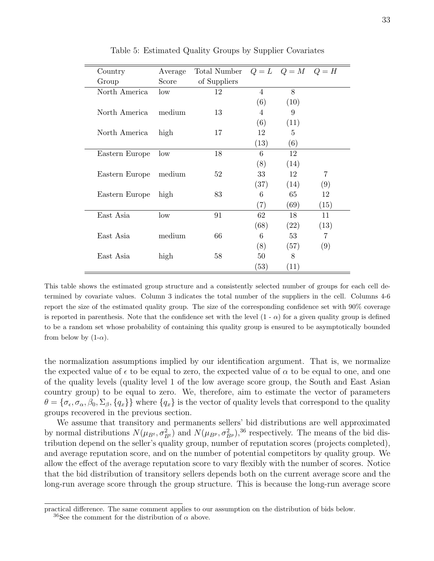| Country        | Average | Total Number |                    | $Q = L$ $Q = M$ $Q = H$ |      |
|----------------|---------|--------------|--------------------|-------------------------|------|
| Group          | Score   | of Suppliers |                    |                         |      |
| North America  | low     | 12           | 4                  | 8                       |      |
|                |         |              | (6)                | (10)                    |      |
| North America  | medium  | 13           | $\overline{4}$     | 9                       |      |
|                |         |              | (6)                | (11)                    |      |
| North America  | high    | 17           | 12                 | 5                       |      |
|                |         |              | (13)               | (6)                     |      |
| Eastern Europe | low     | 18           | 6                  | 12                      |      |
|                |         |              | (8)                | (14)                    |      |
| Eastern Europe | medium  | 52           | 33                 | 12                      | 7    |
|                |         |              | (37)               | (14)                    | (9)  |
| Eastern Europe | high    | 83           | 6                  | 65                      | 12   |
|                |         |              | (7)                | (69)                    | (15) |
| East Asia      | low     | 91           | 62                 | 18                      | 11   |
|                |         |              | (68)               | (22)                    | (13) |
| East Asia      | medium  | 66           | 6                  | 53                      | 7    |
|                |         |              | (8)                | (57)                    | (9)  |
| East Asia      | high    | 58           | 50                 | 8                       |      |
|                |         |              | $\left( 53\right)$ | (11)                    |      |

Table 5: Estimated Quality Groups by Supplier Covariates

This table shows the estimated group structure and a consistently selected number of groups for each cell determined by covariate values. Column 3 indicates the total number of the suppliers in the cell. Columns 4-6 report the size of the estimated quality group. The size of the corresponding confidence set with 90% coverage is reported in parenthesis. Note that the confidence set with the level  $(1 - \alpha)$  for a given quality group is defined to be a random set whose probability of containing this quality group is ensured to be asymptotically bounded from below by  $(1-\alpha)$ .

the normalization assumptions implied by our identification argument. That is, we normalize the expected value of  $\epsilon$  to be equal to zero, the expected value of  $\alpha$  to be equal to one, and one of the quality levels (quality level 1 of the low average score group, the South and East Asian country group) to be equal to zero. We, therefore, aim to estimate the vector of parameters  $\theta = \{\sigma_{\epsilon}, \sigma_{\alpha}, \beta_0, \Sigma_{\beta}, \{q_x\}\}\$  where  $\{q_x\}$  is the vector of quality levels that correspond to the quality groups recovered in the previous section.

We assume that transitory and permanents sellers' bid distributions are well approximated by normal distributions  $N(\mu_{B^t}, \sigma_{B^t}^2)$  and  $N(\mu_{B^p}, \sigma_{B^p}^2)$ ,<sup>36</sup> respectively. The means of the bid distribution depend on the seller's quality group, number of reputation scores (projects completed), and average reputation score, and on the number of potential competitors by quality group. We allow the effect of the average reputation score to vary flexibly with the number of scores. Notice that the bid distribution of transitory sellers depends both on the current average score and the long-run average score through the group structure. This is because the long-run average score

practical difference. The same comment applies to our assumption on the distribution of bids below.

<sup>&</sup>lt;sup>36</sup>See the comment for the distribution of  $\alpha$  above.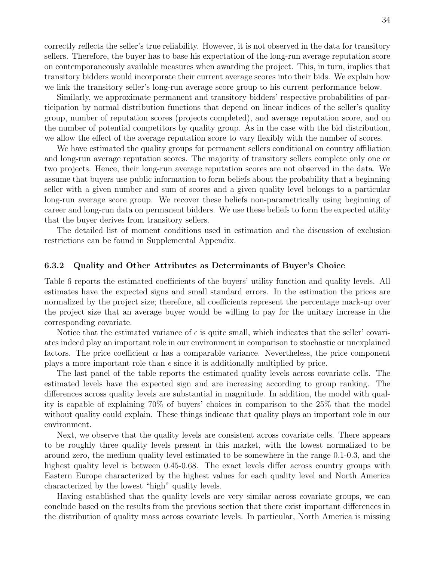correctly reflects the seller's true reliability. However, it is not observed in the data for transitory sellers. Therefore, the buyer has to base his expectation of the long-run average reputation score on contemporaneously available measures when awarding the project. This, in turn, implies that transitory bidders would incorporate their current average scores into their bids. We explain how we link the transitory seller's long-run average score group to his current performance below.

Similarly, we approximate permanent and transitory bidders' respective probabilities of participation by normal distribution functions that depend on linear indices of the seller's quality group, number of reputation scores (projects completed), and average reputation score, and on the number of potential competitors by quality group. As in the case with the bid distribution, we allow the effect of the average reputation score to vary flexibly with the number of scores.

We have estimated the quality groups for permanent sellers conditional on country affiliation and long-run average reputation scores. The majority of transitory sellers complete only one or two projects. Hence, their long-run average reputation scores are not observed in the data. We assume that buyers use public information to form beliefs about the probability that a beginning seller with a given number and sum of scores and a given quality level belongs to a particular long-run average score group. We recover these beliefs non-parametrically using beginning of career and long-run data on permanent bidders. We use these beliefs to form the expected utility that the buyer derives from transitory sellers.

The detailed list of moment conditions used in estimation and the discussion of exclusion restrictions can be found in Supplemental Appendix.

#### 6.3.2 Quality and Other Attributes as Determinants of Buyer's Choice

Table 6 reports the estimated coefficients of the buyers' utility function and quality levels. All estimates have the expected signs and small standard errors. In the estimation the prices are normalized by the project size; therefore, all coefficients represent the percentage mark-up over the project size that an average buyer would be willing to pay for the unitary increase in the corresponding covariate.

Notice that the estimated variance of  $\epsilon$  is quite small, which indicates that the seller' covariates indeed play an important role in our environment in comparison to stochastic or unexplained factors. The price coefficient  $\alpha$  has a comparable variance. Nevertheless, the price component plays a more important role than  $\epsilon$  since it is additionally multiplied by price.

The last panel of the table reports the estimated quality levels across covariate cells. The estimated levels have the expected sign and are increasing according to group ranking. The differences across quality levels are substantial in magnitude. In addition, the model with quality is capable of explaining 70% of buyers' choices in comparison to the 25% that the model without quality could explain. These things indicate that quality plays an important role in our environment.

Next, we observe that the quality levels are consistent across covariate cells. There appears to be roughly three quality levels present in this market, with the lowest normalized to be around zero, the medium quality level estimated to be somewhere in the range 0.1-0.3, and the highest quality level is between 0.45-0.68. The exact levels differ across country groups with Eastern Europe characterized by the highest values for each quality level and North America characterized by the lowest "high" quality levels.

Having established that the quality levels are very similar across covariate groups, we can conclude based on the results from the previous section that there exist important differences in the distribution of quality mass across covariate levels. In particular, North America is missing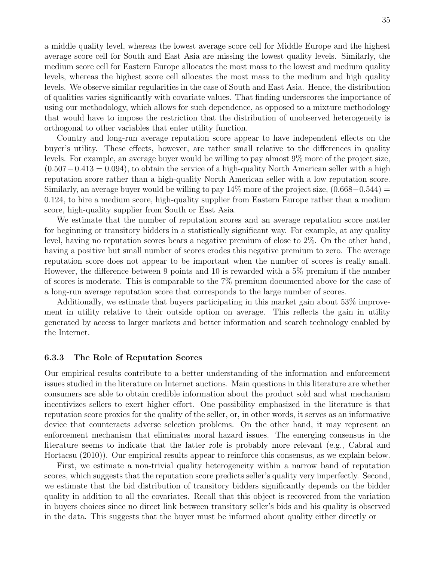a middle quality level, whereas the lowest average score cell for Middle Europe and the highest average score cell for South and East Asia are missing the lowest quality levels. Similarly, the medium score cell for Eastern Europe allocates the most mass to the lowest and medium quality levels, whereas the highest score cell allocates the most mass to the medium and high quality levels. We observe similar regularities in the case of South and East Asia. Hence, the distribution of qualities varies significantly with covariate values. That finding underscores the importance of using our methodology, which allows for such dependence, as opposed to a mixture methodology that would have to impose the restriction that the distribution of unobserved heterogeneity is orthogonal to other variables that enter utility function.

Country and long-run average reputation score appear to have independent effects on the buyer's utility. These effects, however, are rather small relative to the differences in quality levels. For example, an average buyer would be willing to pay almost 9% more of the project size,  $(0.507 - 0.413 = 0.094)$ , to obtain the service of a high-quality North American seller with a high reputation score rather than a high-quality North American seller with a low reputation score. Similarly, an average buyer would be willing to pay  $14\%$  more of the project size,  $(0.668-0.544)$  = 0.124, to hire a medium score, high-quality supplier from Eastern Europe rather than a medium score, high-quality supplier from South or East Asia.

We estimate that the number of reputation scores and an average reputation score matter for beginning or transitory bidders in a statistically significant way. For example, at any quality level, having no reputation scores bears a negative premium of close to 2%. On the other hand, having a positive but small number of scores erodes this negative premium to zero. The average reputation score does not appear to be important when the number of scores is really small. However, the difference between 9 points and 10 is rewarded with a 5% premium if the number of scores is moderate. This is comparable to the 7% premium documented above for the case of a long-run average reputation score that corresponds to the large number of scores.

Additionally, we estimate that buyers participating in this market gain about 53% improvement in utility relative to their outside option on average. This reflects the gain in utility generated by access to larger markets and better information and search technology enabled by the Internet.

#### 6.3.3 The Role of Reputation Scores

Our empirical results contribute to a better understanding of the information and enforcement issues studied in the literature on Internet auctions. Main questions in this literature are whether consumers are able to obtain credible information about the product sold and what mechanism incentivizes sellers to exert higher effort. One possibility emphasized in the literature is that reputation score proxies for the quality of the seller, or, in other words, it serves as an informative device that counteracts adverse selection problems. On the other hand, it may represent an enforcement mechanism that eliminates moral hazard issues. The emerging consensus in the literature seems to indicate that the latter role is probably more relevant (e.g., Cabral and Hortacsu (2010)). Our empirical results appear to reinforce this consensus, as we explain below.

First, we estimate a non-trivial quality heterogeneity within a narrow band of reputation scores, which suggests that the reputation score predicts seller's quality very imperfectly. Second, we estimate that the bid distribution of transitory bidders significantly depends on the bidder quality in addition to all the covariates. Recall that this object is recovered from the variation in buyers choices since no direct link between transitory seller's bids and his quality is observed in the data. This suggests that the buyer must be informed about quality either directly or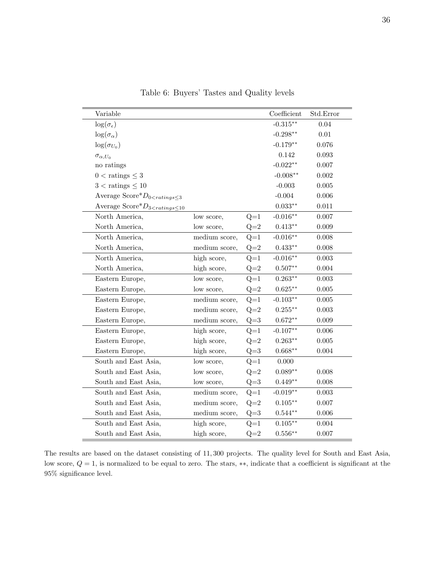| Variable                                 |               |       | Coefficient | Std.Error |
|------------------------------------------|---------------|-------|-------------|-----------|
| $\log(\sigma_{\epsilon})$                |               |       | $-0.315**$  | 0.04      |
| $\log(\sigma_\alpha)$                    |               |       | $-0.298**$  | 0.01      |
| $\log(\sigma_{U_0})$                     |               |       | $-0.179**$  | 0.076     |
| $\sigma_{\alpha,U_0}$                    |               |       | 0.142       | 0.093     |
| no ratings                               |               |       | $-0.022**$  | 0.007     |
| $0 <$ ratings $\leq 3$                   |               |       | $-0.008**$  | 0.002     |
| $3 <$ ratings $\leq 10$                  |               |       | $-0.003$    | 0.005     |
| Average Score* $D_{0 < ratings \leq 3}$  |               |       | $-0.004$    | 0.006     |
| Average Score* $D_{3 < ratings \leq 10}$ |               |       | $0.033**$   | 0.011     |
| North America,                           | low score,    | $Q=1$ | $-0.016**$  | 0.007     |
| North America,                           | low score,    | $Q=2$ | $0.413**$   | 0.009     |
| North America,                           | medium score, | $Q=1$ | $-0.016**$  | 0.008     |
| North America,                           | medium score, | $Q=2$ | $0.433**$   | 0.008     |
| North America,                           | high score,   | $Q=1$ | $-0.016**$  | 0.003     |
| North America,                           | high score,   | $Q=2$ | $0.507**$   | 0.004     |
| Eastern Europe,                          | low score,    | $Q=1$ | $0.263**$   | 0.003     |
| Eastern Europe,                          | low score,    | $Q=2$ | $0.625**$   | 0.005     |
| Eastern Europe,                          | medium score, | $Q=1$ | $-0.103**$  | 0.005     |
| Eastern Europe,                          | medium score, | $Q=2$ | $0.255***$  | 0.003     |
| Eastern Europe,                          | medium score, | $Q=3$ | $0.672**$   | 0.009     |
| Eastern Europe,                          | high score,   | $Q=1$ | $-0.107**$  | 0.006     |
| Eastern Europe,                          | high score,   | $Q=2$ | $0.263**$   | 0.005     |
| Eastern Europe,                          | high score,   | $Q=3$ | $0.668**$   | 0.004     |
| South and East Asia,                     | low score,    | $Q=1$ | 0.000       |           |
| South and East Asia,                     | low score,    | $Q=2$ | $0.089**$   | 0.008     |
| South and East Asia,                     | low score,    | $Q=3$ | $0.449**$   | 0.008     |
| South and East Asia,                     | medium score, | $Q=1$ | $-0.019**$  | 0.003     |
| South and East Asia,                     | medium score, | $Q=2$ | $0.105***$  | 0.007     |
| South and East Asia,                     | medium score, | $Q=3$ | $0.544**$   | 0.006     |
| South and East Asia,                     | high score,   | $Q=1$ | $0.105**$   | 0.004     |
| South and East Asia,                     | high score,   | $Q=2$ | $0.556**$   | 0.007     |

Table 6: Buyers' Tastes and Quality levels

The results are based on the dataset consisting of 11, 300 projects. The quality level for South and East Asia, low score, Q = 1, is normalized to be equal to zero. The stars, ∗∗, indicate that a coefficient is significant at the 95% significance level.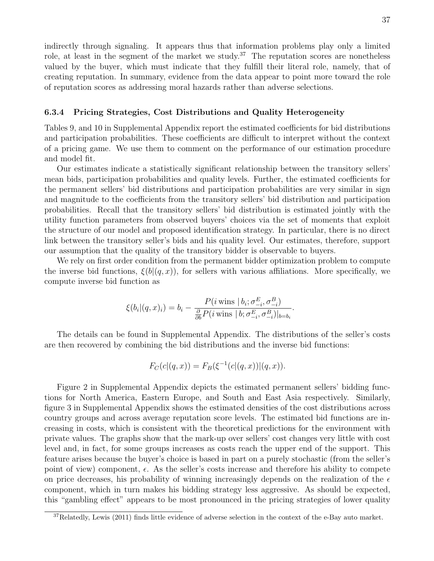indirectly through signaling. It appears thus that information problems play only a limited role, at least in the segment of the market we study.<sup>37</sup> The reputation scores are nonetheless valued by the buyer, which must indicate that they fulfill their literal role, namely, that of creating reputation. In summary, evidence from the data appear to point more toward the role of reputation scores as addressing moral hazards rather than adverse selections.

#### 6.3.4 Pricing Strategies, Cost Distributions and Quality Heterogeneity

Tables 9, and 10 in Supplemental Appendix report the estimated coefficients for bid distributions and participation probabilities. These coefficients are difficult to interpret without the context of a pricing game. We use them to comment on the performance of our estimation procedure and model fit.

Our estimates indicate a statistically significant relationship between the transitory sellers' mean bids, participation probabilities and quality levels. Further, the estimated coefficients for the permanent sellers' bid distributions and participation probabilities are very similar in sign and magnitude to the coefficients from the transitory sellers' bid distribution and participation probabilities. Recall that the transitory sellers' bid distribution is estimated jointly with the utility function parameters from observed buyers' choices via the set of moments that exploit the structure of our model and proposed identification strategy. In particular, there is no direct link between the transitory seller's bids and his quality level. Our estimates, therefore, support our assumption that the quality of the transitory bidder is observable to buyers.

We rely on first order condition from the permanent bidder optimization problem to compute the inverse bid functions,  $\xi(b|(q, x))$ , for sellers with various affiliations. More specifically, we compute inverse bid function as

$$
\xi(b_i|(q, x)_i) = b_i - \frac{P(i \text{ wins} | b_i; \sigma_{-i}^E, \sigma_{-i}^B)}{\frac{\partial}{\partial b} P(i \text{ wins} | b; \sigma_{-i}^E, \sigma_{-i}^B)|_{b=b_i}}.
$$

The details can be found in Supplemental Appendix. The distributions of the seller's costs are then recovered by combining the bid distributions and the inverse bid functions:

$$
F_C(c|(q, x)) = F_B(\xi^{-1}(c|(q, x))|(q, x)).
$$

Figure 2 in Supplemental Appendix depicts the estimated permanent sellers' bidding functions for North America, Eastern Europe, and South and East Asia respectively. Similarly, figure 3 in Supplemental Appendix shows the estimated densities of the cost distributions across country groups and across average reputation score levels. The estimated bid functions are increasing in costs, which is consistent with the theoretical predictions for the environment with private values. The graphs show that the mark-up over sellers' cost changes very little with cost level and, in fact, for some groups increases as costs reach the upper end of the support. This feature arises because the buyer's choice is based in part on a purely stochastic (from the seller's point of view) component,  $\epsilon$ . As the seller's costs increase and therefore his ability to compete on price decreases, his probability of winning increasingly depends on the realization of the  $\epsilon$ component, which in turn makes his bidding strategy less aggressive. As should be expected, this "gambling effect" appears to be most pronounced in the pricing strategies of lower quality

<sup>37</sup>Relatedly, Lewis (2011) finds little evidence of adverse selection in the context of the e-Bay auto market.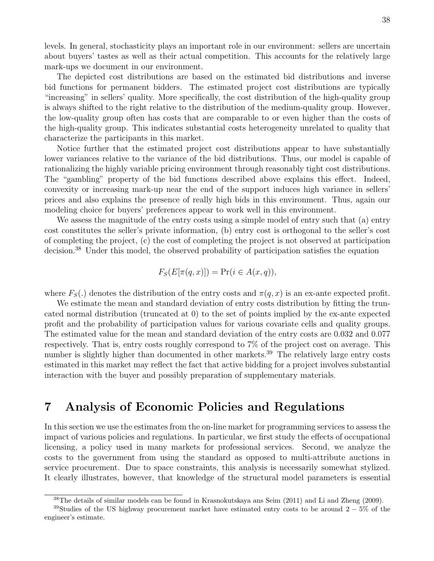levels. In general, stochasticity plays an important role in our environment: sellers are uncertain about buyers' tastes as well as their actual competition. This accounts for the relatively large mark-ups we document in our environment.

The depicted cost distributions are based on the estimated bid distributions and inverse bid functions for permanent bidders. The estimated project cost distributions are typically "increasing" in sellers' quality. More specifically, the cost distribution of the high-quality group is always shifted to the right relative to the distribution of the medium-quality group. However, the low-quality group often has costs that are comparable to or even higher than the costs of the high-quality group. This indicates substantial costs heterogeneity unrelated to quality that characterize the participants in this market.

Notice further that the estimated project cost distributions appear to have substantially lower variances relative to the variance of the bid distributions. Thus, our model is capable of rationalizing the highly variable pricing environment through reasonably tight cost distributions. The "gambling" property of the bid functions described above explains this effect. Indeed, convexity or increasing mark-up near the end of the support induces high variance in sellers' prices and also explains the presence of really high bids in this environment. Thus, again our modeling choice for buyers' preferences appear to work well in this environment.

We assess the magnitude of the entry costs using a simple model of entry such that (a) entry cost constitutes the seller's private information, (b) entry cost is orthogonal to the seller's cost of completing the project, (c) the cost of completing the project is not observed at participation decision.<sup>38</sup> Under this model, the observed probability of participation satisfies the equation

$$
F_S(E[\pi(q, x)]) = \Pr(i \in A(x, q)),
$$

where  $F_S(.)$  denotes the distribution of the entry costs and  $\pi(q, x)$  is an ex-ante expected profit.

We estimate the mean and standard deviation of entry costs distribution by fitting the truncated normal distribution (truncated at 0) to the set of points implied by the ex-ante expected profit and the probability of participation values for various covariate cells and quality groups. The estimated value for the mean and standard deviation of the entry costs are 0.032 and 0.077 respectively. That is, entry costs roughly correspond to 7% of the project cost on average. This number is slightly higher than documented in other markets.<sup>39</sup> The relatively large entry costs estimated in this market may reflect the fact that active bidding for a project involves substantial interaction with the buyer and possibly preparation of supplementary materials.

## 7 Analysis of Economic Policies and Regulations

In this section we use the estimates from the on-line market for programming services to assess the impact of various policies and regulations. In particular, we first study the effects of occupational licensing, a policy used in many markets for professional services. Second, we analyze the costs to the government from using the standard as opposed to multi-attribute auctions in service procurement. Due to space constraints, this analysis is necessarily somewhat stylized. It clearly illustrates, however, that knowledge of the structural model parameters is essential

<sup>38</sup>The details of similar models can be found in Krasnokutskaya ans Seim (2011) and Li and Zheng (2009).

<sup>&</sup>lt;sup>39</sup>Studies of the US highway procurement market have estimated entry costs to be around 2 − 5% of the engineer's estimate.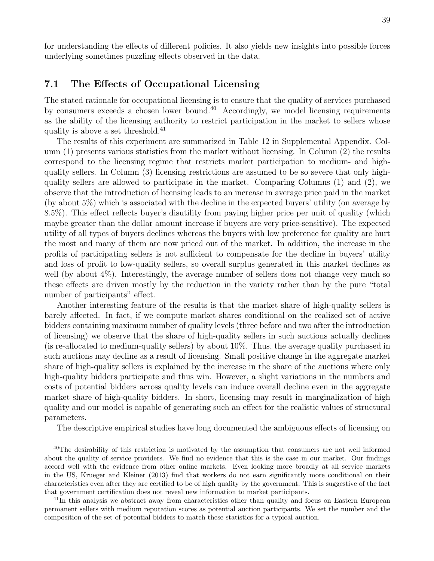for understanding the effects of different policies. It also yields new insights into possible forces underlying sometimes puzzling effects observed in the data.

#### 7.1 The Effects of Occupational Licensing

The stated rationale for occupational licensing is to ensure that the quality of services purchased by consumers exceeds a chosen lower bound.<sup>40</sup> Accordingly, we model licensing requirements as the ability of the licensing authority to restrict participation in the market to sellers whose quality is above a set threshold.<sup>41</sup>

The results of this experiment are summarized in Table 12 in Supplemental Appendix. Column (1) presents various statistics from the market without licensing. In Column (2) the results correspond to the licensing regime that restricts market participation to medium- and highquality sellers. In Column (3) licensing restrictions are assumed to be so severe that only highquality sellers are allowed to participate in the market. Comparing Columns (1) and (2), we observe that the introduction of licensing leads to an increase in average price paid in the market (by about 5%) which is associated with the decline in the expected buyers' utility (on average by 8.5%). This effect reflects buyer's disutility from paying higher price per unit of quality (which maybe greater than the dollar amount increase if buyers are very price-sensitive). The expected utility of all types of buyers declines whereas the buyers with low preference for quality are hurt the most and many of them are now priced out of the market. In addition, the increase in the profits of participating sellers is not sufficient to compensate for the decline in buyers' utility and loss of profit to low-quality sellers, so overall surplus generated in this market declines as well (by about  $4\%$ ). Interestingly, the average number of sellers does not change very much so these effects are driven mostly by the reduction in the variety rather than by the pure "total number of participants" effect.

Another interesting feature of the results is that the market share of high-quality sellers is barely affected. In fact, if we compute market shares conditional on the realized set of active bidders containing maximum number of quality levels (three before and two after the introduction of licensing) we observe that the share of high-quality sellers in such auctions actually declines (is re-allocated to medium-quality sellers) by about 10%. Thus, the average quality purchased in such auctions may decline as a result of licensing. Small positive change in the aggregate market share of high-quality sellers is explained by the increase in the share of the auctions where only high-quality bidders participate and thus win. However, a slight variations in the numbers and costs of potential bidders across quality levels can induce overall decline even in the aggregate market share of high-quality bidders. In short, licensing may result in marginalization of high quality and our model is capable of generating such an effect for the realistic values of structural parameters.

The descriptive empirical studies have long documented the ambiguous effects of licensing on

<sup>&</sup>lt;sup>40</sup>The desirability of this restriction is motivated by the assumption that consumers are not well informed about the quality of service providers. We find no evidence that this is the case in our market. Our findings accord well with the evidence from other online markets. Even looking more broadly at all service markets in the US, Krueger and Kleiner (2013) find that workers do not earn significantly more conditional on their characteristics even after they are certified to be of high quality by the government. This is suggestive of the fact that government certification does not reveal new information to market participants.

<sup>&</sup>lt;sup>41</sup>In this analysis we abstract away from characteristics other than quality and focus on Eastern European permanent sellers with medium reputation scores as potential auction participants. We set the number and the composition of the set of potential bidders to match these statistics for a typical auction.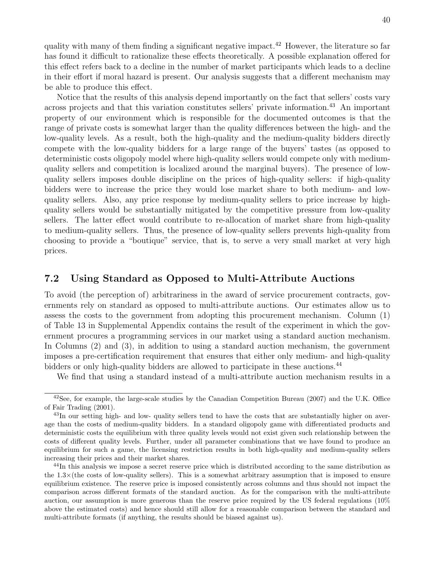quality with many of them finding a significant negative impact.<sup>42</sup> However, the literature so far has found it difficult to rationalize these effects theoretically. A possible explanation offered for this effect refers back to a decline in the number of market participants which leads to a decline in their effort if moral hazard is present. Our analysis suggests that a different mechanism may be able to produce this effect.

Notice that the results of this analysis depend importantly on the fact that sellers' costs vary across projects and that this variation constitutes sellers' private information.<sup>43</sup> An important property of our environment which is responsible for the documented outcomes is that the range of private costs is somewhat larger than the quality differences between the high- and the low-quality levels. As a result, both the high-quality and the medium-quality bidders directly compete with the low-quality bidders for a large range of the buyers' tastes (as opposed to deterministic costs oligopoly model where high-quality sellers would compete only with mediumquality sellers and competition is localized around the marginal buyers). The presence of lowquality sellers imposes double discipline on the prices of high-quality sellers: if high-quality bidders were to increase the price they would lose market share to both medium- and lowquality sellers. Also, any price response by medium-quality sellers to price increase by highquality sellers would be substantially mitigated by the competitive pressure from low-quality sellers. The latter effect would contribute to re-allocation of market share from high-quality to medium-quality sellers. Thus, the presence of low-quality sellers prevents high-quality from choosing to provide a "boutique" service, that is, to serve a very small market at very high prices.

#### 7.2 Using Standard as Opposed to Multi-Attribute Auctions

To avoid (the perception of) arbitrariness in the award of service procurement contracts, governments rely on standard as opposed to multi-attribute auctions. Our estimates allow us to assess the costs to the government from adopting this procurement mechanism. Column (1) of Table 13 in Supplemental Appendix contains the result of the experiment in which the government procures a programming services in our market using a standard auction mechanism. In Columns (2) and (3), in addition to using a standard auction mechanism, the government imposes a pre-certification requirement that ensures that either only medium- and high-quality bidders or only high-quality bidders are allowed to participate in these auctions.<sup>44</sup>

We find that using a standard instead of a multi-attribute auction mechanism results in a

 $^{42}$ See, for example, the large-scale studies by the Canadian Competition Bureau (2007) and the U.K. Office of Fair Trading (2001).

<sup>&</sup>lt;sup>43</sup>In our setting high- and low- quality sellers tend to have the costs that are substantially higher on average than the costs of medium-quality bidders. In a standard oligopoly game with differentiated products and deterministic costs the equilibrium with three quality levels would not exist given such relationship between the costs of different quality levels. Further, under all parameter combinations that we have found to produce an equilibrium for such a game, the licensing restriction results in both high-quality and medium-quality sellers increasing their prices and their market shares.

<sup>&</sup>lt;sup>44</sup>In this analysis we impose a secret reserve price which is distributed according to the same distribution as the 1.3×(the costs of low-quality sellers). This is a somewhat arbitrary assumption that is imposed to ensure equilibrium existence. The reserve price is imposed consistently across columns and thus should not impact the comparison across different formats of the standard auction. As for the comparison with the multi-attribute auction, our assumption is more generous than the reserve price required by the US federal regulations (10% above the estimated costs) and hence should still allow for a reasonable comparison between the standard and multi-attribute formats (if anything, the results should be biased against us).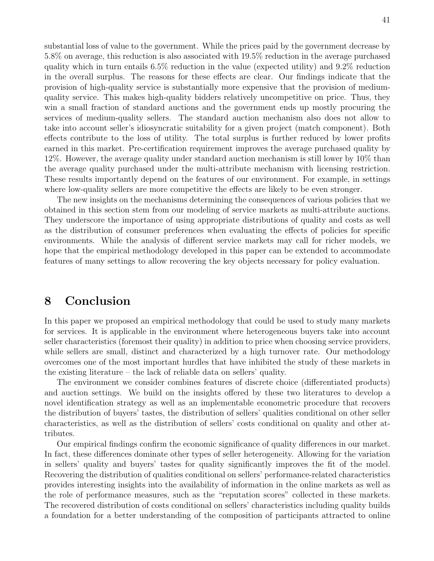substantial loss of value to the government. While the prices paid by the government decrease by 5.8% on average, this reduction is also associated with 19.5% reduction in the average purchased quality which in turn entails 6.5% reduction in the value (expected utility) and 9.2% reduction in the overall surplus. The reasons for these effects are clear. Our findings indicate that the provision of high-quality service is substantially more expensive that the provision of mediumquality service. This makes high-quality bidders relatively uncompetitive on price. Thus, they win a small fraction of standard auctions and the government ends up mostly procuring the services of medium-quality sellers. The standard auction mechanism also does not allow to take into account seller's idiosyncratic suitability for a given project (match component). Both effects contribute to the loss of utility. The total surplus is further reduced by lower profits earned in this market. Pre-certification requirement improves the average purchased quality by 12%. However, the average quality under standard auction mechanism is still lower by 10% than the average quality purchased under the multi-attribute mechanism with licensing restriction. These results importantly depend on the features of our environment. For example, in settings where low-quality sellers are more competitive the effects are likely to be even stronger.

The new insights on the mechanisms determining the consequences of various policies that we obtained in this section stem from our modeling of service markets as multi-attribute auctions. They underscore the importance of using appropriate distributions of quality and costs as well as the distribution of consumer preferences when evaluating the effects of policies for specific environments. While the analysis of different service markets may call for richer models, we hope that the empirical methodology developed in this paper can be extended to accommodate features of many settings to allow recovering the key objects necessary for policy evaluation.

# 8 Conclusion

In this paper we proposed an empirical methodology that could be used to study many markets for services. It is applicable in the environment where heterogeneous buyers take into account seller characteristics (foremost their quality) in addition to price when choosing service providers, while sellers are small, distinct and characterized by a high turnover rate. Our methodology overcomes one of the most important hurdles that have inhibited the study of these markets in the existing literature – the lack of reliable data on sellers' quality.

The environment we consider combines features of discrete choice (differentiated products) and auction settings. We build on the insights offered by these two literatures to develop a novel identification strategy as well as an implementable econometric procedure that recovers the distribution of buyers' tastes, the distribution of sellers' qualities conditional on other seller characteristics, as well as the distribution of sellers' costs conditional on quality and other attributes.

Our empirical findings confirm the economic significance of quality differences in our market. In fact, these differences dominate other types of seller heterogeneity. Allowing for the variation in sellers' quality and buyers' tastes for quality significantly improves the fit of the model. Recovering the distribution of qualities conditional on sellers' performance-related characteristics provides interesting insights into the availability of information in the online markets as well as the role of performance measures, such as the "reputation scores" collected in these markets. The recovered distribution of costs conditional on sellers' characteristics including quality builds a foundation for a better understanding of the composition of participants attracted to online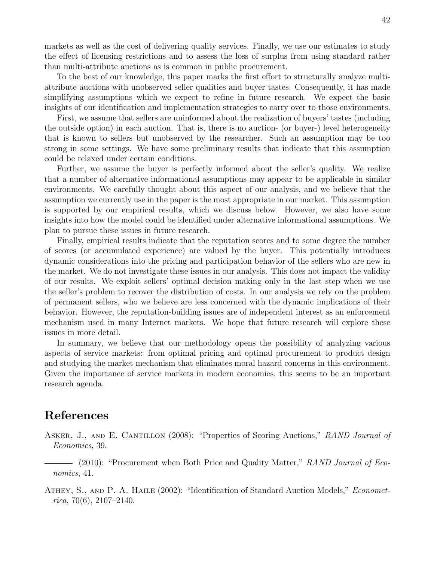markets as well as the cost of delivering quality services. Finally, we use our estimates to study the effect of licensing restrictions and to assess the loss of surplus from using standard rather than multi-attribute auctions as is common in public procurement.

To the best of our knowledge, this paper marks the first effort to structurally analyze multiattribute auctions with unobserved seller qualities and buyer tastes. Consequently, it has made simplifying assumptions which we expect to refine in future research. We expect the basic insights of our identification and implementation strategies to carry over to those environments.

First, we assume that sellers are uninformed about the realization of buyers' tastes (including the outside option) in each auction. That is, there is no auction- (or buyer-) level heterogeneity that is known to sellers but unobserved by the researcher. Such an assumption may be too strong in some settings. We have some preliminary results that indicate that this assumption could be relaxed under certain conditions.

Further, we assume the buyer is perfectly informed about the seller's quality. We realize that a number of alternative informational assumptions may appear to be applicable in similar environments. We carefully thought about this aspect of our analysis, and we believe that the assumption we currently use in the paper is the most appropriate in our market. This assumption is supported by our empirical results, which we discuss below. However, we also have some insights into how the model could be identified under alternative informational assumptions. We plan to pursue these issues in future research.

Finally, empirical results indicate that the reputation scores and to some degree the number of scores (or accumulated experience) are valued by the buyer. This potentially introduces dynamic considerations into the pricing and participation behavior of the sellers who are new in the market. We do not investigate these issues in our analysis. This does not impact the validity of our results. We exploit sellers' optimal decision making only in the last step when we use the seller's problem to recover the distribution of costs. In our analysis we rely on the problem of permanent sellers, who we believe are less concerned with the dynamic implications of their behavior. However, the reputation-building issues are of independent interest as an enforcement mechanism used in many Internet markets. We hope that future research will explore these issues in more detail.

In summary, we believe that our methodology opens the possibility of analyzing various aspects of service markets: from optimal pricing and optimal procurement to product design and studying the market mechanism that eliminates moral hazard concerns in this environment. Given the importance of service markets in modern economies, this seems to be an important research agenda.

### References

ASKER, J., AND E. CANTILLON (2008): "Properties of Scoring Auctions," RAND Journal of Economics, 39.

- (2010): "Procurement when Both Price and Quality Matter," RAND Journal of Economics, 41.

ATHEY, S., AND P. A. HAILE (2002): "Identification of Standard Auction Models," Economet $rica, 70(6), 2107-2140.$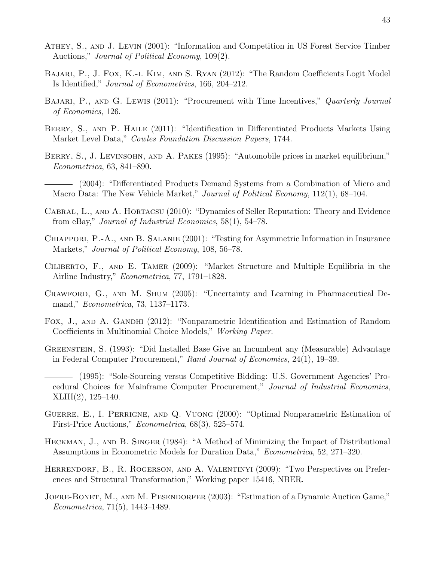- Athey, S., and J. Levin (2001): "Information and Competition in US Forest Service Timber Auctions," Journal of Political Economy, 109(2).
- BAJARI, P., J. FOX, K.-I. KIM, AND S. RYAN (2012): "The Random Coefficients Logit Model Is Identified," Journal of Econometrics, 166, 204–212.
- BAJARI, P., AND G. LEWIS (2011): "Procurement with Time Incentives," Quarterly Journal of Economics, 126.
- BERRY, S., AND P. HAILE (2011): "Identification in Differentiated Products Markets Using Market Level Data," Cowles Foundation Discussion Papers, 1744.
- BERRY, S., J. LEVINSOHN, AND A. PAKES (1995): "Automobile prices in market equilibrium," Econometrica, 63, 841–890.
	- (2004): "Differentiated Products Demand Systems from a Combination of Micro and Macro Data: The New Vehicle Market," Journal of Political Economy, 112(1), 68–104.
- Cabral, L., and A. Hortacsu (2010): "Dynamics of Seller Reputation: Theory and Evidence from eBay," Journal of Industrial Economics, 58(1), 54–78.
- Chiappori, P.-A., and B. Salanie (2001): "Testing for Asymmetric Information in Insurance Markets," Journal of Political Economy, 108, 56–78.
- Ciliberto, F., and E. Tamer (2009): "Market Structure and Multiple Equilibria in the Airline Industry," Econometrica, 77, 1791–1828.
- Crawford, G., and M. Shum (2005): "Uncertainty and Learning in Pharmaceutical Demand," Econometrica, 73, 1137–1173.
- FOX, J., AND A. GANDHI (2012): "Nonparametric Identification and Estimation of Random Coefficients in Multinomial Choice Models," Working Paper.
- Greenstein, S. (1993): "Did Installed Base Give an Incumbent any (Measurable) Advantage in Federal Computer Procurement," Rand Journal of Economics, 24(1), 19–39.
- (1995): "Sole-Sourcing versus Competitive Bidding: U.S. Government Agencies' Procedural Choices for Mainframe Computer Procurement," Journal of Industrial Economics,  $XLIII(2), 125-140.$
- Guerre, E., I. Perrigne, and Q. Vuong (2000): "Optimal Nonparametric Estimation of First-Price Auctions," Econometrica, 68(3), 525–574.
- Heckman, J., and B. Singer (1984): "A Method of Minimizing the Impact of Distributional Assumptions in Econometric Models for Duration Data," Econometrica, 52, 271–320.
- HERRENDORF, B., R. ROGERSON, AND A. VALENTINYI (2009): "Two Perspectives on Preferences and Structural Transformation," Working paper 15416, NBER.
- JOFRE-BONET, M., AND M. PESENDORFER (2003): "Estimation of a Dynamic Auction Game," Econometrica, 71(5), 1443–1489.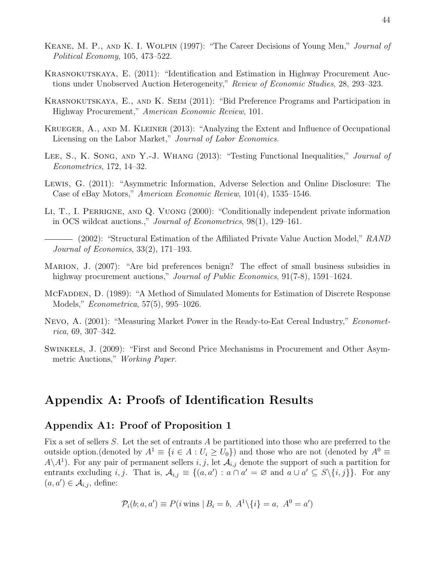- Keane, M. P., and K. I. Wolpin (1997): "The Career Decisions of Young Men," Journal of Political Economy, 105, 473–522.
- KRASNOKUTSKAYA, E. (2011): "Identification and Estimation in Highway Procurement Auctions under Unobserved Auction Heterogeneity," Review of Economic Studies, 28, 293–323.
- Krasnokutskaya, E., and K. Seim (2011): "Bid Preference Programs and Participation in Highway Procurement," American Economic Review, 101.
- Krueger, A., and M. Kleiner (2013): "Analyzing the Extent and Influence of Occupational Licensing on the Labor Market," Journal of Labor Economics.
- LEE, S., K. SONG, AND Y.-J. WHANG (2013): "Testing Functional Inequalities," Journal of Econometrics, 172, 14–32.
- Lewis, G. (2011): "Asymmetric Information, Adverse Selection and Online Disclosure: The Case of eBay Motors," American Economic Review, 101(4), 1535–1546.
- Li, T., I. Perrigne, and Q. Vuong (2000): "Conditionally independent private information in OCS wildcat auctions.," Journal of Econometrics, 98(1), 129–161.
	- $-$  (2002): "Structural Estimation of the Affiliated Private Value Auction Model," RAND Journal of Economics, 33(2), 171–193.
- Marion, J. (2007): "Are bid preferences benign? The effect of small business subsidies in highway procurement auctions," *Journal of Public Economics*, 91(7-8), 1591–1624.
- MCFADDEN, D. (1989): "A Method of Simulated Moments for Estimation of Discrete Response Models," Econometrica, 57(5), 995–1026.
- Nevo, A. (2001): "Measuring Market Power in the Ready-to-Eat Cereal Industry," Econometrica, 69, 307–342.
- Swinkels, J. (2009): "First and Second Price Mechanisms in Procurement and Other Asymmetric Auctions," Working Paper.

# Appendix A: Proofs of Identification Results

### Appendix A1: Proof of Proposition 1

Fix a set of sellers S. Let the set of entrants A be partitioned into those who are preferred to the outside option.(denoted by  $A^1 \equiv \{i \in A : U_i \geq U_0\}$ ) and those who are not (denoted by  $A^0 \equiv$  $A \setminus A^1$ ). For any pair of permanent sellers i, j, let  $A_{i,j}$  denote the support of such a partition for entrants excluding i, j. That is,  $\mathcal{A}_{i,j} \equiv \{(a,a') : a \cap a' = \emptyset \text{ and } a \cup a' \subseteq S \setminus \{i,j\}\}\.$  For any  $(a, a') \in \mathcal{A}_{i,j}$ , define:

$$
\mathcal{P}_i(b; a, a') \equiv P(i \text{ wins} \mid B_i = b, A^1 \setminus \{i\} = a, A^0 = a')
$$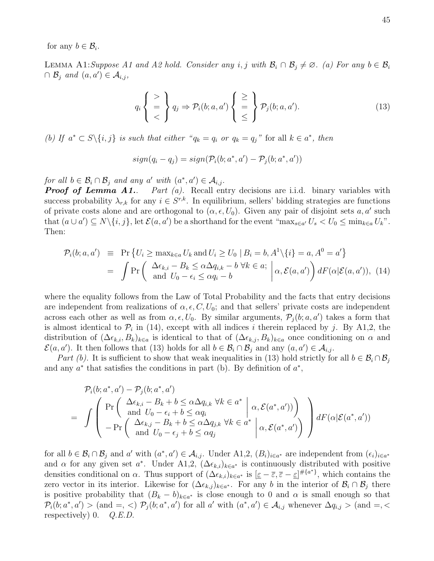for any  $b \in \mathcal{B}_i$ .

LEMMA A1:Suppose A1 and A2 hold. Consider any i, j with  $\mathcal{B}_i \cap \mathcal{B}_j \neq \emptyset$ . (a) For any  $b \in \mathcal{B}_i$  $\cap$   $\mathcal{B}_j$  and  $(a, a') \in \mathcal{A}_{i,j}$ ,

$$
q_i \begin{cases} \ge \\ = \\ < \end{cases} q_j \Rightarrow \mathcal{P}_i(b; a, a') \begin{cases} \ge \\ = \\ \le \end{cases} \mathcal{P}_j(b; a, a'). \tag{13}
$$

(b) If  $a^* \subset S \setminus \{i, j\}$  is such that either " $q_k = q_i$  or  $q_k = q_j$ " for all  $k \in a^*$ , then

$$
sign(q_i - q_j) = sign(\mathcal{P}_i(b; a^*, a') - \mathcal{P}_j(b; a^*, a'))
$$

for all  $b \in \mathcal{B}_i \cap \mathcal{B}_j$  and any a' with  $(a^*, a') \in \mathcal{A}_{i,j}$ .

**Proof of Lemma A1.** Part  $(a)$ . Recall entry decisions are i.i.d. binary variables with success probability  $\lambda_{r,k}$  for any  $i \in S^{r,k}$ . In equilibrium, sellers' bidding strategies are functions of private costs alone and are orthogonal to  $(\alpha, \epsilon, U_0)$ . Given any pair of disjoint sets  $a, a'$  such that  $(a\cup a')\subseteq N\setminus\{i,j\}$ , let  $\mathcal{E}(a,a')$  be a shorthand for the event " $\max_{s\in a'}U_s < U_0 \leq \min_{k\in a}U_k$ ". Then:

$$
\mathcal{P}_i(b; a, a') \equiv \Pr \{ U_i \ge \max_{k \in a} U_k \text{ and } U_i \ge U_0 \mid B_i = b, A^1 \setminus \{i\} = a, A^0 = a' \}
$$
  

$$
= \int \Pr \left( \begin{array}{c} \Delta \epsilon_{k,i} - B_k \le \alpha \Delta q_{i,k} - b \ \forall k \in a; \\ \text{and} \ U_0 - \epsilon_i \le \alpha q_i - b \end{array} \middle| \alpha, \mathcal{E}(a, a') \right) dF(\alpha | \mathcal{E}(a, a')), \quad (14)
$$

where the equality follows from the Law of Total Probability and the facts that entry decisions are independent from realizations of  $\alpha, \epsilon, C, U_0$ ; and that sellers' private costs are independent across each other as well as from  $\alpha, \epsilon, U_0$ . By similar arguments,  $\mathcal{P}_j(b; a, a')$  takes a form that is almost identical to  $\mathcal{P}_i$  in (14), except with all indices i therein replaced by j. By A1,2, the distribution of  $(\Delta \epsilon_{k,i}, B_k)_{k\in a}$  is identical to that of  $(\Delta \epsilon_{k,j}, B_k)_{k\in a}$  once conditioning on  $\alpha$  and  $\mathcal{E}(a, a')$ . It then follows that (13) holds for all  $b \in \mathcal{B}_i \cap \mathcal{B}_j$  and any  $(a, a') \in \mathcal{A}_{i,j}$ .

Part (b). It is sufficient to show that weak inequalities in (13) hold strictly for all  $b \in \mathcal{B}_i \cap \mathcal{B}_j$ and any  $a^*$  that satisfies the conditions in part (b). By definition of  $a^*$ ,

$$
\mathcal{P}_{i}(b; a^{*}, a') - \mathcal{P}_{j}(b; a^{*}, a')
$$
\n
$$
= \int \left( \begin{array}{c} \Pr \left( \begin{array}{c} \Delta \epsilon_{k,i} - B_{k} + b \leq \alpha \Delta q_{i,k} \ \forall k \in a^{*} \\ \text{and } U_{0} - \epsilon_{i} + b \leq \alpha q_{i} \\ - \Pr \left( \begin{array}{c} \Delta \epsilon_{k,j} - B_{k} + b \leq \alpha \Delta q_{j,k} \ \forall k \in a^{*} \\ \text{and } U_{0} - \epsilon_{j} + b \leq \alpha q_{j} \end{array} \right| \alpha, \mathcal{E}(a^{*}, a') \end{array} \right) dF(\alpha | \mathcal{E}(a^{*}, a'))
$$

for all  $b \in \mathcal{B}_i \cap \mathcal{B}_j$  and a' with  $(a^*, a') \in \mathcal{A}_{i,j}$ . Under A1,2,  $(B_i)_{i \in a^*}$  are independent from  $(\epsilon_i)_{i \in a^*}$ and  $\alpha$  for any given set  $a^*$ . Under A1,2,  $(\Delta \epsilon_{k,i})_{k \in a^*}$  is continuously distributed with positive densities conditional on  $\alpha$ . Thus support of  $(\Delta \epsilon_{k,i})_{k \in a^*}$  is  $[\underline{\varepsilon} - \overline{\varepsilon}, \overline{\varepsilon} - \underline{\varepsilon}]^{i \# \{a^*\}}$ , which contains the zero vector in its interior. Likewise for  $(\Delta \epsilon_{k,j})_{k\in a^*}$ . For any b in the interior of  $\mathcal{B}_i \cap \mathcal{B}_j$  there is positive probability that  $(B_k - b)_{k \in a^*}$  is close enough to 0 and  $\alpha$  is small enough so that  $\mathcal{P}_i(b; a^*, a') > \text{(and } =, < \text{)} \mathcal{P}_j(b; a^*, a') \text{ for all } a' \text{ with } (a^*, a') \in \mathcal{A}_{i,j} \text{ whenever } \Delta q_{i,j} > \text{(and } =, < \text{)}$ respectively) 0.  $Q.E.D.$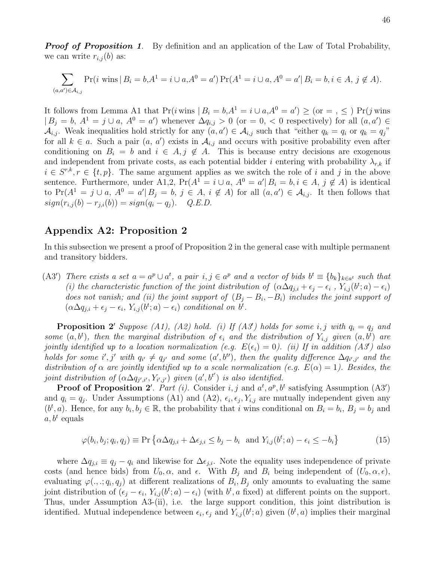**Proof of Proposition 1.** By definition and an application of the Law of Total Probability, we can write  $r_{i,j}(b)$  as:

$$
\sum_{(a,a') \in \mathcal{A}_{i,j}} \Pr(i \text{ wins} \mid B_i = b, A^1 = i \cup a, A^0 = a') \Pr(A^1 = i \cup a, A^0 = a' \mid B_i = b, i \in A, j \notin A).
$$

It follows from Lemma A1 that  $Pr(i \text{ wins} \mid B_i = b, A^1 = i \cup a, A^0 = a') \geq (or = , \leq ) Pr(j \text{ wins}$  $|B_j = b, A^1 = j \cup a, A^0 = a'$  whenever  $\Delta q_{i,j} > 0$  (or  $= 0, < 0$  respectively) for all  $(a, a') \in$  $\mathcal{A}_{i,j}$ . Weak inequalities hold strictly for any  $(a, a') \in \mathcal{A}_{i,j}$  such that "either  $q_k = q_i$  or  $q_k = q_j$ " for all  $k \in a$ . Such a pair  $(a, a')$  exists in  $\mathcal{A}_{i,j}$  and occurs with positive probability even after conditioning on  $B_i = b$  and  $i \in A, j \notin A$ . This is because entry decisions are exogenous and independent from private costs, as each potential bidder i entering with probability  $\lambda_{r,k}$  if  $i \in S^{r,k}, r \in \{t, p\}.$  The same argument applies as we switch the role of i and j in the above sentence. Furthermore, under A1,2,  $Pr(A^1 = i \cup a, A^0 = a' | B_i = b, i \in A, j \notin A)$  is identical to  $Pr(A^1 = j \cup a, A^0 = a' | B_j = b, j \in A, i \notin A)$  for all  $(a, a') \in A_{i,j}$ . It then follows that  $sign(r_{i,j}(b) - r_{j,i}(b)) = sign(q_i - q_j).$  Q.E.D.

#### Appendix A2: Proposition 2

In this subsection we present a proof of Proposition 2 in the general case with multiple permanent and transitory bidders.

(A3') There exists a set  $a = a^p \cup a^t$ , a pair  $i, j \in a^p$  and a vector of bids  $b^t \equiv \{b_k\}_{k \in a^t}$  such that (i) the characteristic function of the joint distribution of  $(\alpha \Delta q_{j,i} + \epsilon_j - \epsilon_i, Y_{i,j} (b^t; a) - \epsilon_i)$ does not vanish; and (ii) the joint support of  $(B_j - B_i, -B_i)$  includes the joint support of  $(\alpha \Delta q_{j,i} + \epsilon_j - \epsilon_i, Y_{i,j} (b^t; a) - \epsilon_i)$  conditional on  $b^t$ .

**Proposition 2'** Suppose (A1), (A2) hold. (i) If (A3') holds for some i, j with  $q_i = q_j$  and some  $(a, b^t)$ , then the marginal distribution of  $\epsilon_i$  and the distribution of  $Y_{i,j}$  given  $(a, b^t)$  are jointly identified up to a location normalization (e.g.  $E(\epsilon_i) = 0$ ). (ii) If in addition (A3) also holds for some i', j' with  $q_{i'} \neq q_{j'}$  and some  $(a',b'')$ , then the quality difference  $\Delta q_{i',j'}$  and the distribution of  $\alpha$  are jointly identified up to a scale normalization (e.g.  $E(\alpha) = 1$ ). Besides, the joint distribution of  $(\alpha \Delta q_{j',i'}, Y_{i',j'})$  given  $(a',b^{t'})$  is also identified.

**Proof of Proposition 2'**. Part (i). Consider i, j and  $a^t, a^p, b^t$  satisfying Assumption (A3') and  $q_i = q_j$ . Under Assumptions (A1) and (A2),  $\epsilon_i$ ,  $\epsilon_j$ ,  $Y_{i,j}$  are mutually independent given any  $(b^t, a)$ . Hence, for any  $b_i, b_j \in \mathbb{R}$ , the probability that i wins conditional on  $B_i = b_i$ ,  $B_j = b_j$  and  $a, b^t$  equals

$$
\varphi(b_i, b_j; q_i, q_j) \equiv \Pr\left\{\alpha \Delta q_{j,i} + \Delta \epsilon_{j,i} \le b_j - b_i \text{ and } Y_{i,j}(b^t; a) - \epsilon_i \le -b_i\right\}
$$
\n(15)

where  $\Delta q_{j,i} \equiv q_j - q_i$  and likewise for  $\Delta \epsilon_{j,i}$ . Note the equality uses independence of private costs (and hence bids) from  $U_0, \alpha$ , and  $\epsilon$ . With  $B_j$  and  $B_i$  being independent of  $(U_0, \alpha, \epsilon)$ , evaluating  $\varphi(.,.;q_i,q_j)$  at different realizations of  $B_i, B_j$  only amounts to evaluating the same joint distribution of  $(\epsilon_j - \epsilon_i, Y_{i,j}(b^t; a) - \epsilon_i)$  (with  $b^t, a$  fixed) at different points on the support. Thus, under Assumption A3-(ii), i.e. the large support condition, this joint distribution is identified. Mutual independence between  $\epsilon_i, \epsilon_j$  and  $Y_{i,j}(b^t; a)$  given  $(b^t, a)$  implies their marginal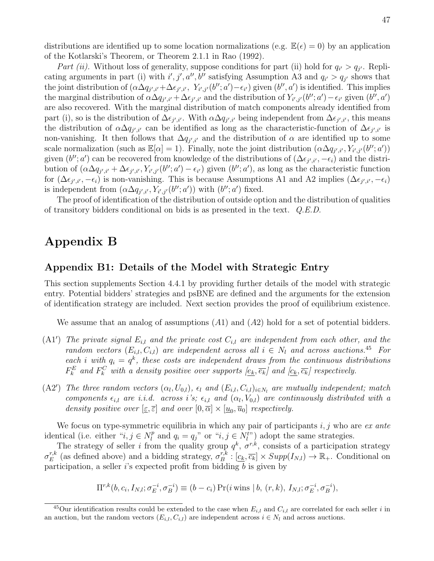distributions are identified up to some location normalizations (e.g.  $\mathbb{E}(\epsilon) = 0$ ) by an application of the Kotlarski's Theorem, or Theorem 2.1.1 in Rao (1992).

Part (ii). Without loss of generality, suppose conditions for part (ii) hold for  $q_{i'} > q_{j'}$ . Replicating arguments in part (i) with  $i', j', a^{t'}, b^{t'}$  satisfying Assumption A3 and  $q_{i'} > q_{j'}$  shows that the joint distribution of  $(\alpha \Delta q_{j',i'} + \Delta \epsilon_{j',i'}, Y_{i',j'}(b^{t'}; a') - \epsilon_{i'})$  given  $(b^{t'}, a')$  is identified. This implies the marginal distribution of  $\alpha \Delta q_{j',i'} + \Delta \epsilon_{j',i'}$  and the distribution of  $Y_{i',j'}(b^{t'};a') - \epsilon_{i'}$  given  $(b^{t'},a')$ are also recovered. With the marginal distribution of match components already identified from part (i), so is the distribution of  $\Delta \epsilon_{j',i'}$ . With  $\alpha \Delta q_{j',i'}$  being independent from  $\Delta \epsilon_{j',i'}$ , this means the distribution of  $\alpha \Delta q_{j',i'}$  can be identified as long as the characteristic-function of  $\Delta \epsilon_{j',i'}$  is non-vanishing. It then follows that  $\Delta q_{j',i'}$  and the distribution of  $\alpha$  are identified up to some scale normalization (such as  $\mathbb{E}[\alpha] = 1$ ). Finally, note the joint distribution  $(\alpha \Delta q_{j',i'}, Y_{i',j'}(b^{t'}; a'))$ given  $(b^{\prime\prime}; a')$  can be recovered from knowledge of the distributions of  $(\Delta \epsilon_{j',i'}, -\epsilon_i)$  and the distribution of  $(\alpha \Delta q_{j',i'} + \Delta \epsilon_{j',i'}, Y_{i',j'}(b^{t'}; a') - \epsilon_{i'})$  given  $(b^{t'}; a')$ , as long as the characteristic function for  $(\Delta \epsilon_{j',i'}, -\epsilon_i)$  is non-vanishing. This is because Assumptions A1 and A2 implies  $(\Delta \epsilon_{j',i'}, -\epsilon_i)$ is independent from  $(\alpha \Delta q_{j',i'}, Y_{i',j'}(b^{t'}; a'))$  with  $(b^{t'}; a')$  fixed.

The proof of identification of the distribution of outside option and the distribution of qualities of transitory bidders conditional on bids is as presented in the text.  $Q.E.D.$ 

## Appendix B

#### Appendix B1: Details of the Model with Strategic Entry

This section supplements Section 4.4.1 by providing further details of the model with strategic entry. Potential bidders' strategies and psBNE are defined and the arguments for the extension of identification strategy are included. Next section provides the proof of equilibrium existence.

We assume that an analog of assumptions  $(A1)$  and  $(A2)$  hold for a set of potential bidders.

- (A1') The private signal  $E_{i,l}$  and the private cost  $C_{i,l}$  are independent from each other, and the random vectors  $(E_{i,l}, C_{i,l})$  are independent across all  $i \in N_l$  and across auctions.<sup>45</sup> For each i with  $q_i = q^k$ , these costs are independent draws from the continuous distributions  $F_k^E$  and  $F_k^C$  with a density positive over supports  $[\underline{e_k}, \overline{e_k}]$  and  $[\underline{c_k}, \overline{c_k}]$  respectively.
- (A2') The three random vectors  $(\alpha_l, U_{0,l})$ ,  $\epsilon_l$  and  $(E_{i,l}, C_{i,l})_{i \in N_l}$  are mutually independent; match components  $\epsilon_{i,l}$  are i.i.d. across i's;  $\epsilon_{i,l}$  and  $(\alpha_l, V_{0,l})$  are continuously distributed with a density positive over  $[\underline{\varepsilon}, \overline{\varepsilon}]$  and over  $[0, \overline{\alpha}] \times [\underline{u}_0, \overline{u}_0]$  respectively.

We focus on type-symmetric equilibria in which any pair of participants  $i, j$  who are ex ante identical (i.e. either " $i, j \in N_l^p$  $l_l^p$  and  $q_i = q_j^{\prime\prime}$  or " $i, j \in N_l^{tr}$ " adopt the same strategies.

The strategy of seller i from the quality group  $q^k$ ,  $\sigma^{r,k}$ , consists of a participation strategy  $\sigma_E^{r,k}$  $E_E^{r,k}$  (as defined above) and a bidding strategy,  $\sigma_B^{r,k}$  $E_B^{r,k}: [\underline{c_k}, \overline{c_k}] \times Supp(I_{N,l}) \to \mathbb{R}_+$ . Conditional on participation, a seller  $i$ 's expected profit from bidding  $b$  is given by

$$
\Pi^{r,k}(b,c_i,I_{N,l};\sigma_E^{-i},\sigma_B^{-i}) \equiv (b-c_i) \Pr(i \text{ wins} | b, (r,k), I_{N,l};\sigma_E^{-i}, \sigma_B^{-i}),
$$

<sup>&</sup>lt;sup>45</sup>Our identification results could be extended to the case when  $E_{i,l}$  and  $C_{i,l}$  are correlated for each seller i in an auction, but the random vectors  $(E_{i,l}, C_{i,l})$  are independent across  $i \in N_l$  and across auctions.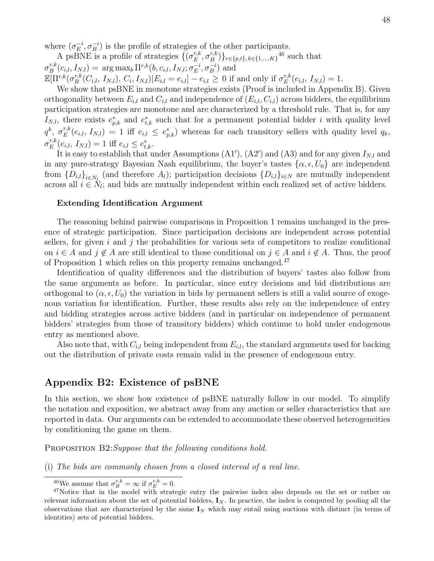where  $(\sigma_E^{-i})$  $\overline{E}^i$ ,  $\sigma_B^{-i}$ ) is the profile of strategies of the other participants.

A psBNE is a profile of strategies  $\{(\sigma_E^{r,k})\}$  $_{E}^{r,k},\sigma_{B}^{r,k}$  $_{B}^{r,k}$ )} $_{r\in\{p,t\},k\in\{1,\ldots,K\}}$ <sup>46</sup> such that  $\sigma^{r,k}_B$  $\mathcal{L}_B^{r,k}(c_{i,l},I_{N,l}) = \argmax_b \Pi^{r,k}(b,c_{i,l},I_{N,l};\sigma_E^{-i})$  $_{E}^{-i}, \sigma_{B}^{-i})$  and  $\mathbb E[\Pi^{r,k}(\sigma^{r,k}_B$  $B^{r,k}_B(C_{i,l}, I_{N,l}), C_i, I_{N,l})|E_{i,l} = e_{i,l}]-e_{i,l} \geq 0$  if and only if  $\sigma_E^{r,k}$  $E^{r,k}(e_{i,l}, I_{N,l}) = 1.$ 

We show that psBNE in monotone strategies exists (Proof is included in Appendix B). Given orthogonality between  $E_{i,l}$  and  $C_{i,l}$  and independence of  $(E_{i,l}, C_{i,l})$  across bidders, the equilibrium participation strategies are monotone and are characterized by a threshold rule. That is, for any  $I_{N,l}$ , there exists  $e_{p,k}^*$  and  $e_{t,k}^*$  such that for a permanent potential bidder i with quality level  $q^k,\,\,\sigma_E^{r,k}$  $E^{r,k}(e_{i,l}, I_{N,l}) = 1$  iff  $e_{i,l} \leq e_{p,k}^*$  whereas for each transitory sellers with quality level  $q_k$ ,  $\sigma_E^{r,k}$  $E^{r,k}(e_{i,l}, I_{N,l}) = 1$  iff  $e_{i,l} \leq e^*_{t,k}$ .

It is easy to establish that under Assumptions  $(A1'), (A2')$  and  $(A3)$  and for any given  $I_{N,l}$  and in any pure-strategy Bayesian Nash equilibrium, the buyer's tastes  $\{\alpha, \epsilon, U_0\}$  are independent from  ${D_{i,l}}_{i\in N_l}$  (and therefore  $A_l$ ); participation decisions  ${D_{i,l}}_{i\in N}$  are mutually independent across all  $i \in \dot{N}_l$ ; and bids are mutually independent within each realized set of active bidders.

#### Extending Identification Argument

The reasoning behind pairwise comparisons in Proposition 1 remains unchanged in the presence of strategic participation. Since participation decisions are independent across potential sellers, for given i and j the probabilities for various sets of competitors to realize conditional on  $i \in A$  and  $j \notin A$  are still identical to those conditional on  $j \in A$  and  $i \notin A$ . Thus, the proof of Proposition 1 which relies on this property remains unchanged.<sup>47</sup>

Identification of quality differences and the distribution of buyers' tastes also follow from the same arguments as before. In particular, since entry decisions and bid distributions are orthogonal to  $(\alpha, \epsilon, U_0)$  the variation in bids by permanent sellers is still a valid source of exogenous variation for identification. Further, these results also rely on the independence of entry and bidding strategies across active bidders (and in particular on independence of permanent bidders' strategies from those of transitory bidders) which continue to hold under endogenous entry as mentioned above.

Also note that, with  $C_{i,l}$  being independent from  $E_{i,l}$ , the standard arguments used for backing out the distribution of private costs remain valid in the presence of endogenous entry.

#### Appendix B2: Existence of psBNE

In this section, we show how existence of psBNE naturally follow in our model. To simplify the notation and exposition, we abstract away from any auction or seller characteristics that are reported in data. Our arguments can be extended to accommodate these observed heterogeneities by conditioning the game on them.

PROPOSITION B2: Suppose that the following conditions hold.

(i) The bids are commonly chosen from a closed interval of a real line.

<sup>&</sup>lt;sup>46</sup>We assume that  $\sigma_B^{r,k} = \infty$  if  $\sigma_E^{r,k} = 0$ .

<sup>&</sup>lt;sup>47</sup>Notice that in the model with strategic entry the pairwise index also depends on the set or rather on relevant information about the set of potential bidders,  $I_N$ . In practice, the index is computed by pooling all the observations that are characterized by the same  $I_N$  which may entail using auctions with distinct (in terms of identities) sets of potential bidders.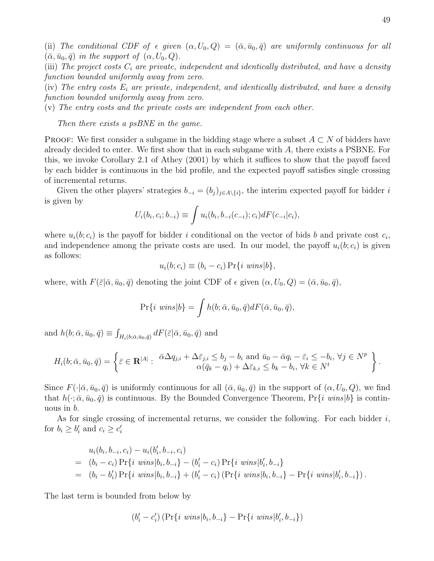(ii) The conditional CDF of  $\epsilon$  given  $(\alpha, U_0, Q) = (\bar{\alpha}, \bar{u}_0, \bar{q})$  are uniformly continuous for all  $(\bar{\alpha}, \bar{u}_0, \bar{q})$  in the support of  $(\alpha, U_0, Q)$ .

(iii) The project costs  $C_i$  are private, independent and identically distributed, and have a density function bounded uniformly away from zero.

(iv) The entry costs  $E_i$  are private, independent, and identically distributed, and have a density function bounded uniformly away from zero.

(v) The entry costs and the private costs are independent from each other.

Then there exists a psBNE in the game.

**PROOF:** We first consider a subgame in the bidding stage where a subset  $A \subset N$  of bidders have already decided to enter. We first show that in each subgame with A, there exists a PSBNE. For this, we invoke Corollary 2.1 of Athey (2001) by which it suffices to show that the payoff faced by each bidder is continuous in the bid profile, and the expected payoff satisfies single crossing of incremental returns.

Given the other players' strategies  $b_{-i} = (b_j)_{j \in A \setminus \{i\}}$ , the interim expected payoff for bidder i is given by

$$
U_i(b_i, c_i; b_{-i}) \equiv \int u_i(b_i, b_{-i}(c_{-i}); c_i) dF(c_{-i}|c_i),
$$

where  $u_i(b; c_i)$  is the payoff for bidder i conditional on the vector of bids b and private cost  $c_i$ , and independence among the private costs are used. In our model, the payoff  $u_i(b; c_i)$  is given as follows:

$$
u_i(b;c_i) \equiv (b_i - c_i) \Pr\{i \ \text{wins} | b\},\
$$

where, with  $F(\bar{\varepsilon}|\bar{\alpha}, \bar{u}_0, \bar{q})$  denoting the joint CDF of  $\epsilon$  given  $(\alpha, U_0, Q) = (\bar{\alpha}, \bar{u}_0, \bar{q})$ ,

$$
Pr\{i \ \text{wins}|b\} = \int h(b; \bar{\alpha}, \bar{u}_0, \bar{q}) dF(\bar{\alpha}, \bar{u}_0, \bar{q}),
$$

and  $h(b; \bar{\alpha}, \bar{u}_0, \bar{q}) \equiv \int_{H_i(b; \bar{\alpha}, \bar{u}_0, \bar{q})} dF(\bar{\varepsilon} | \bar{\alpha}, \bar{u}_0, \bar{q})$  and

$$
H_i(b; \bar{\alpha}, \bar{u}_0, \bar{q}) = \left\{ \bar{\varepsilon} \in \mathbf{R}^{|A|} : \begin{array}{l} \bar{\alpha} \Delta q_{j,i} + \Delta \bar{\varepsilon}_{j,i} \leq b_j - b_i \text{ and } \bar{u}_0 - \bar{\alpha} q_i - \bar{\varepsilon}_i \leq -b_i, \forall j \in N^p \\ \alpha (\bar{q}_k - q_i) + \Delta \bar{\varepsilon}_{k,i} \leq b_k - b_i, \forall k \in N^t \end{array} \right\}.
$$

Since  $F(\cdot|\bar{\alpha}, \bar{u}_0, \bar{q})$  is uniformly continuous for all  $(\bar{\alpha}, \bar{u}_0, \bar{q})$  in the support of  $(\alpha, U_0, Q)$ , we find that  $h(\cdot; \bar{\alpha}, \bar{u}_0, \bar{q})$  is continuous. By the Bounded Convergence Theorem, Pr{i wins|b} is continuous in b.

As for single crossing of incremental returns, we consider the following. For each bidder  $i$ , for  $b_i \geq b'_i$  and  $c_i \geq c'_i$ 

$$
u_i(b_i, b_{-i}, c_i) - u_i(b'_i, b_{-i}, c_i)
$$
  
=  $(b_i - c_i) \Pr\{i \text{ wins}|b_i, b_{-i}\} - (b'_i - c_i) \Pr\{i \text{ wins}|b'_i, b_{-i}\}$   
=  $(b_i - b'_i) \Pr\{i \text{ wins}|b_i, b_{-i}\} + (b'_i - c_i) (\Pr\{i \text{ wins}|b_i, b_{-i}\} - \Pr\{i \text{ wins}|b'_i, b_{-i}\}).$ 

The last term is bounded from below by

$$
(b'_{i} - c'_{i}) \left( \Pr\{i \ \textit{wins} | b_{i}, b_{-i} \} - \Pr\{i \ \textit{wins} | b'_{i}, b_{-i} \} \right)
$$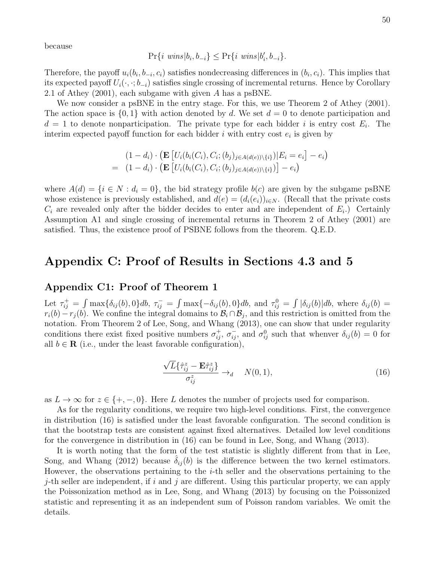because

$$
Pr{i \text{ wins}|b_i, b_{-i}} \le Pr{i \text{ wins}|b'_i, b_{-i}}.
$$

Therefore, the payoff  $u_i(b_i, b_{-i}, c_i)$  satisfies nondecreasing differences in  $(b_i, c_i)$ . This implies that its expected payoff  $U_i(\cdot, \cdot; b_{-i})$  satisfies single crossing of incremental returns. Hence by Corollary 2.1 of Athey (2001), each subgame with given A has a psBNE.

We now consider a psBNE in the entry stage. For this, we use Theorem 2 of Athey (2001). The action space is  $\{0,1\}$  with action denoted by d. We set  $d = 0$  to denote participation and  $d = 1$  to denote nonparticipation. The private type for each bidder i is entry cost  $E_i$ . The interim expected payoff function for each bidder  $i$  with entry cost  $e_i$  is given by

$$
(1 - d_i) \cdot (\mathbf{E} [U_i(b_i(C_i), C_i; (b_j)_{j \in A(d(e)) \setminus \{i\}}) | E_i = e_i] - e_i)
$$
  
=  $(1 - d_i) \cdot (\mathbf{E} [U_i(b_i(C_i), C_i; (b_j)_{j \in A(d(e)) \setminus \{i\}})] - e_i)$ 

where  $A(d) = \{i \in N : d_i = 0\}$ , the bid strategy profile  $b(c)$  are given by the subgame psBNE whose existence is previously established, and  $d(e) = (d_i(e_i))_{i \in N}$ . (Recall that the private costs  $C_i$  are revealed only after the bidder decides to enter and are independent of  $E_i$ .) Certainly Assumption A1 and single crossing of incremental returns in Theorem 2 of Athey (2001) are satisfied. Thus, the existence proof of PSBNE follows from the theorem. Q.E.D.

# Appendix C: Proof of Results in Sections 4.3 and 5

### Appendix C1: Proof of Theorem 1

Let  $\tau_{ij}^+ = \int \max\{\delta_{ij}(b), 0\} db$ ,  $\tau_{ij}^- = \int \max\{-\delta_{ij}(b), 0\} db$ , and  $\tau_{ij}^0 = \int |\delta_{ij}(b)| db$ , where  $\delta_{ij}(b)$  =  $r_i(b) - r_j(b)$ . We confine the integral domains to  $\mathcal{B}_i \cap \mathcal{B}_j$ , and this restriction is omitted from the notation. From Theorem 2 of Lee, Song, and Whang (2013), one can show that under regularity conditions there exist fixed positive numbers  $\sigma_{ij}^+$ ,  $\sigma_{ij}^-$ , and  $\sigma_{ij}^0$  such that whenver  $\delta_{ij}(b) = 0$  for all  $b \in \mathbf{R}$  (i.e., under the least favorable configuration),

$$
\frac{\sqrt{L}\{\hat{\tau}_{ij}^z - \mathbf{E}\hat{\tau}_{ij}^z\}}{\sigma_{ij}^z} \to_d \quad N(0,1),\tag{16}
$$

as  $L \to \infty$  for  $z \in \{+, -, 0\}$ . Here L denotes the number of projects used for comparison.

As for the regularity conditions, we require two high-level conditions. First, the convergence in distribution (16) is satisfied under the least favorable configuration. The second condition is that the bootstrap tests are consistent against fixed alternatives. Detailed low level conditions for the convergence in distribution in (16) can be found in Lee, Song, and Whang (2013).

It is worth noting that the form of the test statistic is slightly different from that in Lee, Song, and Whang (2012) because  $\delta_{ij}(b)$  is the difference between the two kernel estimators. However, the observations pertaining to the  $i$ -th seller and the observations pertaining to the j-th seller are independent, if i and j are different. Using this particular property, we can apply the Poissonization method as in Lee, Song, and Whang (2013) by focusing on the Poissonized statistic and representing it as an independent sum of Poisson random variables. We omit the details.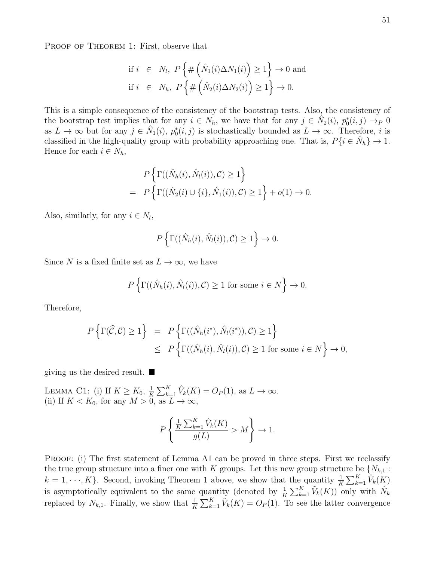PROOF OF THEOREM 1: First, observe that

$$
\begin{aligned}\n\text{if } i \in N_l, \ P \left\{ \# \left( \hat{N}_1(i) \Delta N_1(i) \right) \ge 1 \right\} \to 0 \text{ and} \\
\text{if } i \in N_h, \ P \left\{ \# \left( \hat{N}_2(i) \Delta N_2(i) \right) \ge 1 \right\} \to 0.\n\end{aligned}
$$

This is a simple consequence of the consistency of the bootstrap tests. Also, the consistency of the bootstrap test implies that for any  $i \in N_h$ , we have that for any  $j \in \hat{N}_2(i)$ ,  $p_0^*(i,j) \to_P 0$ as  $L \to \infty$  but for any  $j \in \hat{N}_1(i)$ ,  $p_0^*(i,j)$  is stochastically bounded as  $L \to \infty$ . Therefore, i is classified in the high-quality group with probability approaching one. That is,  $P\{i \in \hat{N}_h\} \to 1$ . Hence for each  $i \in N_h$ ,

$$
P\left\{\Gamma((\hat{N}_h(i), \hat{N}_l(i)), C) \ge 1\right\}
$$
  
= 
$$
P\left\{\Gamma((\hat{N}_2(i) \cup \{i\}, \hat{N}_1(i)), C) \ge 1\right\} + o(1) \to 0.
$$

Also, similarly, for any  $i \in N_l$ ,

$$
P\left\{\Gamma((\hat{N}_h(i),\hat{N}_l(i)),\mathcal{C})\geq 1\right\}\to 0.
$$

Since N is a fixed finite set as  $L \to \infty$ , we have

$$
P\left\{\Gamma((\hat{N}_h(i),\hat{N}_l(i)),\mathcal{C})\geq 1 \text{ for some } i\in N\right\}\to 0.
$$

Therefore,

$$
P\left\{\Gamma(\widehat{C}, C) \ge 1\right\} = P\left\{\Gamma((\hat{N}_h(i^*), \hat{N}_l(i^*)), C) \ge 1\right\}
$$
  

$$
\le P\left\{\Gamma((\hat{N}_h(i), \hat{N}_l(i)), C) \ge 1 \text{ for some } i \in N\right\} \to 0,
$$

giving us the desired result.  $\blacksquare$ 

LEMMA C1: (i) If  $K \geq K_0$ ,  $\frac{1}{K}$  $\frac{1}{K} \sum_{k=1}^{K} \hat{V}_k(K) = O_P(1)$ , as  $L \to \infty$ . (ii) If  $K < K_0$ , for any  $M > 0$ , as  $L \to \infty$ ,

$$
P\left\{\frac{\frac{1}{K}\sum_{k=1}^{K}\hat{V}_k(K)}{g(L)} > M\right\} \to 1.
$$

PROOF: (i) The first statement of Lemma A1 can be proved in three steps. First we reclassify the true group structure into a finer one with K groups. Let this new group structure be  $\{N_{k,1}:$  $k = 1, \dots, K$ . Second, invoking Theorem 1 above, we show that the quantity  $\frac{1}{K} \sum_{k=1}^{K} \hat{V}_k(K)$ is asymptotically equivalent to the same quantity (denoted by  $\frac{1}{K} \sum_{k=1}^{K} \tilde{V}_k(K)$ ) only with  $\hat{N}_k$ replaced by  $N_{k,1}$ . Finally, we show that  $\frac{1}{K} \sum_{k=1}^{K} \tilde{V}_k(K) = O_P(1)$ . To see the latter convergence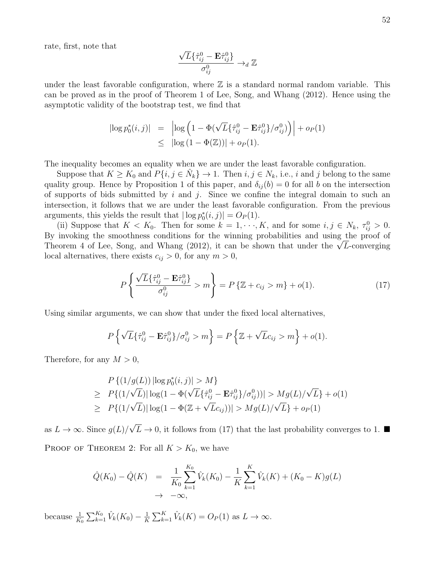rate, first, note that

$$
\frac{\sqrt{L}\{\hat{\tau}_{ij}^0 - \mathbf{E}\hat{\tau}_{ij}^0\}}{\sigma_{ij}^0} \rightarrow_d \mathbb{Z}
$$

under the least favorable configuration, where  $\mathbb Z$  is a standard normal random variable. This can be proved as in the proof of Theorem 1 of Lee, Song, and Whang (2012). Hence using the asymptotic validity of the bootstrap test, we find that

$$
\begin{array}{rcl} |\log p_0^*(i,j)| & = & \left| \log \left( 1 - \Phi(\sqrt{L} \{ \hat{\tau}_{ij}^0 - \mathbf{E} \hat{\tau}_{ij}^0 \} / \sigma_{ij}^0) \right) \right| + o_P(1) \\ & \leq & |\log \left( 1 - \Phi(\mathbb{Z}) \right) | + o_P(1). \end{array}
$$

The inequality becomes an equality when we are under the least favorable configuration.

Suppose that  $K \geq K_0$  and  $P\{i, j \in \hat{N}_k\} \to 1$ . Then  $i, j \in N_k$ , i.e., i and j belong to the same quality group. Hence by Proposition 1 of this paper, and  $\delta_{ij}(b) = 0$  for all b on the intersection of supports of bids submitted by  $i$  and  $j$ . Since we confine the integral domain to such an intersection, it follows that we are under the least favorable configuration. From the previous arguments, this yields the result that  $|\log p_0^*(i,j)| = O_P(1)$ .

(ii) Suppose that  $K < K_0$ . Then for some  $k = 1, \dots, K$ , and for some  $i, j \in N_k$ ,  $\tau_{ij}^0 > 0$ . By invoking the smoothness conditions for the winning probabilities and using the proof of By invoking the smootnness conditions for the winning probabilities and using the proof of<br>Theorem 4 of Lee, Song, and Whang (2012), it can be shown that under the  $\sqrt{L}$ -converging local alternatives, there exists  $c_{ij} > 0$ , for any  $m > 0$ ,

$$
P\left\{\frac{\sqrt{L}\{\hat{\tau}_{ij}^{0} - \mathbf{E}\hat{\tau}_{ij}^{0}\}}{\sigma_{ij}^{0}} > m\right\} = P\left\{\mathbb{Z} + c_{ij} > m\right\} + o(1). \tag{17}
$$

Using similar arguments, we can show that under the fixed local alternatives,

$$
P\left\{\sqrt{L}\{\hat{\tau}_{ij}^0-\mathbf{E}\hat{\tau}_{ij}^0\}/\sigma_{ij}^0>m\right\}=P\left\{\mathbb{Z}+\sqrt{L}c_{ij}>m\right\}+o(1).
$$

Therefore, for any  $M > 0$ ,

$$
P\{(1/g(L)) | \log p_0^*(i,j)| > M\}
$$
  
\n
$$
\geq P\{(1/\sqrt{L}) | \log(1 - \Phi(\sqrt{L}\{\hat{\tau}_{ij}^0 - \mathbf{E}\hat{\tau}_{ij}^0\}/\sigma_{ij}^0)) | > Mg(L)/\sqrt{L}\} + o(1)
$$
  
\n
$$
\geq P\{(1/\sqrt{L}) | \log(1 - \Phi(\mathbb{Z} + \sqrt{L}c_{ij})) | > Mg(L)/\sqrt{L}\} + o_P(1)
$$

as  $L \to \infty$ . Since  $g(L)/$  $\sqrt{L} \rightarrow 0$ , it follows from (17) that the last probability converges to 1. PROOF OF THEOREM 2: For all  $K > K_0$ , we have

$$
\hat{Q}(K_0) - \hat{Q}(K) = \frac{1}{K_0} \sum_{k=1}^{K_0} \hat{V}_k(K_0) - \frac{1}{K} \sum_{k=1}^{K} \hat{V}_k(K) + (K_0 - K)g(L) \n\to -\infty,
$$

because  $\frac{1}{K_0} \sum_{k=1}^{K_0} \hat{V}_k(K_0) - \frac{1}{K}$  $\frac{1}{K} \sum_{k=1}^{K} \hat{V}_k(K) = O_P(1)$  as  $L \to \infty$ .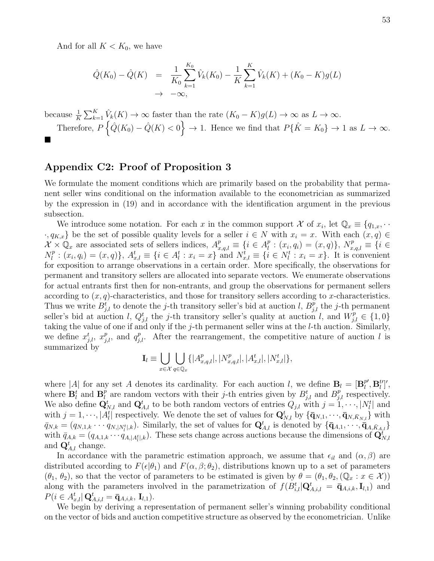And for all  $K < K_0$ , we have

$$
\hat{Q}(K_0) - \hat{Q}(K) = \frac{1}{K_0} \sum_{k=1}^{K_0} \hat{V}_k(K_0) - \frac{1}{K} \sum_{k=1}^{K} \hat{V}_k(K) + (K_0 - K)g(L) \n\to -\infty,
$$

because  $\frac{1}{K} \sum_{k=1}^{K} \hat{V}_k(K) \to \infty$  faster than the rate  $(K_0 - K)g(L) \to \infty$  as  $L \to \infty$ .

Therefore,  $P\left\{\hat{Q}(K_0)-\hat{Q}(K)<0\right\}\to 1$ . Hence we find that  $P\{\hat{K}=K_0\}\to 1$  as  $L\to\infty$ .  $\blacksquare$ 

#### Appendix C2: Proof of Proposition 3

We formulate the moment conditions which are primarily based on the probability that permanent seller wins conditional on the information available to the econometrician as summarized by the expression in (19) and in accordance with the identification argument in the previous subsection.

We introduce some notation. For each x in the common support X of  $x_i$ , let  $\mathbb{Q}_x \equiv \{q_{1,x}, \dots\}$  $\{g_i, g_{K,x}\}\$ be the set of possible quality levels for a seller  $i \in N$  with  $x_i = x$ . With each  $(x, q) \in \mathbb{R}$  $\mathcal{X} \times \mathbb{Q}_x$  are associated sets of sellers indices,  $A_{x,q,l}^p \equiv \{i \in A_l^p\}$  $\ell_i^p : (x_i, q_i) = (x, q) \}, N_{x,q,l}^p \equiv \{ i \in$  $N_l^p$  $\ell_l^p: (x_i, q_i) = (x, q) \}, A_{x,l}^t \equiv \{i \in A_l^t: x_i = x\} \text{ and } N_{x,l}^t \equiv \{i \in N_l^t: x_i = x\}.$  It is convenient for exposition to arrange observations in a certain order. More specifically, the observations for permanent and transitory sellers are allocated into separate vectors. We enumerate observations for actual entrants first then for non-entrants, and group the observations for permanent sellers according to  $(x, q)$ -characteristics, and those for transitory sellers according to x-characteristics. Thus we write  $B_{j,l}^t$  to denote the j-th transitory seller's bid at auction l,  $B_{j,l}^p$  the j-th permanent seller's bid at auction l,  $Q_{j,l}^t$  the j-th transitory seller's quality at auction l, and  $W_{j,l}^p \in \{1,0\}$ taking the value of one if and only if the  $j$ -th permanent seller wins at the  $l$ -th auction. Similarly, we define  $x_{j,l}^t$ ,  $x_{j,l}^p$ , and  $q_{j,l}^p$ . After the rearrangement, the competitive nature of auction l is summarized by

$$
\mathbf{I}_l \equiv \bigcup_{x \in \mathcal{X}} \bigcup_{q \in \mathbb{Q}_x} \{ |A^p_{x,q,l}|, |N^p_{x,q,l}|, |A^t_{x,l}|, |N^t_{x,l}| \},\
$$

where |A| for any set A denotes its cardinality. For each auction l, we define  $\mathbf{B}_l = [\mathbf{B}_l^{p_l}]$  $_{l}^{p\prime },\mathbf{B}_{l}^{t\prime }]^{\prime },$ where  $\mathbf{B}_l^t$  and  $\mathbf{B}_l^p$  $\frac{p}{l}$  are random vectors with their j-th entries given by  $B_{j,l}^t$  and  $B_{j,l}^p$  respectively. We also define  $\mathbf{Q}_{N,l}^t$  and  $\mathbf{Q}_{A,l}^t$  to be both random vectors of entries  $Q_{j,l}$  with  $j = 1, \dots, |N_l^t|$  and with  $j = 1, \dots, |A_l^t|$  respectively. We denote the set of values for  $\mathbf{Q}_{N,l}^t$  by  $\{\bar{\mathbf{q}}_{N,1}, \dots, \bar{\mathbf{q}}_{N,\bar{K}_{N,l}}\}$  with  $\bar{q}_{N,k} = (q_{N,1,k} \cdots q_{N,|N_l^t|,k})$ . Similarly, the set of values for  $\mathbf{Q}_{A,l}^t$  is denoted by  $\{\bar{\mathbf{q}}_{A,1}, \cdots, \bar{\mathbf{q}}_{A,\bar{K}_{A,l}}\}$ with  $\bar{q}_{A,k} = (q_{A,1,k} \cdots q_{A,|A_t^t|,k})$ . These sets change across auctions because the dimensions of  $\mathbf{Q}_{N,l}^t$ and  $\mathbf{Q}_{A,l}^{t}$  change.

In accordance with the parametric estimation approach, we assume that  $\epsilon_{il}$  and  $(\alpha, \beta)$  are distributed according to  $F(\epsilon|\theta_1)$  and  $F(\alpha, \beta; \theta_2)$ , distributions known up to a set of parameters  $(\theta_1, \theta_2)$ , so that the vector of parameters to be estimated is given by  $\theta = (\theta_1, \theta_2, (\mathbb{Q}_x : x \in \mathcal{X}))$ along with the parameters involved in the parametrization of  $f(B_{i,l}^t | \mathbf{Q}_{A,i,l}^t = \bar{\mathbf{q}}_{A,i,k}, \mathbf{I}_{l,1})$  and  $P(i \in A_{x,l}^t | \mathbf{Q}_{A,i,l}^t = \bar{\mathbf{q}}_{A,i,k}, \mathbf{I}_{l,1}).$ 

We begin by deriving a representation of permanent seller's winning probability conditional on the vector of bids and auction competitive structure as observed by the econometrician. Unlike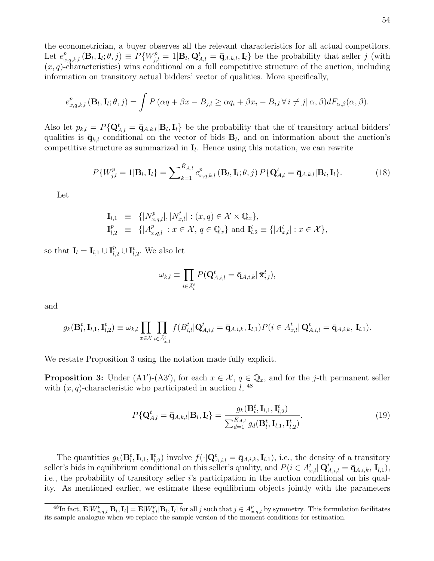the econometrician, a buyer observes all the relevant characteristics for all actual competitors. Let  $e_{x,q,k,l}^p(\mathbf{B}_l, \mathbf{I}_l; \theta, j) \equiv P\{W_{j,l}^p = 1 | \mathbf{B}_l, \mathbf{Q}_{A,l}^t = \bar{\mathbf{q}}_{A,k,l}, \mathbf{I}_l\}$  be the probability that seller j (with  $(x, q)$ -characteristics) wins conditional on a full competitive structure of the auction, including information on transitory actual bidders' vector of qualities. More specifically,

$$
e_{x,q,k,l}^p(\mathbf{B}_l,\mathbf{I}_l;\theta,j)=\int P\left(\alpha q+\beta x-B_{j,l}\geq \alpha q_i+\beta x_i-B_{i,l}\,\forall\,i\neq j|\,\alpha,\beta\right)dF_{\alpha,\beta}(\alpha,\beta).
$$

Also let  $p_{k,l} = P\{Q_{A,l}^t = \bar{q}_{A,k,l} | \mathbf{B}_l, \mathbf{I}_l\}$  be the probability that the of transitory actual bidders' qualities is  $\bar{\mathbf{q}}_{k,l}$  conditional on the vector of bids  $\mathbf{B}_l$ , and on information about the auction's competitive structure as summarized in  $I_l$ . Hence using this notation, we can rewrite

$$
P\{W_{j,l}^p = 1 | \mathbf{B}_l, \mathbf{I}_l\} = \sum\nolimits_{k=1}^{\bar{K}_{A,l}} e_{x,q,k,l}^p \left( \mathbf{B}_l, \mathbf{I}_l; \theta, j \right) P\{ \mathbf{Q}_{A,l}^t = \bar{\mathbf{q}}_{A,k,l} | \mathbf{B}_l, \mathbf{I}_l \}.
$$
 (18)

Let

$$
\begin{array}{rcl}\n\mathbf{I}_{l,1} & \equiv & \{ |N_{x,q,l}^p|, |N_{x,l}^t| : (x,q) \in \mathcal{X} \times \mathbb{Q}_x \}, \\
\mathbf{I}_{l,2}^p & \equiv & \{ |A_{x,q,l}^p| : x \in \mathcal{X}, q \in \mathbb{Q}_x \} \text{ and } \mathbf{I}_{l,2}^t \equiv \{ |A_{x,l}^t| : x \in \mathcal{X} \},\n\end{array}
$$

so that  $\mathbf{I}_l = \mathbf{I}_{l,1} \cup \mathbf{I}_{l,2}^p \cup \mathbf{I}_{l,2}^t$ . We also let

$$
\omega_{k,l} \equiv \prod_{i \in \bar{A}_l^t} P(\mathbf{Q}_{A,i,l}^t = \bar{\mathbf{q}}_{A,i,k} | \bar{\mathbf{x}}_{i,l}^t),
$$

and

$$
g_k(\mathbf{B}_l^t,\mathbf{I}_{l,1},\mathbf{I}_{l,2}^t) \equiv \omega_{k,l} \prod_{x \in \mathcal{X}} \prod_{i \in \bar{A}_{x,l}^t} f(B_{i,l}^t | \mathbf{Q}_{A,i,l}^t = \bar{\mathbf{q}}_{A,i,k}, \mathbf{I}_{l,1}) P(i \in A_{x,l}^t | \mathbf{Q}_{A,i,l}^t = \bar{\mathbf{q}}_{A,i,k}, \mathbf{I}_{l,1}).
$$

We restate Proposition 3 using the notation made fully explicit.

**Proposition 3:** Under (A1')-(A3'), for each  $x \in \mathcal{X}$ ,  $q \in \mathbb{Q}_x$ , and for the j-th permanent seller with  $(x, q)$ -characteristic who participated in auction l, <sup>48</sup>

$$
P\{\mathbf{Q}_{A,l}^{t} = \overline{\mathbf{q}}_{A,k,l} | \mathbf{B}_{l}, \mathbf{I}_{l}\} = \frac{g_{k}(\mathbf{B}_{l}^{t}, \mathbf{I}_{l,1}, \mathbf{I}_{l,2}^{t})}{\sum_{d=1}^{\overline{K}_{A,l}} g_{d}(\mathbf{B}_{l}^{t}, \mathbf{I}_{l,1}, \mathbf{I}_{l,2}^{t})}.
$$
(19)

The quantities  $g_k(\mathbf{B}_l^t, \mathbf{I}_{l,1}, \mathbf{I}_{l,2}^t)$  involve  $f(\cdot | \mathbf{Q}_{A,i,l}^t = \bar{\mathbf{q}}_{A,i,k}, \mathbf{I}_{l,1}),$  i.e., the density of a transitory seller's bids in equilibrium conditional on this seller's quality, and  $P(i \in A_{x,l}^t | \mathbf{Q}_{A,i,l}^t = \bar{\mathbf{q}}_{A,i,k}, \mathbf{I}_{l,1}),$ i.e., the probability of transitory seller i's participation in the auction conditional on his quality. As mentioned earlier, we estimate these equilibrium objects jointly with the parameters

<sup>&</sup>lt;sup>48</sup>In fact,  $\mathbf{E}[W_{x,q,l}^p|\mathbf{B}_l,\mathbf{I}_l] = \mathbf{E}[W_{j,l}^p|\mathbf{B}_l,\mathbf{I}_l]$  for all j such that  $j \in A_{x,q,l}^p$  by symmetry. This formulation facilitates its sample analogue when we replace the sample version of the moment conditions for estimation.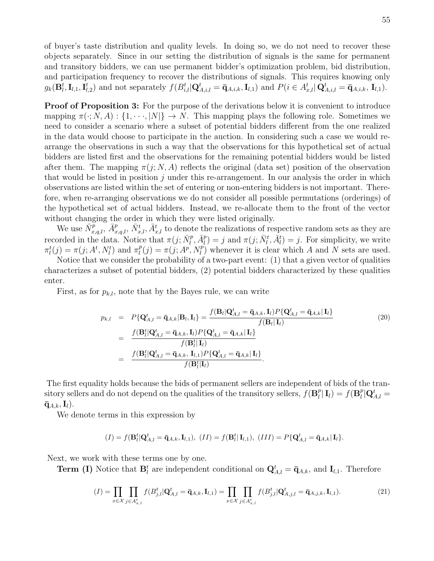of buyer's taste distribution and quality levels. In doing so, we do not need to recover these objects separately. Since in our setting the distribution of signals is the same for permanent and transitory bidders, we can use permanent bidder's optimization problem, bid distribution, and participation frequency to recover the distributions of signals. This requires knowing only  $g_k(\mathbf{B}_l^t, \mathbf{I}_{l,1}, \mathbf{I}_{l,2}^t)$  and not separately  $f(B_{i,l}^t | \mathbf{Q}_{A,i,l}^t = \bar{\mathbf{q}}_{A,i,k}, \mathbf{I}_{l,1})$  and  $P(i \in A_{x,l}^t | \mathbf{Q}_{A,i,l}^t = \bar{\mathbf{q}}_{A,i,k}, \mathbf{I}_{l,1}).$ 

Proof of Proposition 3: For the purpose of the derivations below it is convenient to introduce mapping  $\pi(\cdot; N, A) : \{1, \dots, |N|\} \to N$ . This mapping plays the following role. Sometimes we need to consider a scenario where a subset of potential bidders different from the one realized in the data would choose to participate in the auction. In considering such a case we would rearrange the observations in such a way that the observations for this hypothetical set of actual bidders are listed first and the observations for the remaining potential bidders would be listed after them. The mapping  $\pi(j; N, A)$  reflects the original (data set) position of the observation that would be listed in position  $j$  under this re-arrangement. In our analysis the order in which observations are listed within the set of entering or non-entering bidders is not important. Therefore, when re-arranging observations we do not consider all possible permutations (orderings) of the hypothetical set of actual bidders. Instead, we re-allocate them to the front of the vector without changing the order in which they were listed originally.

We use  $\bar{N}_{x,q,l}^p$ ,  $\bar{A}_{x,q,l}^p$ ,  $\bar{N}_{x,l}^t$ ,  $\bar{A}_{x,l}^t$  to denote the realizations of respective random sets as they are recorded in the data. Notice that  $\pi(j; \bar{N}_l^p, \bar{A}_l^p) = j$  and  $\pi(j; \bar{N}_l^t, \bar{A}_l^t) = j$ . For simplicity, we write  $\pi_l^t(j) = \pi(j; A^t, N_l^t)$  and  $\pi_l^p$  $\ell_l^p(j) = \pi(j; A^p, N_l^p)$  whenever it is clear which A and N sets are used.

Notice that we consider the probability of a two-part event: (1) that a given vector of qualities characterizes a subset of potential bidders, (2) potential bidders characterized by these qualities enter.

First, as for  $p_{k,l}$ , note that by the Bayes rule, we can write

$$
p_{k,l} = P\{\mathbf{Q}_{A,l}^{t} = \bar{\mathbf{q}}_{A,k} | \mathbf{B}_{l}, \mathbf{I}_{l}\} = \frac{f(\mathbf{B}_{l} | \mathbf{Q}_{A,l}^{t} = \bar{\mathbf{q}}_{A,k}, \mathbf{I}_{l}) P\{\mathbf{Q}_{A,l}^{t} = \bar{\mathbf{q}}_{A,k} | \mathbf{I}_{l}\}}{f(\mathbf{B}_{l} | \mathbf{I}_{l})}
$$
\n
$$
= \frac{f(\mathbf{B}_{l}^{t} | \mathbf{Q}_{A,l}^{t} = \bar{\mathbf{q}}_{A,k}, \mathbf{I}_{l}) P\{\mathbf{Q}_{A,l}^{t} = \bar{\mathbf{q}}_{A,k} | \mathbf{I}_{l}\}}{f(\mathbf{B}_{l}^{t} | \mathbf{I}_{l})}
$$
\n
$$
= \frac{f(\mathbf{B}_{l}^{t} | \mathbf{Q}_{A,l}^{t} = \bar{\mathbf{q}}_{A,k}, \mathbf{I}_{l,1}) P\{\mathbf{Q}_{A,l}^{t} = \bar{\mathbf{q}}_{A,k} | \mathbf{I}_{l}\}}{f(\mathbf{B}_{l}^{t} | \mathbf{I}_{l})}.
$$
\n(20)

The first equality holds because the bids of permanent sellers are independent of bids of the transitory sellers and do not depend on the qualities of the transitory sellers,  $f(\mathbf{B}_{l}^{p})$  $\binom{p}{l} \mathbf{I}_l = f(\mathbf{B}_l^p)$  $l^p|\mathbf{Q}_{A,l}^t=$  $\bar{\mathbf{q}}_{A,k}, \mathbf{I}_l$ .

We denote terms in this expression by

$$
(I) = f(\mathbf{B}_{l}^{t} | \mathbf{Q}_{A,l}^{t} = \bar{\mathbf{q}}_{A,k}, \mathbf{I}_{l,1}), (II) = f(\mathbf{B}_{l}^{t} | \mathbf{I}_{l,1}), (III) = P\{\mathbf{Q}_{A,l}^{t} = \bar{\mathbf{q}}_{A,k} | \mathbf{I}_{l}\}.
$$

Next, we work with these terms one by one.

**Term (I)** Notice that  $\mathbf{B}_l^t$  are independent conditional on  $\mathbf{Q}_{A,l}^t = \bar{\mathbf{q}}_{A,k}$ , and  $\mathbf{I}_{l,1}$ . Therefore

$$
(I) = \prod_{x \in \mathcal{X}} \prod_{j \in A_{x,l}^t} f(B_{j,l}^t | \mathbf{Q}_{A,l}^t = \bar{\mathbf{q}}_{A,k}, \mathbf{I}_{l,1}) = \prod_{x \in \mathcal{X}} \prod_{j \in A_{x,l}^t} f(B_{j,l}^t | \mathbf{Q}_{A,j,l}^t = \bar{\mathbf{q}}_{A,j,k}, \mathbf{I}_{l,1}).
$$
\n(21)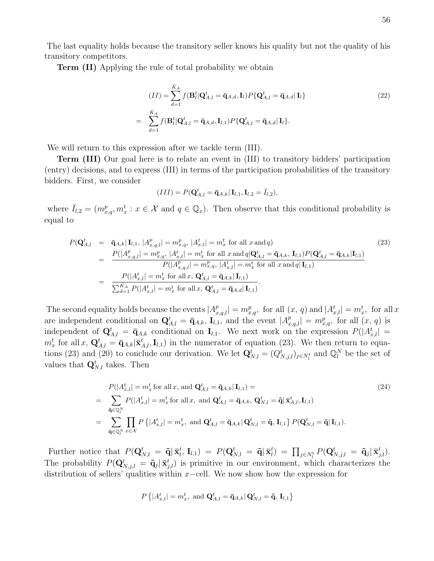The last equality holds because the transitory seller knows his quality but not the quality of his transitory competitors.

Term (II) Applying the rule of total probability we obtain

$$
(II) = \sum_{d=1}^{\bar{K}_A} f(\mathbf{B}_l^t | \mathbf{Q}_{A,l}^t = \bar{\mathbf{q}}_{A,d}, \mathbf{I}_l) P\{\mathbf{Q}_{A,l}^t = \bar{\mathbf{q}}_{A,d} | \mathbf{I}_l\}
$$
\n
$$
= \sum_{d=1}^{\bar{K}_A} f(\mathbf{B}_l^t | \mathbf{Q}_{A,l}^t = \bar{\mathbf{q}}_{A,d}, \mathbf{I}_{l,1}) P\{\mathbf{Q}_{A,l}^t = \bar{\mathbf{q}}_{A,d} | \mathbf{I}_l\}.
$$
\n(22)

We will return to this expression after we tackle term (III).

=

Term (III) Our goal here is to relate an event in (III) to transitory bidders' participation (entry) decisions, and to express (III) in terms of the participation probabilities of the transitory bidders. First, we consider

$$
(III) = P(\mathbf{Q}_{A,l}^t = \bar{\mathbf{q}}_{A,k} | \mathbf{I}_{l,1}, \mathbf{I}_{l,2} = \bar{I}_{l,2}),
$$

where  $\bar{I}_{l,2} = (m_{x,q}^p, m_x^t : x \in \mathcal{X}$  and  $q \in \mathbb{Q}_x$ . Then observe that this conditional probability is equal to

$$
P(\mathbf{Q}_{A,l}^{t} = \bar{\mathbf{q}}_{A,k} | \mathbf{I}_{l,1}, |A_{x,q,l}^{p}| = m_{x,q}^{p}, |A_{x,l}^{t}| = m_{x}^{t} \text{ for all } x \text{ and } q)
$$
\n
$$
= \frac{P(|A_{x,q,l}^{p}| = m_{x,q}^{p}, |A_{x,l}^{t}| = m_{x}^{t} \text{ for all } x \text{ and } q | \mathbf{Q}_{A,l}^{t} = \bar{\mathbf{q}}_{A,k}, \mathbf{I}_{l,1}) P(\mathbf{Q}_{A,l}^{t} = \bar{\mathbf{q}}_{A,k} | \mathbf{I}_{l,1})}{P(|A_{x,q,l}^{p}| = m_{x,q}^{p}, |A_{x,l}^{t}| = m_{x}^{t} \text{ for all } x \text{ and } q | \mathbf{I}_{l,1})}
$$
\n
$$
= \frac{P(|A_{x,l}^{t}| = m_{x}^{t} \text{ for all } x, \mathbf{Q}_{A,l}^{t} = \bar{\mathbf{q}}_{A,k} | \mathbf{I}_{l,1})}{\sum_{d=1}^{\bar{K}_{A}} P(|A_{x,l}^{t}| = m_{x}^{t} \text{ for all } x, \mathbf{Q}_{A,l}^{t} = \bar{\mathbf{q}}_{A,d} | \mathbf{I}_{l,1})}.
$$
\n(23)

The second equality holds because the events  $|A_{x,q,l}^p| = m_{x,q}^p$ , for all  $(x, q)$  and  $|A_{x,l}^t| = m_x^t$ , for all x are independent conditional on  $\mathbf{Q}_{A,l}^t = \bar{\mathbf{q}}_{A,k}, \mathbf{I}_{l,1}$ , and the event  $|A_{x,q,l}^p| = m_{x,q}^p$ , for all  $(x, q)$  is independent of  $\mathbf{Q}_{A,l}^t = \bar{\mathbf{q}}_{A,k}$  conditional on  $\mathbf{I}_{l,1}$ . We next work on the expression  $P(|A_{x,l}^t| =$  $m_x^t$  for all  $x$ ,  $\mathbf{Q}_{A,l}^t = \bar{\mathbf{q}}_{A,k} | \bar{\mathbf{x}}_{A,l}^t, \mathbf{I}_{l,1} |$  in the numerator of equation (23). We then return to equations (23) and (20) to conclude our derivation. We let  $\mathbf{Q}_{N,l}^t = (Q_{N,j,l}^t)_{j \in N_l^t}$  and  $\mathbb{Q}_l^N$  be the set of values that  $\mathbf{Q}_{N,l}^{t}$  takes. Then

$$
P(|A_{x,l}^t| = m_x^t \text{ for all } x, \text{ and } \mathbf{Q}_{A,l}^t = \bar{\mathbf{q}}_{A,k} | \mathbf{I}_{l,1}) =
$$
\n
$$
= \sum_{\tilde{\mathbf{q}} \in \mathbb{Q}_l^N} P(|A_{x,l}^t| = m_x^t \text{ for all } x, \text{ and } \mathbf{Q}_{A,l}^t = \bar{\mathbf{q}}_{A,k}, \mathbf{Q}_{N,l}^t = \tilde{\mathbf{q}} | \bar{\mathbf{x}}_{A,l}^t, \mathbf{I}_{l,1})
$$
\n
$$
= \sum_{\tilde{\mathbf{q}} \in \mathbb{Q}_l^N} \prod_{x \in \mathcal{X}} P\left\{|A_{x,l}^t| = m_x^t, \text{ and } \mathbf{Q}_{A,l}^t = \bar{\mathbf{q}}_{A,k} | \mathbf{Q}_{N,l}^t = \tilde{\mathbf{q}}, \mathbf{I}_{l,1}\right\} P(\mathbf{Q}_{N,l}^t = \tilde{\mathbf{q}} | \mathbf{I}_{l,1}).
$$
\n(24)

Further notice that  $P(\mathbf{Q}_{N,l}^t = \tilde{\mathbf{q}} | \bar{\mathbf{x}}_l^t, \mathbf{I}_{l,1}) = P(\mathbf{Q}_{N,l}^t = \tilde{\mathbf{q}} | \bar{\mathbf{x}}_l^t) = \prod_{j \in N_l^t} P(\mathbf{Q}_{N,j,l}^t = \tilde{\mathbf{q}}_j | \bar{\mathbf{x}}_{j,l}^t).$ The probability  $P(\mathbf{Q}_{N,j,l}^t = \tilde{\mathbf{q}}_j | \bar{\mathbf{x}}_{j,l}^t)$  is primitive in our environment, which characterizes the distribution of sellers' qualities within  $x$ −cell. We now show how the expression for

$$
P\left\{\left|A_{x,l}^t\right|=m_x^t,\text{ and } \mathbf{Q}_{A,l}^t=\bar{\mathbf{q}}_{A,k}\right|\mathbf{Q}_{N,l}^t=\tilde{\mathbf{q}},\ \mathbf{I}_{l,1}\right\}
$$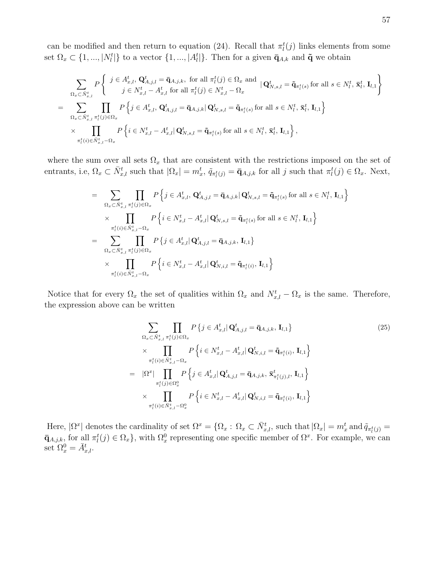can be modified and then return to equation (24). Recall that  $\pi_l^t(j)$  links elements from some set  $\Omega_x \subset \{1, ..., |N_l^t|\}$  to a vector  $\{1, ..., |A_l^t|\}$ . Then for a given  $\bar{q}_{A,k}$  and  $\tilde{q}$  we obtain

$$
\sum_{\Omega_x \subset \bar{N}_{x,l}^t} P\left\{j \in A_{x,l}^t, \mathbf{Q}_{A,j,l}^t = \bar{\mathbf{q}}_{A,j,k}, \text{ for all } \pi_l^t(j) \in \Omega_x \text{ and } |\mathbf{Q}_{N,s,l}^t = \tilde{\mathbf{q}}_{\pi_l^t(s)} \text{ for all } s \in N_l^t, \bar{\mathbf{x}}_l^t, \mathbf{I}_{l,1}\right\}
$$
\n
$$
= \sum_{\Omega_x \subset \bar{N}_{x,l}^t} \prod_{\pi_l^t(j) \in \Omega_x} P\left\{j \in A_{x,l}^t, \mathbf{Q}_{A,j,l}^t = \bar{\mathbf{q}}_{A,j,k} | \mathbf{Q}_{N,s,l}^t = \tilde{\mathbf{q}}_{\pi_l^t(s)} \text{ for all } s \in N_l^t, \bar{\mathbf{x}}_l^t, \mathbf{I}_{l,1}\right\}
$$
\n
$$
\times \prod_{\pi_l^t(i) \in \bar{N}_{x,l}^t - \Omega_x} P\left\{i \in N_{x,l}^t - A_{x,l}^t | \mathbf{Q}_{N,s,l}^t = \tilde{\mathbf{q}}_{\pi_l^t(s)} \text{ for all } s \in N_l^t, \bar{\mathbf{x}}_l^t, \mathbf{I}_{l,1}\right\},
$$

where the sum over all sets  $\Omega_x$  that are consistent with the restrictions imposed on the set of entrants, i.e,  $\Omega_x \subset \bar{N}_{x,l}^t$  such that  $|\Omega_x| = m_x^t$ ,  $\tilde{q}_{\pi_l^t(j)} = \bar{q}_{A,j,k}$  for all j such that  $\pi_l^t(j) \in \Omega_x$ . Next,

$$
= \sum_{\Omega_x \subset \tilde{N}_{x,l}^t} \prod_{\pi_i^t(j) \in \Omega_x} P\left\{j \in A_{x,l}^t, \mathbf{Q}_{A,j,l}^t = \bar{\mathbf{q}}_{A,j,k} | \mathbf{Q}_{N,s,l}^t = \tilde{\mathbf{q}}_{\pi_l^t(s)} \text{ for all } s \in N_l^t, \mathbf{I}_{l,1} \right\}
$$
  
\n
$$
\times \prod_{\pi_i^t(i) \in \bar{N}_{x,l}^t - \Omega_x} P\left\{i \in N_{x,l}^t - A_{x,l}^t | \mathbf{Q}_{N,s,l}^t = \tilde{\mathbf{q}}_{\pi_l^t(s)} \text{ for all } s \in N_l^t, \mathbf{I}_{l,1} \right\}
$$
  
\n
$$
= \sum_{\Omega_x \subset \tilde{N}_{x,l}^t} \prod_{\pi_i^t(j) \in \Omega_x} P\left\{j \in A_{x,l}^t | \mathbf{Q}_{A,j,l}^t = \bar{\mathbf{q}}_{A,j,k}, \mathbf{I}_{l,1} \right\}
$$
  
\n
$$
\times \prod_{\pi_i^t(i) \in \tilde{N}_{x,l}^t - \Omega_x} P\left\{i \in N_{x,l}^t - A_{x,l}^t | \mathbf{Q}_{N,i,l}^t = \tilde{\mathbf{q}}_{\pi_l^t(i)}, \mathbf{I}_{l,1} \right\}
$$

Notice that for every  $\Omega_x$  the set of qualities within  $\Omega_x$  and  $N_{x,l}^t - \Omega_x$  is the same. Therefore, the expression above can be written

$$
\sum_{\Omega_x \subset \bar{N}_{x,l}^t} \prod_{\pi_l^t(j) \in \Omega_x} P\left\{j \in A_{x,l}^t | \mathbf{Q}_{A,j,l}^t = \bar{\mathbf{q}}_{A,j,k}, \mathbf{I}_{l,1}\right\} \tag{25}
$$
\n
$$
\times \prod_{\pi_l^t(i) \in \bar{N}_{x,l}^t - \Omega_x} P\left\{i \in N_{x,l}^t - A_{x,l}^t | \mathbf{Q}_{N,i,l}^t = \tilde{\mathbf{q}}_{\pi_l^t(i)}, \mathbf{I}_{l,1}\right\}
$$
\n
$$
= |\Omega^x| \prod_{\pi_l^t(j) \in \Omega_x^0} P\left\{j \in A_{x,l}^t | \mathbf{Q}_{A,j,l}^t = \bar{\mathbf{q}}_{A,j,k}, \bar{\mathbf{x}}_{\pi_l^t(j),l}^t, \mathbf{I}_{l,1}\right\}
$$
\n
$$
\times \prod_{\pi_l^t(i) \in N_{x,l}^t - \Omega_x^0} P\left\{i \in N_{x,l}^t - A_{x,l}^t | \mathbf{Q}_{N,i,l}^t = \tilde{\mathbf{q}}_{\pi_l^t(i)}, \mathbf{I}_{l,1}\right\}
$$
\n(25)

Here,  $|\Omega^x|$  denotes the cardinality of set  $\Omega^x = \{ \Omega_x : \Omega_x \subset \overline{N}^t_{x,l}, \text{ such that } |\Omega_x| = m^t_x \text{ and } \tilde{q}_{\pi^t_l(j)} =$  $\overline{\mathbf{q}}_{A,j,k}$ , for all  $\pi_l^t(j) \in \Omega_x$ , with  $\Omega_x^0$  representing one specific member of  $\Omega^x$ . For example, we can  $\operatorname{set}^{\bullet}\Omega_{x}^{0}=\bar{A}_{x,l}^{t}.$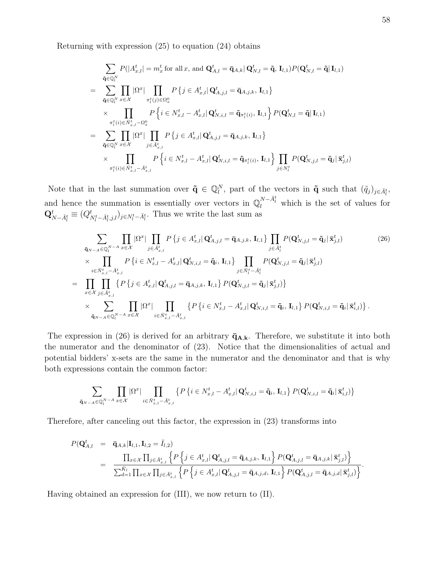Returning with expression (25) to equation (24) obtains

$$
\sum_{\tilde{\mathbf{q}} \in \mathbb{Q}_{l}^{N}} P(|A_{x,l}^{t}| = m_{x}^{t} \text{ for all } x, \text{ and } \mathbf{Q}_{A,l}^{t} = \bar{\mathbf{q}}_{A,k} | \mathbf{Q}_{N,l}^{t} = \tilde{\mathbf{q}}, \mathbf{I}_{l,1}) P(\mathbf{Q}_{N,l}^{t} = \tilde{\mathbf{q}} | \mathbf{I}_{l,1})
$$
\n
$$
= \sum_{\tilde{\mathbf{q}} \in \mathbb{Q}_{l}^{N}} \prod_{x \in \mathcal{X}} |\Omega^{x}| \prod_{\pi_{l}^{t}(j) \in \Omega_{x}^{0}} P\left\{j \in A_{x,l}^{t} | \mathbf{Q}_{A,j,l}^{t} = \bar{\mathbf{q}}_{A,j,k}, \mathbf{I}_{l,1}\right\}
$$
\n
$$
\times \prod_{\pi_{l}^{t}(i) \in \bar{N}_{x,l}^{t} - \Omega_{x}^{0}} P\left\{i \in N_{x,l}^{t} - A_{x,l}^{t} | \mathbf{Q}_{N,i,l}^{t} = \tilde{\mathbf{q}}_{\pi_{l}^{t}(i)}, \mathbf{I}_{l,1}\right\} P(\mathbf{Q}_{N,l}^{t} = \tilde{\mathbf{q}} | \mathbf{I}_{l,1})
$$
\n
$$
= \sum_{\tilde{\mathbf{q}} \in \mathbb{Q}_{l}^{N}} \prod_{x \in \mathcal{X}} |\Omega^{x}| \prod_{j \in \bar{A}_{x,l}^{t}} P\left\{j \in A_{x,l}^{t} | \mathbf{Q}_{A,j,l}^{t} = \bar{\mathbf{q}}_{A,j,k}, \mathbf{I}_{l,1}\right\}
$$
\n
$$
\times \prod_{\pi_{l}^{t}(i) \in \bar{N}_{x,l}^{t} - \bar{A}_{x,l}^{t}} P\left\{i \in N_{x,l}^{t} - A_{x,l}^{t} | \mathbf{Q}_{N,i,l}^{t} = \tilde{\mathbf{q}}_{\pi_{l}^{t}(i)}, \mathbf{I}_{l,1}\right\} \prod_{j \in N_{l}^{t}} P(\mathbf{Q}_{N,j,l}^{t} = \tilde{\mathbf{q}}_{j} | \bar{\mathbf{x}}_{j,l}^{t})
$$

Note that in the last summation over  $\tilde{\mathbf{q}} \in \mathbb{Q}_l^N$ , part of the vectors in  $\tilde{\mathbf{q}}$  such that  $(\tilde{q}_j)_{j \in \bar{A}_l^t}$ , and hence the summation is essentially over vectors in  $\mathbb{Q}_l^{N-\bar{A}_l^t}$  which is the set of values for  $\mathbf{Q}_{N-\bar{A}_{l}^{t}}^{t} \equiv (Q_{N_{l}^{t}-\bar{A}_{l}^{t},j,l}^{t})_{j\in N_{l}^{t}-\bar{A}_{l}^{t}}$ . Thus we write the last sum as

$$
\sum_{\tilde{\mathbf{q}}_{N-A}\in\mathbb{Q}_{l}^{N-A}}\prod_{x\in\mathcal{X}}|\Omega^{x}|\prod_{j\in\tilde{A}_{x,l}^{t}}P\{j\in A_{x,l}^{t}|\mathbf{Q}_{A,j,l}^{t}=\bar{\mathbf{q}}_{A,j,k},\mathbf{I}_{l,1}\}\prod_{j\in\tilde{A}_{l}^{t}}P(\mathbf{Q}_{N,j,l}^{t}=\tilde{\mathbf{q}}_{j}|\bar{\mathbf{x}}_{j,l}^{t})
$$
\n
$$
\times \prod_{i\in\tilde{N}_{x,l}^{t}-\tilde{A}_{x,l}^{t}}P\{i\in N_{x,l}^{t}-A_{x,l}^{t}|\mathbf{Q}_{N,i,l}^{t}=\tilde{\mathbf{q}}_{i},\mathbf{I}_{l,1}\}\prod_{j\in\tilde{N}_{l}^{t}-\tilde{A}_{l}^{t}}P(\mathbf{Q}_{N,j,l}^{t}=\tilde{\mathbf{q}}_{j}|\bar{\mathbf{x}}_{j,l}^{t})
$$
\n
$$
=\prod_{x\in\mathcal{X}}\prod_{j\in\tilde{A}_{x,l}^{t}}\{P\{j\in A_{x,l}^{t}|\mathbf{Q}_{A,j,l}^{t}=\bar{\mathbf{q}}_{A,j,k},\mathbf{I}_{l,1}\}P(\mathbf{Q}_{N,j,l}^{t}=\tilde{\mathbf{q}}_{j}|\bar{\mathbf{x}}_{j,l}^{t})\}
$$
\n
$$
\times \sum_{\tilde{\mathbf{q}}_{N-A}\in\mathbb{Q}_{l}^{N-A}}\prod_{x\in\mathcal{X}}|\Omega^{x}|\prod_{i\in\tilde{N}_{x,l}^{t}-\tilde{A}_{x,l}^{t}}\{P\{i\in N_{x,l}^{t}-A_{x,l}^{t}|\mathbf{Q}_{N,i,l}^{t}=\tilde{\mathbf{q}}_{i},\mathbf{I}_{l,1}\}P(\mathbf{Q}_{N,i,l}^{t}=\tilde{\mathbf{q}}_{i}|\bar{\mathbf{x}}_{i,l}^{t})\}.
$$
\n(26)

The expression in (26) is derived for an arbitrary  $\bar{q}_{A,k}$ . Therefore, we substitute it into both the numerator and the denominator of (23). Notice that the dimensionalities of actual and potential bidders' x-sets are the same in the numerator and the denominator and that is why both expressions contain the common factor:

$$
\sum_{\tilde{\mathbf{q}}_{N-A}\in\mathbb{Q}_{l}^{N-A}}\prod_{x\in\mathcal{X}}|\Omega^{x}|\prod_{i\in\bar{N}_{x,l}^{t}-\bar{A}_{x,l}^{t}}\left\{ P\left\{ i\in N_{x,l}^{t}-A_{x,l}^{t}|\,\mathbf{Q}_{N,i,l}^{t}=\tilde{\mathbf{q}}_{i},\,\mathbf{I}_{l,1}\right\} P(\mathbf{Q}_{N,i,l}^{t}=\tilde{\mathbf{q}}_{i}|\,\bar{\mathbf{x}}_{i,l}^{t})\right\}
$$

Therefore, after canceling out this factor, the expression in (23) transforms into

$$
P(\mathbf{Q}_{A,l}^{t} = \bar{\mathbf{q}}_{A,k} | \mathbf{I}_{l,1}, \mathbf{I}_{l,2} = \bar{I}_{l,2})
$$
  
= 
$$
\frac{\prod_{x \in \mathcal{X}} \prod_{j \in \bar{A}_{x,l}^{t}} \left\{ P \left\{ j \in A_{x,l}^{t} | \mathbf{Q}_{A,j,l}^{t} = \bar{\mathbf{q}}_{A,j,k}, \mathbf{I}_{l,1} \right\} P(\mathbf{Q}_{A,j,l}^{t} = \bar{\mathbf{q}}_{A,j,k} | \bar{\mathbf{x}}_{j,l}^{t}) \right\}}{\sum_{d=1}^{K_{l}} \prod_{x \in \mathcal{X}} \prod_{j \in \bar{A}_{x,l}^{t}} \left\{ P \left\{ j \in A_{x,l}^{t} | \mathbf{Q}_{A,j,l}^{t} = \bar{\mathbf{q}}_{A,j,d}, \mathbf{I}_{l,1} \right\} P(\mathbf{Q}_{A,j,l}^{t} = \bar{\mathbf{q}}_{A,j,d} | \bar{\mathbf{x}}_{j,l}^{t}) \right\}}.
$$

Having obtained an expression for (III), we now return to (II).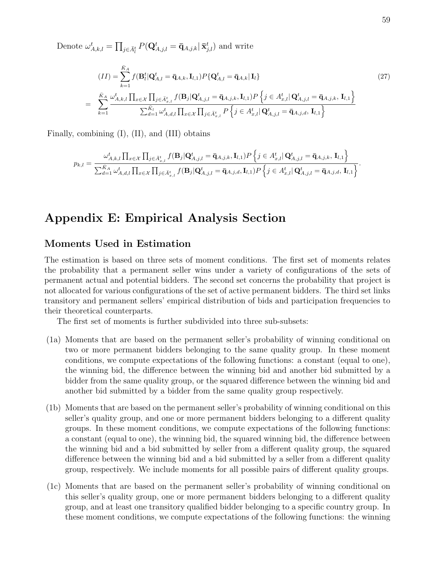Denote  $\omega^t_{A,k,l} = \prod_{j \in \bar{A}_l^t} P(\mathbf{Q}_{A,j,l}^t = \bar{\mathbf{q}}_{A,j,k} | \bar{\mathbf{x}}_{j,l}^t)$  and write

$$
(II) = \sum_{k=1}^{\bar{K}_{A}} f(\mathbf{B}_{l}^{t} | \mathbf{Q}_{A,l}^{t} = \bar{\mathbf{q}}_{A,k}, \mathbf{I}_{l,1}) P\{\mathbf{Q}_{A,l}^{t} = \bar{\mathbf{q}}_{A,k} | \mathbf{I}_{l}\}
$$
\n
$$
= \sum_{k=1}^{\bar{K}_{A}} \frac{\omega_{A,k,l}^{t} \prod_{x \in \mathcal{X}} \prod_{j \in \bar{A}_{x,l}^{t}} f(\mathbf{B}_{j} | \mathbf{Q}_{A,j,l}^{t} = \bar{\mathbf{q}}_{A,j,k}, \mathbf{I}_{l,1}) P\left\{j \in A_{x,l}^{t} | \mathbf{Q}_{A,j,l}^{t} = \bar{\mathbf{q}}_{A,j,k}, \mathbf{I}_{l,1}\right\}}{\sum_{d=1}^{\bar{K}_{l}} \omega_{A,d,l}^{t} \prod_{x \in \mathcal{X}} \prod_{j \in \bar{A}_{x,l}^{t}} P\left\{j \in A_{x,l}^{t} | \mathbf{Q}_{A,j,l}^{t} = \bar{\mathbf{q}}_{A,j,d}, \mathbf{I}_{l,1}\right\}}
$$
\n
$$
(27)
$$

Finally, combining (I), (II), and (III) obtains

$$
p_{k,l} = \frac{\omega_{A,k,l}^{t} \prod_{x \in \mathcal{X}} \prod_{j \in \bar{A}_{x,l}^{t}} f(\mathbf{B}_{j} | \mathbf{Q}_{A,j,l}^{t} = \bar{\mathbf{q}}_{A,j,k}, \mathbf{I}_{l,1}) P\left\{j \in A_{x,l}^{t} | \mathbf{Q}_{A,j,l}^{t} = \bar{\mathbf{q}}_{A,j,k}, \mathbf{I}_{l,1}\right\}}{\sum_{d=1}^{\bar{K}_{A}} \omega_{A,d,l}^{t} \prod_{x \in \mathcal{X}} \prod_{j \in \bar{A}_{x,l}^{t}} f(\mathbf{B}_{j} | \mathbf{Q}_{A,j,l}^{t} = \bar{\mathbf{q}}_{A,j,d}, \mathbf{I}_{l,1}) P\left\{j \in A_{x,l}^{t} | \mathbf{Q}_{A,j,l}^{t} = \bar{\mathbf{q}}_{A,j,d}, \mathbf{I}_{l,1}\right\}}.
$$

### Appendix E: Empirical Analysis Section

#### Moments Used in Estimation

The estimation is based on three sets of moment conditions. The first set of moments relates the probability that a permanent seller wins under a variety of configurations of the sets of permanent actual and potential bidders. The second set concerns the probability that project is not allocated for various configurations of the set of active permanent bidders. The third set links transitory and permanent sellers' empirical distribution of bids and participation frequencies to their theoretical counterparts.

The first set of moments is further subdivided into three sub-subsets:

- (1a) Moments that are based on the permanent seller's probability of winning conditional on two or more permanent bidders belonging to the same quality group. In these moment conditions, we compute expectations of the following functions: a constant (equal to one), the winning bid, the difference between the winning bid and another bid submitted by a bidder from the same quality group, or the squared difference between the winning bid and another bid submitted by a bidder from the same quality group respectively.
- (1b) Moments that are based on the permanent seller's probability of winning conditional on this seller's quality group, and one or more permanent bidders belonging to a different quality groups. In these moment conditions, we compute expectations of the following functions: a constant (equal to one), the winning bid, the squared winning bid, the difference between the winning bid and a bid submitted by seller from a different quality group, the squared difference between the winning bid and a bid submitted by a seller from a different quality group, respectively. We include moments for all possible pairs of different quality groups.
- (1c) Moments that are based on the permanent seller's probability of winning conditional on this seller's quality group, one or more permanent bidders belonging to a different quality group, and at least one transitory qualified bidder belonging to a specific country group. In these moment conditions, we compute expectations of the following functions: the winning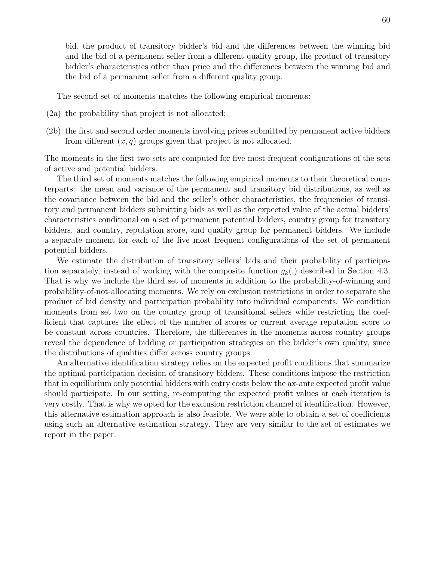bid, the product of transitory bidder's bid and the differences between the winning bid and the bid of a permanent seller from a different quality group, the product of transitory bidder's characteristics other than price and the differences between the winning bid and the bid of a permanent seller from a different quality group.

The second set of moments matches the following empirical moments:

- (2a) the probability that project is not allocated;
- (2b) the first and second order moments involving prices submitted by permanent active bidders from different  $(x, q)$  groups given that project is not allocated.

The moments in the first two sets are computed for five most frequent configurations of the sets of active and potential bidders.

The third set of moments matches the following empirical moments to their theoretical counterparts: the mean and variance of the permanent and transitory bid distributions, as well as the covariance between the bid and the seller's other characteristics, the frequencies of transitory and permanent bidders submitting bids as well as the expected value of the actual bidders' characteristics conditional on a set of permanent potential bidders, country group for transitory bidders, and country, reputation score, and quality group for permanent bidders. We include a separate moment for each of the five most frequent configurations of the set of permanent potential bidders.

We estimate the distribution of transitory sellers' bids and their probability of participation separately, instead of working with the composite function  $g_k(.)$  described in Section 4.3. That is why we include the third set of moments in addition to the probability-of-winning and probability-of-not-allocating moments. We rely on exclusion restrictions in order to separate the product of bid density and participation probability into individual components. We condition moments from set two on the country group of transitional sellers while restricting the coefficient that captures the effect of the number of scores or current average reputation score to be constant across countries. Therefore, the differences in the moments across country groups reveal the dependence of bidding or participation strategies on the bidder's own quality, since the distributions of qualities differ across country groups.

An alternative identification strategy relies on the expected profit conditions that summarize the optimal participation decision of transitory bidders. These conditions impose the restriction that in equilibrium only potential bidders with entry costs below the ax-ante expected profit value should participate. In our setting, re-computing the expected profit values at each iteration is very costly. That is why we opted for the exclusion restriction channel of identification. However, this alternative estimation approach is also feasible. We were able to obtain a set of coefficients using such an alternative estimation strategy. They are very similar to the set of estimates we report in the paper.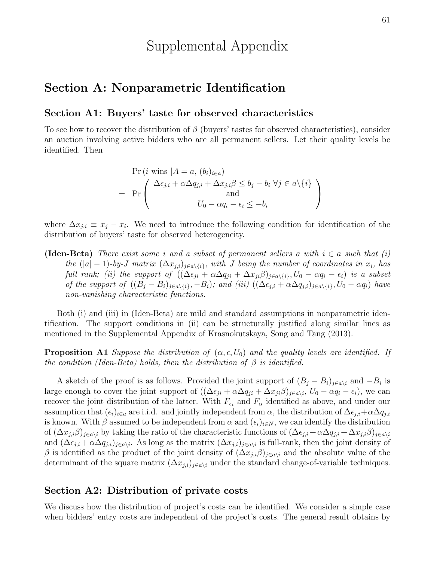# Supplemental Appendix

## Section A: Nonparametric Identification

#### Section A1: Buyers' taste for observed characteristics

To see how to recover the distribution of  $\beta$  (buyers' tastes for observed characteristics), consider an auction involving active bidders who are all permanent sellers. Let their quality levels be identified. Then

$$
\Pr(i \text{ wins } | A = a, (b_i)_{i \in a})
$$
\n
$$
= \Pr \left( \frac{\Delta \epsilon_{j,i} + \alpha \Delta q_{j,i} + \Delta x_{j,i} \beta \le b_j - b_i \ \forall j \in a \setminus \{i\}}{U_0 - \alpha q_i - \epsilon_i \le -b_i} \right)
$$

where  $\Delta x_{j,i} \equiv x_j - x_i$ . We need to introduce the following condition for identification of the distribution of buyers' taste for observed heterogeneity.

**(Iden-Beta)** There exist some i and a subset of permanent sellers a with  $i \in a$  such that (i) the  $(|a| - 1)$ -by-J matrix  $(\Delta x_{j,i})_{j \in a \setminus \{i\}}$ , with J being the number of coordinates in  $x_i$ , has full rank; (ii) the support of  $((\Delta \epsilon_{ji} + \alpha \Delta q_{ji} + \Delta x_{ji} \beta)_{j \in a \setminus \{i\}}, U_0 - \alpha q_i - \epsilon_i)$  is a subset of the support of  $((B_j - B_i)_{j \in \alpha \setminus \{i\}}, -B_i)$ ; and  $(iii)$   $((\Delta \epsilon_{j,i} + \alpha \Delta q_{j,i})_{j \in \alpha \setminus \{i\}}, U_0 - \alpha q_i)$  have non-vanishing characteristic functions.

Both (i) and (iii) in (Iden-Beta) are mild and standard assumptions in nonparametric identification. The support conditions in (ii) can be structurally justified along similar lines as mentioned in the Supplemental Appendix of Krasnokutskaya, Song and Tang (2013).

**Proposition A1** Suppose the distribution of  $(\alpha, \epsilon, U_0)$  and the quality levels are identified. If the condition (Iden-Beta) holds, then the distribution of  $\beta$  is identified.

A sketch of the proof is as follows. Provided the joint support of  $(B_j - B_i)_{j \in \alpha \setminus i}$  and  $-B_i$  is large enough to cover the joint support of  $((\Delta \epsilon_{ji} + \alpha \Delta q_{ji} + \Delta x_{ji} \beta)_{j \in \alpha \setminus i}, U_0 - \alpha q_i - \epsilon_i)$ , we can recover the joint distribution of the latter. With  $F_{\epsilon_i}$  and  $F_{\alpha}$  identified as above, and under our assumption that  $(\epsilon_i)_{i\in a}$  are i.i.d. and jointly independent from  $\alpha$ , the distribution of  $\Delta \epsilon_{i,i}+\alpha \Delta q_{i,i}$ is known. With  $\beta$  assumed to be independent from  $\alpha$  and  $(\epsilon_i)_{i\in N}$ , we can identify the distribution of  $(\Delta x_{j,i}\beta)_{j\in a\setminus i}$  by taking the ratio of the characteristic functions of  $(\Delta \epsilon_{j,i} + \alpha \Delta q_{j,i} + \Delta x_{j,i}\beta)_{j\in a\setminus i}$ and  $(\Delta \epsilon_{j,i} + \alpha \Delta q_{j,i})_{j \in a\setminus i}$ . As long as the matrix  $(\Delta x_{j,i})_{j \in a\setminus i}$  is full-rank, then the joint density of β is identified as the product of the joint density of  $(\Delta x_{j,i} \beta)_{j \in a \setminus i}$  and the absolute value of the determinant of the square matrix  $(\Delta x_{j,i})_{i\in\alpha\setminus i}$  under the standard change-of-variable techniques.

#### Section A2: Distribution of private costs

We discuss how the distribution of project's costs can be identified. We consider a simple case when bidders' entry costs are independent of the project's costs. The general result obtains by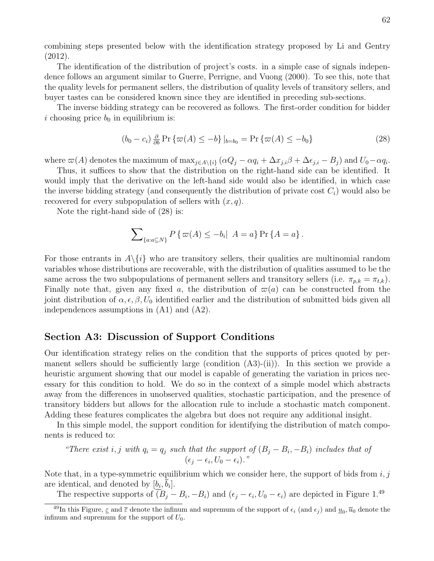combining steps presented below with the identification strategy proposed by Li and Gentry (2012).

The identification of the distribution of project's costs. in a simple case of signals independence follows an argument similar to Guerre, Perrigne, and Vuong (2000). To see this, note that the quality levels for permanent sellers, the distribution of quality levels of transitory sellers, and buyer tastes can be considered known since they are identified in preceding sub-sections.

The inverse bidding strategy can be recovered as follows. The first-order condition for bidder i choosing price  $b_0$  in equilibrium is:

$$
(b_0 - c_i) \frac{\partial}{\partial b} \Pr \{ \varpi(A) \leq -b \} |_{b=b_0} = \Pr \{ \varpi(A) \leq -b_0 \}
$$
 (28)

where  $\varpi(A)$  denotes the maximum of max<sub>j∈A</sub> $_{\{i\}} (\alpha Q_j - \alpha q_i + \Delta x_{j,i} \beta + \Delta \epsilon_{j,i} - B_j )$  and  $U_0 - \alpha q_i$ .

Thus, it suffices to show that the distribution on the right-hand side can be identified. It would imply that the derivative on the left-hand side would also be identified, in which case the inverse bidding strategy (and consequently the distribution of private cost  $C_i$ ) would also be recovered for every subpopulation of sellers with  $(x, q)$ .

Note the right-hand side of (28) is:

$$
\sum\nolimits_{\{a:a\subseteq N\}} P\left\{\left.\varpi(A)\leq-b_i\right|\ A=a\right\} \Pr\left\{A=a\right\}.
$$

For those entrants in  $A \setminus \{i\}$  who are transitory sellers, their qualities are multinomial random variables whose distributions are recoverable, with the distribution of qualities assumed to be the same across the two subpopulations of permanent sellers and transitory sellers (i.e.  $\pi_{p,k} = \pi_{t,k}$ ). Finally note that, given any fixed a, the distribution of  $\varpi(a)$  can be constructed from the joint distribution of  $\alpha, \epsilon, \beta, U_0$  identified earlier and the distribution of submitted bids given all independences assumptions in (A1) and (A2).

#### Section A3: Discussion of Support Conditions

Our identification strategy relies on the condition that the supports of prices quoted by permanent sellers should be sufficiently large (condition  $(A3)-(ii)$ ). In this section we provide a heuristic argument showing that our model is capable of generating the variation in prices necessary for this condition to hold. We do so in the context of a simple model which abstracts away from the differences in unobserved qualities, stochastic participation, and the presence of transitory bidders but allows for the allocation rule to include a stochastic match component. Adding these features complicates the algebra but does not require any additional insight.

In this simple model, the support condition for identifying the distribution of match components is reduced to:

"There exist 
$$
i, j
$$
 with  $q_i = q_j$  such that the support of  $(B_j - B_i, -B_i)$  includes that of  $(\epsilon_j - \epsilon_i, U_0 - \epsilon_i)$ ."

Note that, in a type-symmetric equilibrium which we consider here, the support of bids from  $i, j$ are identical, and denoted by  $[b_i, b_i]$ .

The respective supports of  $(B_j - B_i, -B_i)$  and  $(\epsilon_j - \epsilon_i, U_0 - \epsilon_i)$  are depicted in Figure 1.<sup>49</sup>

<sup>&</sup>lt;sup>49</sup>In this Figure,  $\underline{\varepsilon}$  and  $\overline{\varepsilon}$  denote the infinum and supremum of the support of  $\epsilon_i$  (and  $\epsilon_j$ ) and  $\underline{u}_0, \overline{u}_0$  denote the infinum and supremum for the support of  $U_0$ .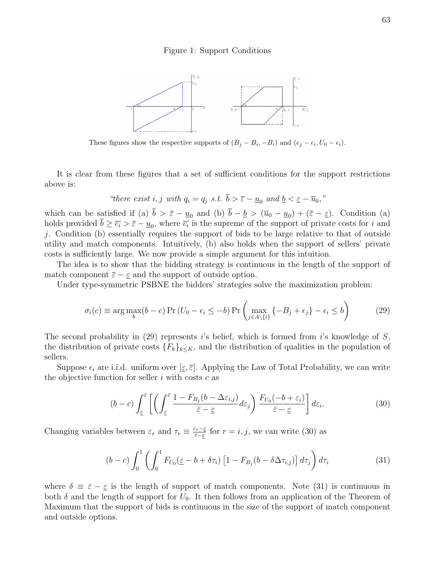#### Figure 1: Support Conditions



These figures show the respective supports of  $(B_j - B_i, -B_i)$  and  $(\epsilon_j - \epsilon_i, U_0 - \epsilon_i)$ .

It is clear from these figures that a set of sufficient conditions for the support restrictions above is:

"there exist 
$$
i, j
$$
 with  $q_i = q_j$  s.t.  $\overline{b} > \overline{\varepsilon} - \underline{u}_0$  and  $\underline{b} < \underline{\varepsilon} - \overline{u}_0$ ,"

which can be satisfied if (a)  $b > \bar{\varepsilon} - \underline{u}_0$  and (b)  $b - \underline{b} > (\bar{u}_0 - \underline{u}_0) + (\bar{\varepsilon} - \underline{\varepsilon})$ . Condition (a) holds provided  $b \geq \overline{c_i} > \overline{\varepsilon} - \underline{u}_0$ , where  $\overline{c_i}$  is the supreme of the support of private costs for i and j. Condition (b) essentially requires the support of bids to be large relative to that of outside utility and match components. Intuitively, (b) also holds when the support of sellers' private costs is sufficiently large. We now provide a simple argument for this intuition.

The idea is to show that the bidding strategy is continuous in the length of the support of match component  $\overline{\varepsilon} - \underline{\varepsilon}$  and the support of outside option.

Under type-symmetric PSBNE the bidders' strategies solve the maximization problem:

$$
\sigma_i(c) \equiv \arg \max_b (b - c) \Pr \left( U_0 - \epsilon_i \leq -b \right) \Pr \left( \max_{j \in A \setminus \{i\}} \{-B_j + \epsilon_j\} - \epsilon_i \leq b \right) \tag{29}
$$

The second probability in (29) represents i's belief, which is formed from i's knowledge of  $S$ , the distribution of private costs  ${F_k}_{k\leq K}$ , and the distribution of qualities in the population of sellers.

Suppose  $\epsilon_i$  are i.i.d. uniform over  $[\epsilon, \overline{\epsilon}]$ . Applying the Law of Total Probability, we can write the objective function for seller  $i$  with costs  $c$  as

$$
(b-c)\int_{\underline{\varepsilon}}^{\overline{\varepsilon}}\left[\left(\int_{\underline{\varepsilon}}^{\overline{\varepsilon}}\frac{1-F_{B_j}(b-\Delta\varepsilon_{i,j})}{\overline{\varepsilon}-\underline{\varepsilon}}d\varepsilon_j\right)\frac{F_{U_0}(-b+\varepsilon_i)}{\overline{\varepsilon}-\underline{\varepsilon}}\right]d\varepsilon_i.
$$
 (30)

Changing variables between  $\varepsilon_r$  and  $\tau_r \equiv \frac{\varepsilon_r - \varepsilon}{\overline{\varepsilon} - \varepsilon}$  $\frac{\varepsilon_r - \varepsilon}{\varepsilon - \varepsilon}$  for  $r = i, j$ , we can write (30) as

$$
(b-c)\int_0^1 \left(\int_0^1 F_{U_0}(\underline{\varepsilon}-b+\delta\tau_i) \left[1-F_{B_j}(b-\delta\Delta\tau_{i,j})\right] d\tau_j\right) d\tau_i
$$
\n(31)

where  $\delta \equiv \bar{\varepsilon} - \underline{\varepsilon}$  is the length of support of match components. Note (31) is continuous in both  $\delta$  and the length of support for  $U_0$ . It then follows from an application of the Theorem of Maximum that the support of bids is continuous in the size of the support of match component and outside options.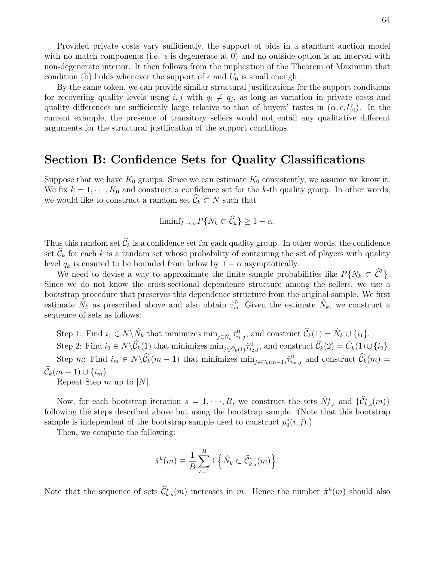Provided private costs vary sufficiently, the support of bids in a standard auction model with no match components (i.e.  $\epsilon$  is degenerate at 0) and no outside option is an interval with non-degenerate interior. It then follows from the implication of the Theorem of Maximum that condition (b) holds whenever the support of  $\epsilon$  and  $U_0$  is small enough.

By the same token, we can provide similar structural justifications for the support conditions for recovering quality levels using  $i, j$  with  $q_i \neq q_j$ , as long as variation in private costs and quality differences are sufficiently large relative to that of buyers' tastes in  $(\alpha, \epsilon, U_0)$ . In the current example, the presence of transitory sellers would not entail any qualitative different arguments for the structural justification of the support conditions.

### Section B: Confidence Sets for Quality Classifications

Suppose that we have  $K_0$  groups. Since we can estimate  $K_0$  consistently, we assume we know it. We fix  $k = 1, \dots, K_0$  and construct a confidence set for the k-th quality group. In other words, we would like to construct a random set  $\mathcal{C}_k \subset N$  such that

$$
\liminf_{L\to\infty} P\{N_k\subset C_k\} \ge 1-\alpha.
$$

Thus this random set  $\widehat{\mathcal{C}}_k$  is a confidence set for each quality group. In other words, the confidence set  $\widehat{\mathcal{C}}_k$  for each k is a random set whose probability of containing the set of players with quality level  $q_k$  is ensured to be bounded from below by  $1 - \alpha$  asymptotically.

We need to devise a way to approximate the finite sample probabilities like  $P\{N_k \subset \hat{C}^k\}$ . Since we do not know the cross-sectional dependence structure among the sellers, we use a bootstrap procedure that preserves this dependence structure from the original sample. We first estimate  $\tilde{N}_k$  as prescribed above and also obtain  $\hat{\tau}_{ij}^0$ . Given the estimate  $\hat{N}_k$ , we construct a sequence of sets as follows:

Step 1: Find  $i_1 \in N \setminus \hat{N}_k$  that minimizes  $\min_{j \in \hat{N}_k} \hat{\tau}_{i_1,j}^0$ , and construct  $\widehat{\mathcal{C}}_k(1) = \hat{N}_k \cup \{i_1\}.$ Step 2: Find  $i_2 \in N \setminus \widehat{C}_k(1)$  that minimizes  $\min_{j \in \widehat{C}_k(1)} \widehat{\tau}_{i_2,j}^0$ , and construct  $\widehat{C}_k(2) = \widehat{C}_k(1) \cup \{i_2\}.$ Step m: Find  $i_m \in N \setminus \widehat{C}_k(m-1)$  that minimizes  $\min_{j \in \widehat{C}_k(m-1)} \widehat{\tau}_{i_m,j}^0$  and construct  $\widehat{C}_k(m)$  =  $\widehat{\mathcal{C}}_k(m-1) \cup \{i_m\}.$ Repeat Step m up to  $|N|$ .

Now, for each bootstrap iteration  $s = 1, \dots, B$ , we construct the sets  $\hat{N}_{k,s}^*$  and  $\{\widehat{C}_{k,s}^*(m)\}$ following the steps described above but using the bootstrap sample. (Note that this bootstrap sample is independent of the bootstrap sample used to construct  $p_0^*(i, j)$ .)

Then, we compute the following:

$$
\hat{\pi}^k(m) \equiv \frac{1}{B} \sum_{s=1}^B 1 \left\{ \hat{N}_k \subset \hat{\mathcal{C}}_{k,s}^*(m) \right\}.
$$

Note that the sequence of sets  $\hat{C}_{k,s}(m)$  increases in m. Hence the number  $\hat{\pi}^k(m)$  should also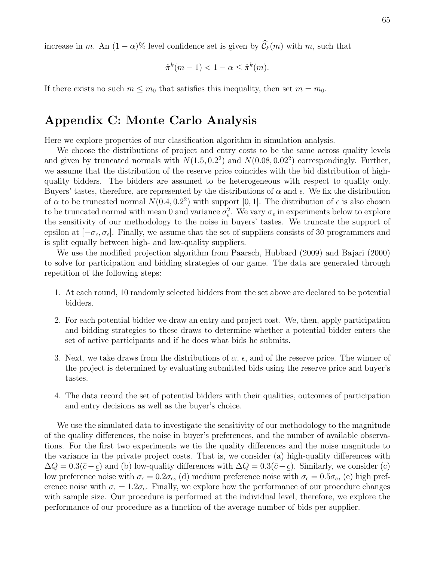increase in m. An  $(1 - \alpha)$ % level confidence set is given by  $\widehat{\mathcal{C}}_k(m)$  with m, such that

$$
\hat{\pi}^k(m-1) < 1 - \alpha \leq \hat{\pi}^k(m).
$$

If there exists no such  $m \leq m_0$  that satisfies this inequality, then set  $m = m_0$ .

## Appendix C: Monte Carlo Analysis

Here we explore properties of our classification algorithm in simulation analysis.

We choose the distributions of project and entry costs to be the same across quality levels and given by truncated normals with  $N(1.5, 0.2^2)$  and  $N(0.08, 0.02^2)$  correspondingly. Further, we assume that the distribution of the reserve price coincides with the bid distribution of highquality bidders. The bidders are assumed to be heterogeneous with respect to quality only. Buyers' tastes, therefore, are represented by the distributions of  $\alpha$  and  $\epsilon$ . We fix the distribution of  $\alpha$  to be truncated normal  $N(0.4, 0.2^2)$  with support [0, 1]. The distribution of  $\epsilon$  is also chosen to be truncated normal with mean 0 and variance  $\sigma_{\epsilon}^2$ . We vary  $\sigma_{\epsilon}$  in experiments below to explore the sensitivity of our methodology to the noise in buyers' tastes. We truncate the support of epsilon at  $[-\sigma_{\epsilon}, \sigma_{\epsilon}]$ . Finally, we assume that the set of suppliers consists of 30 programmers and is split equally between high- and low-quality suppliers.

We use the modified projection algorithm from Paarsch, Hubbard (2009) and Bajari (2000) to solve for participation and bidding strategies of our game. The data are generated through repetition of the following steps:

- 1. At each round, 10 randomly selected bidders from the set above are declared to be potential bidders.
- 2. For each potential bidder we draw an entry and project cost. We, then, apply participation and bidding strategies to these draws to determine whether a potential bidder enters the set of active participants and if he does what bids he submits.
- 3. Next, we take draws from the distributions of  $\alpha$ ,  $\epsilon$ , and of the reserve price. The winner of the project is determined by evaluating submitted bids using the reserve price and buyer's tastes.
- 4. The data record the set of potential bidders with their qualities, outcomes of participation and entry decisions as well as the buyer's choice.

We use the simulated data to investigate the sensitivity of our methodology to the magnitude of the quality differences, the noise in buyer's preferences, and the number of available observations. For the first two experiments we tie the quality differences and the noise magnitude to the variance in the private project costs. That is, we consider (a) high-quality differences with  $\Delta Q = 0.3(\bar{c} - \underline{c})$  and (b) low-quality differences with  $\Delta Q = 0.3(\bar{c} - \underline{c})$ . Similarly, we consider (c) low preference noise with  $\sigma_{\epsilon} = 0.2 \sigma_c$ , (d) medium preference noise with  $\sigma_{\epsilon} = 0.5 \sigma_c$ , (e) high preference noise with  $\sigma_{\epsilon} = 1.2 \sigma_{c}$ . Finally, we explore how the performance of our procedure changes with sample size. Our procedure is performed at the individual level, therefore, we explore the performance of our procedure as a function of the average number of bids per supplier.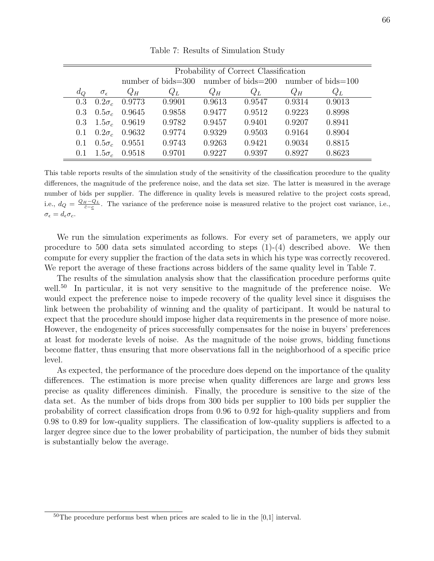|       |                     | Probability of Correct Classification |        |                                             |        |        |        |  |  |  |
|-------|---------------------|---------------------------------------|--------|---------------------------------------------|--------|--------|--------|--|--|--|
|       |                     | number of bids $=300$                 |        | number of bids= $200$ number of bids= $100$ |        |        |        |  |  |  |
| $d_Q$ | $\sigma_{\epsilon}$ | $Q_H$                                 | $Q_L$  | $Q_H$                                       | $Q_L$  | $Q_H$  | $Q_L$  |  |  |  |
| 0.3   |                     | $0.2\sigma_c$ 0.9773                  | 0.9901 | 0.9613                                      | 0.9547 | 0.9314 | 0.9013 |  |  |  |
| 0.3   | $0.5\sigma_c$       | 0.9645                                | 0.9858 | 0.9477                                      | 0.9512 | 0.9223 | 0.8998 |  |  |  |
| 0.3   |                     | $1.5\sigma_c$ 0.9619                  | 0.9782 | 0.9457                                      | 0.9401 | 0.9207 | 0.8941 |  |  |  |
|       | 0.1 $0.2\sigma_c$   | 0.9632                                | 0.9774 | 0.9329                                      | 0.9503 | 0.9164 | 0.8904 |  |  |  |
| 0.1   | $0.5\sigma_c$       | 0.9551                                | 0.9743 | 0.9263                                      | 0.9421 | 0.9034 | 0.8815 |  |  |  |
| 0.1   | $1.5\sigma_c$       | 0.9518                                | 0.9701 | 0.9227                                      | 0.9397 | 0.8927 | 0.8623 |  |  |  |

Table 7: Results of Simulation Study

This table reports results of the simulation study of the sensitivity of the classification procedure to the quality differences, the magnitude of the preference noise, and the data set size. The latter is measured in the average number of bids per supplier. The difference in quality levels is measured relative to the project costs spread, i.e.,  $d_Q = \frac{Q_H - Q_L}{\bar{c} - \underline{c}}$ . The variance of the preference noise is measured relative to the project cost variance, i.e.,  $\sigma_{\epsilon}=d_{\epsilon}\sigma_c.$ 

We run the simulation experiments as follows. For every set of parameters, we apply our procedure to 500 data sets simulated according to steps  $(1)-(4)$  described above. We then compute for every supplier the fraction of the data sets in which his type was correctly recovered. We report the average of these fractions across bidders of the same quality level in Table 7.

The results of the simulation analysis show that the classification procedure performs quite well.<sup>50</sup> In particular, it is not very sensitive to the magnitude of the preference noise. We would expect the preference noise to impede recovery of the quality level since it disguises the link between the probability of winning and the quality of participant. It would be natural to expect that the procedure should impose higher data requirements in the presence of more noise. However, the endogeneity of prices successfully compensates for the noise in buyers' preferences at least for moderate levels of noise. As the magnitude of the noise grows, bidding functions become flatter, thus ensuring that more observations fall in the neighborhood of a specific price level.

As expected, the performance of the procedure does depend on the importance of the quality differences. The estimation is more precise when quality differences are large and grows less precise as quality differences diminish. Finally, the procedure is sensitive to the size of the data set. As the number of bids drops from 300 bids per supplier to 100 bids per supplier the probability of correct classification drops from 0.96 to 0.92 for high-quality suppliers and from 0.98 to 0.89 for low-quality suppliers. The classification of low-quality suppliers is affected to a larger degree since due to the lower probability of participation, the number of bids they submit is substantially below the average.

 $50$ The procedure performs best when prices are scaled to lie in the [0,1] interval.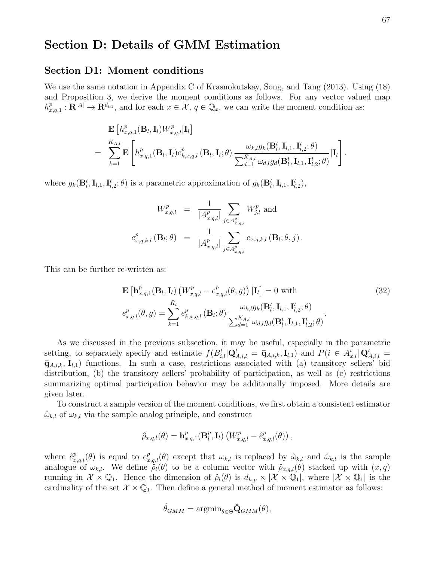### Section D: Details of GMM Estimation

#### Section D1: Moment conditions

We use the same notation in Appendix C of Krasnokutskay, Song, and Tang (2013). Using (18) and Proposition 3, we derive the moment conditions as follows. For any vector valued map  $h_x^p$  $x_{k,q,1}^p: \mathbf{R}^{|A|} \to \mathbf{R}^{d_{h1}},$  and for each  $x \in \mathcal{X}, q \in \mathbb{Q}_x$ , we can write the moment condition as:

$$
\mathbf{E}\left[h_{x,q,1}^p(\mathbf{B}_l,\mathbf{I}_l)W_{x,q,l}^p|\mathbf{I}_l\right] \n= \sum_{k=1}^{\bar{K}_{A,l}}\mathbf{E}\left[h_{x,q,1}^p(\mathbf{B}_l,\mathbf{I}_l)e_{k,x,q,l}^p(\mathbf{B}_l,\mathbf{I}_l;\theta)\frac{\omega_{k,l}g_k(\mathbf{B}_l^t,\mathbf{I}_{l,1},\mathbf{I}_{l,2}^t;\theta)}{\sum_{d=1}^{\bar{K}_{A,l}}\omega_{d,l}g_d(\mathbf{B}_l^t,\mathbf{I}_{l,1},\mathbf{I}_{l,2}^t;\theta)}|\mathbf{I}_l\right].
$$

where  $g_k(\mathbf{B}_l^t, \mathbf{I}_{l,1}, \mathbf{I}_{l,2}^t; \theta)$  is a parametric approximation of  $g_k(\mathbf{B}_l^t, \mathbf{I}_{l,1}, \mathbf{I}_{l,2}^t)$ ,

$$
W_{x,q,l}^{p} = \frac{1}{|A_{x,q,l}^{p}|} \sum_{j \in A_{x,q,l}^{p}} W_{j,l}^{p} \text{ and}
$$
  

$$
e_{x,q,k,l}^{p}(\mathbf{B}_{l}; \theta) = \frac{1}{|A_{x,q,l}^{p}|} \sum_{j \in A_{x,q,l}^{p}} e_{x,q,k,l}(\mathbf{B}_{l}; \theta, j).
$$

This can be further re-written as:

$$
\mathbf{E}\left[\mathbf{h}_{x,q,1}^{p}(\mathbf{B}_{l},\mathbf{I}_{l})\left(W_{x,q,l}^{p}-e_{x,q,l}^{p}(\theta,g)\right)|\mathbf{I}_{l}\right]=0 \text{ with}
$$
\n
$$
e_{x,q,l}^{p}(\theta,g)=\sum_{k=1}^{\bar{K}_{l}}e_{k,x,q,l}^{p}(\mathbf{B}_{l};\theta)\frac{\omega_{k,l}g_{k}(\mathbf{B}_{l}^{t},\mathbf{I}_{l,1},\mathbf{I}_{l,2}^{t};\theta)}{\sum_{d=1}^{\bar{K}_{A,l}}\omega_{d,l}g_{d}(\mathbf{B}_{l}^{t},\mathbf{I}_{l,1},\mathbf{I}_{l,2}^{t};\theta)}.
$$
\n(32)

As we discussed in the previous subsection, it may be useful, especially in the parametric setting, to separately specify and estimate  $f(B_{i,l}^t | \mathbf{Q}_{A,i,l}^t = \bar{\mathbf{q}}_{A,i,k}, \mathbf{I}_{l,1})$  and  $P(i \in A_{x,l}^t | \mathbf{Q}_{A,i,l}^t =$  $\bar{\mathbf{q}}_{A,i,k}, \mathbf{I}_{l,1}$ ) functions. In such a case, restrictions associated with (a) transitory sellers' bid distribution, (b) the transitory sellers' probability of participation, as well as (c) restrictions summarizing optimal participation behavior may be additionally imposed. More details are given later.

To construct a sample version of the moment conditions, we first obtain a consistent estimator  $\hat{\omega}_{k,l}$  of  $\omega_{k,l}$  via the sample analog principle, and construct

$$
\hat{\rho}_{x,q,l}(\theta) = \mathbf{h}_{x,q,1}^p(\mathbf{B}_l^p,\mathbf{I}_l) \left(W_{x,q,l}^p - \hat{e}_{x,q,l}^p(\theta)\right),
$$

where  $\hat{e}^p_{x,q,l}(\theta)$  is equal to  $e^p_{x,q,l}(\theta)$  except that  $\omega_{k,l}$  is replaced by  $\hat{\omega}_{k,l}$  and  $\hat{\omega}_{k,l}$  is the sample analogue of  $\omega_{k,l}$ . We define  $\hat{\rho}_l(\theta)$  to be a column vector with  $\hat{\rho}_{x,q,l}(\theta)$  stacked up with  $(x, q)$ running in  $\mathcal{X} \times \mathbb{Q}_1$ . Hence the dimension of  $\hat{\rho}_l(\theta)$  is  $d_{h,p} \times |\mathcal{X} \times \mathbb{Q}_1|$ , where  $|\mathcal{X} \times \mathbb{Q}_1|$  is the cardinality of the set  $\mathcal{X} \times \mathbb{Q}_1$ . Then define a general method of moment estimator as follows:

$$
\hat{\theta}_{GMM} = \operatorname{argmin}_{\theta \in \Theta} \hat{\mathbf{Q}}_{GMM}(\theta),
$$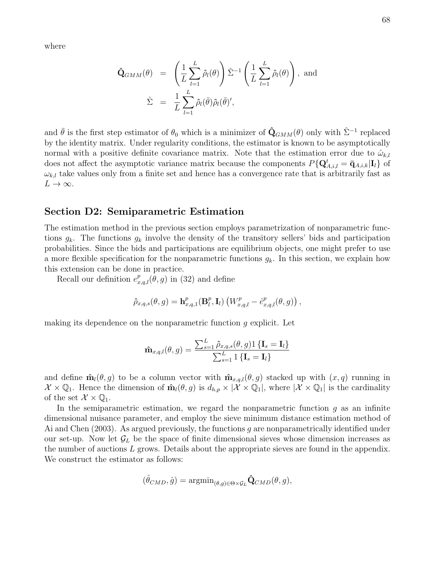where

$$
\hat{\mathbf{Q}}_{GMM}(\theta) = \left(\frac{1}{L} \sum_{l=1}^{L} \hat{\rho}_l(\theta)\right) \hat{\Sigma}^{-1} \left(\frac{1}{L} \sum_{l=1}^{L} \hat{\rho}_l(\theta)\right), \text{ and}
$$

$$
\hat{\Sigma} = \frac{1}{L} \sum_{l=1}^{L} \hat{\rho}_l(\bar{\theta}) \hat{\rho}_l(\bar{\theta})',
$$

and  $\bar{\theta}$  is the first step estimator of  $\theta_0$  which is a minimizer of  $\hat{\mathbf{Q}}_{GMM}(\theta)$  only with  $\hat{\Sigma}^{-1}$  replaced by the identity matrix. Under regularity conditions, the estimator is known to be asymptotically normal with a positive definite covariance matrix. Note that the estimation error due to  $\hat{\omega}_{k,l}$ does not affect the asymptotic variance matrix because the components  $P\{Q_{A,i,l}^t = \bar{q}_{A,i,k}| \mathbf{I}_l\}$  of  $\omega_{k,l}$  take values only from a finite set and hence has a convergence rate that is arbitrarily fast as  $L \to \infty$ .

#### Section D2: Semiparametric Estimation

The estimation method in the previous section employs parametrization of nonparametric functions  $g_k$ . The functions  $g_k$  involve the density of the transitory sellers' bids and participation probabilities. Since the bids and participations are equilibrium objects, one might prefer to use a more flexible specification for the nonparametric functions  $g_k$ . In this section, we explain how this extension can be done in practice.

Recall our definition  $e_{x,q,l}^p(\theta, g)$  in (32) and define

$$
\hat{\rho}_{x,q,s}(\theta,g) = \mathbf{h}_{x,q,1}^p(\mathbf{B}_l^p,\mathbf{I}_l) \left( W_{x,q,l}^p - \hat{e}_{x,q,l}^p(\theta,g) \right),
$$

making its dependence on the nonparametric function  $q$  explicit. Let

$$
\hat{\mathbf{m}}_{x,q,l}(\theta,g) = \frac{\sum_{s=1}^{L} \hat{\rho}_{x,q,s}(\theta,g) \mathbf{1} \left\{ \mathbf{I}_s = \mathbf{I}_l \right\}}{\sum_{s=1}^{L} \mathbf{1} \left\{ \mathbf{I}_s = \mathbf{I}_l \right\}}
$$

and define  $\hat{\mathbf{m}}_l(\theta, g)$  to be a column vector with  $\hat{\mathbf{m}}_{x,q,l}(\theta, g)$  stacked up with  $(x, q)$  running in  $\mathcal{X} \times \mathbb{Q}_1$ . Hence the dimension of  $\hat{\mathbf{m}}_l(\theta, g)$  is  $d_{h,p} \times |\mathcal{X} \times \mathbb{Q}_1|$ , where  $|\mathcal{X} \times \mathbb{Q}_1|$  is the cardinality of the set  $\mathcal{X} \times \mathbb{Q}_1$ .

In the semiparametric estimation, we regard the nonparametric function  $g$  as an infinite dimensional nuisance parameter, and employ the sieve minimum distance estimation method of Ai and Chen  $(2003)$ . As argued previously, the functions g are nonparametrically identified under our set-up. Now let  $\mathcal{G}_L$  be the space of finite dimensional sieves whose dimension increases as the number of auctions L grows. Details about the appropriate sieves are found in the appendix. We construct the estimator as follows:

$$
(\hat{\theta}_{CMD}, \hat{g}) = \operatorname{argmin}_{(\theta, g) \in \Theta \times \mathcal{G}_L} \hat{\mathbf{Q}}_{CMD}(\theta, g),
$$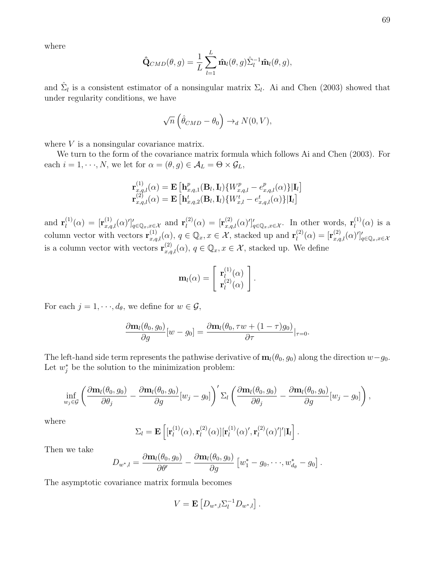where

$$
\hat{\mathbf{Q}}_{CMD}(\theta,g)=\frac{1}{L}\sum_{l=1}^{L}\hat{\mathbf{m}}_{l}(\theta,g)\hat{\Sigma}_{l}^{-1}\hat{\mathbf{m}}_{l}(\theta,g),
$$

and  $\hat{\Sigma}_l$  is a consistent estimator of a nonsingular matrix  $\Sigma_l$ . Ai and Chen (2003) showed that under regularity conditions, we have

$$
\sqrt{n}\left(\hat{\theta}_{CMD}-\theta_0\right)\to_d N(0,V),
$$

where  $V$  is a nonsingular covariance matrix.

We turn to the form of the covariance matrix formula which follows Ai and Chen (2003). For each  $i = 1, \dots, N$ , we let for  $\alpha = (\theta, g) \in \mathcal{A}_L = \Theta \times \mathcal{G}_L$ ,

$$
\mathbf{r}_{x,q,l}^{(1)}(\alpha) = \mathbf{E}\left[\mathbf{h}_{x,q,1}^p(\mathbf{B}_l,\mathbf{I}_l)\{W_{x,q,l}^p - e_{x,q,l}^p(\alpha)\}|\mathbf{I}_l\right] \\ \mathbf{r}_{x,q,l}^{(2)}(\alpha) = \mathbf{E}\left[\mathbf{h}_{x,q,2}^t(\mathbf{B}_l,\mathbf{I}_l)\{W_{x,l}^t - e_{x,q,l}^t(\alpha)\}|\mathbf{I}_l\right]
$$

and  $\mathbf{r}_{l}^{(1)}$  $\mathbf{I}_{l}^{(1)}(\alpha) = [\mathbf{r}_{x,q,l}^{(1)}(\alpha)]'_{q \in \mathbb{Q}_x, x \in \mathcal{X}}$  and  $\mathbf{r}_{l}^{(2)}$  $\mathbf{I}_{l}^{(2)}(\alpha) = [\mathbf{r}_{x,q,l}^{(2)}(\alpha)]'_{q \in \mathbb{Q}_x, x \in \mathcal{X}}$ . In other words,  $\mathbf{r}_{l}^{(1)}$  $\binom{1}{l}(\alpha)$  is a column vector with vectors  $\mathbf{r}_{x,q,l}^{(1)}(\alpha)$ ,  $q \in \mathbb{Q}_x$ ,  $x \in \mathcal{X}$ , stacked up and  $\mathbf{r}_l^{(2)}$  $\mathbf{h}^{(2)}_l(\alpha)=[\mathbf{r}_{x,q,l}^{(2)}(\alpha)']'_{q\in\mathbb{Q}_x,x\in\mathcal{X}}$ is a column vector with vectors  $\mathbf{r}_{x,q,l}^{(2)}(\alpha), q \in \mathbb{Q}_x, x \in \mathcal{X}$ , stacked up. We define

$$
\mathbf{m}_l(\alpha) = \begin{bmatrix} \mathbf{r}_l^{(1)}(\alpha) \\ \mathbf{r}_l^{(2)}(\alpha) \end{bmatrix}.
$$

For each  $j = 1, \dots, d_{\theta}$ , we define for  $w \in \mathcal{G}$ ,

$$
\frac{\partial \mathbf{m}_l(\theta_0, g_0)}{\partial g}[w - g_0] = \frac{\partial \mathbf{m}_l(\theta_0, \tau w + (1 - \tau)g_0)}{\partial \tau}|_{\tau = 0}.
$$

The left-hand side term represents the pathwise derivative of  $m_l(\theta_0, g_0)$  along the direction  $w-g_0$ . Let  $w_j^*$  be the solution to the minimization problem:

$$
\inf_{w_j\in\mathcal{G}}\left(\frac{\partial \mathbf{m}_l(\theta_0,g_0)}{\partial \theta_j}-\frac{\partial \mathbf{m}_l(\theta_0,g_0)}{\partial g}[w_j-g_0]\right)' \Sigma_l\left(\frac{\partial \mathbf{m}_l(\theta_0,g_0)}{\partial \theta_j}-\frac{\partial \mathbf{m}_l(\theta_0,g_0)}{\partial g}[w_j-g_0]\right),
$$

where

$$
\Sigma_l = \mathbf{E}\left[ [\mathbf{r}_l^{(1)}(\alpha), \mathbf{r}_l^{(2)}(\alpha)][\mathbf{r}_l^{(1)}(\alpha)', \mathbf{r}_l^{(2)}(\alpha)']'| \mathbf{I}_l \right].
$$

Then we take

$$
D_{w^*,l} = \frac{\partial \mathbf{m}_l(\theta_0, g_0)}{\partial \theta'} - \frac{\partial \mathbf{m}_l(\theta_0, g_0)}{\partial g} \left[w_1^* - g_0, \cdot \cdot \cdot, w_{d_\theta}^* - g_0\right].
$$

The asymptotic covariance matrix formula becomes

$$
V = \mathbf{E}\left[D_{w^*,l}\Sigma_l^{-1}D_{w^*,l}\right].
$$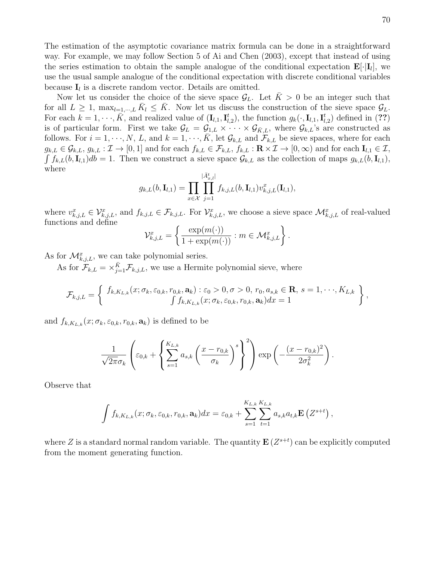The estimation of the asymptotic covariance matrix formula can be done in a straightforward way. For example, we may follow Section 5 of Ai and Chen (2003), except that instead of using the series estimation to obtain the sample analogue of the conditional expectation  $\mathbf{E}[\cdot|\mathbf{I}_l]$ , we use the usual sample analogue of the conditional expectation with discrete conditional variables because  $I_l$  is a discrete random vector. Details are omitted.

Now let us consider the choice of the sieve space  $\mathcal{G}_L$ . Let  $\bar{K} > 0$  be an integer such that for all  $L \geq 1$ ,  $\max_{l=1,\dots,L} \bar{K}_l \leq \bar{K}$ . Now let us discuss the construction of the sieve space  $\mathcal{G}_L$ . For each  $k = 1, \dots, \bar{K}$ , and realized value of  $(\mathbf{I}_{l,1}, \mathbf{I}_{l,2}^t)$ , the function  $g_k(\cdot, \mathbf{I}_{l,1}, \mathbf{I}_{l,2}^t)$  defined in (??) is of particular form. First we take  $\mathcal{G}_L = \mathcal{G}_{1,L} \times \cdots \times \mathcal{G}_{K,L}$ , where  $\mathcal{G}_{k,L}$ 's are constructed as follows. For  $i = 1, \dots, N$ , L, and  $k = 1, \dots, \overline{K}$ , let  $\mathcal{G}_{k,L}$  and  $\mathcal{F}_{k,L}$  be sieve spaces, where for each  $g_{k,L} \in \mathcal{G}_{k,L}, g_{k,L} : \mathcal{I} \to [0,1]$  and for each  $f_{k,L} \in \mathcal{F}_{k,L}, f_{k,L} : \mathbf{R} \times \mathcal{I} \to [0,\infty)$  and for each  $\mathbf{I}_{l,1} \in \mathcal{I}$ ,  $\int f_{k,L}(b, I_{l,1})db = 1$ . Then we construct a sieve space  $\mathcal{G}_{k,L}$  as the collection of maps  $g_{k,L}(b, I_{l,1}),$ where

$$
g_{k,L}(b,\mathbf{I}_{l,1}) = \prod_{x \in \mathcal{X}} \prod_{j=1}^{|\bar{A}_{x,l}^{t}|} f_{k,j,L}(b,\mathbf{I}_{l,1}) v_{k,j,L}^{x}(\mathbf{I}_{l,1}),
$$

where  $v_{k,j,L}^x \in \mathcal{V}_{k,j,L}^x$ , and  $f_{k,j,L} \in \mathcal{F}_{k,j,L}$ . For  $\mathcal{V}_{k,j,L}^x$ , we choose a sieve space  $\mathcal{M}_{k,j,L}^x$  of real-valued functions and define

$$
\mathcal{V}_{k,j,L}^x = \left\{ \frac{\exp(m(\cdot))}{1 + \exp(m(\cdot))} : m \in \mathcal{M}_{k,j,L}^x \right\}.
$$

As for  $\mathcal{M}_{k,j,L}^x$ , we can take polynomial series.

As for  $\mathcal{F}_{k,L} = \times_{j=1}^{\bar{K}} \mathcal{F}_{k,j,L}$ , we use a Hermite polynomial sieve, where

$$
\mathcal{F}_{k,j,L} = \left\{ \begin{array}{c} f_{k,K_{L,k}}(x;\sigma_k,\varepsilon_{0,k},r_{0,k},\mathbf{a}_k): \varepsilon_0 > 0, \sigma > 0, r_0, a_{s,k} \in \mathbf{R}, s = 1,\cdots,K_{L,k} \\ \int f_{k,K_{L,k}}(x;\sigma_k,\varepsilon_{0,k},r_{0,k},\mathbf{a}_k) dx = 1 \end{array} \right\},\,
$$

and  $f_{k,K_{L,k}}(x;\sigma_k,\varepsilon_{0,k},r_{0,k},\mathbf{a}_k)$  is defined to be

$$
\frac{1}{\sqrt{2\pi}\sigma_k} \left( \varepsilon_{0,k} + \left\{ \sum_{s=1}^{K_{L,k}} a_{s,k} \left( \frac{x - r_{0,k}}{\sigma_k} \right)^s \right\}^2 \right) \exp\left( -\frac{(x - r_{0,k})^2}{2\sigma_k^2} \right).
$$

Observe that

$$
\int f_{k,K_{L,k}}(x;\sigma_k,\varepsilon_{0,k},r_{0,k},\mathbf{a}_k)dx = \varepsilon_{0,k} + \sum_{s=1}^{K_{L,k}} \sum_{t=1}^{K_{L,k}} a_{s,k} a_{t,k} \mathbf{E}\left(Z^{s+t}\right),
$$

where Z is a standard normal random variable. The quantity  $\mathbf{E}(Z^{s+t})$  can be explicitly computed from the moment generating function.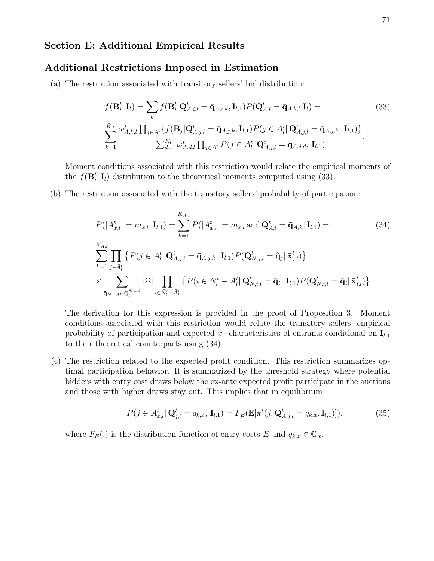### Section E: Additional Empirical Results

#### Additional Restrictions Imposed in Estimation

(a) The restriction associated with transitory sellers' bid distribution:

$$
f(\mathbf{B}_{i}^{t}|\mathbf{I}_{l}) = \sum_{k} f(\mathbf{B}_{i}^{t}|\mathbf{Q}_{A,i,l}^{t} = \bar{\mathbf{q}}_{A,i,k}, \mathbf{I}_{l,1}) P(\mathbf{Q}_{A,l}^{t} = \bar{\mathbf{q}}_{A,k,l}|\mathbf{I}_{l}) =
$$
\n
$$
\sum_{k=1}^{\bar{K}_{A}} \frac{\omega_{A,k,l}^{t} \prod_{j \in \bar{A}_{i}^{t}} \{f(\mathbf{B}_{j}|\mathbf{Q}_{A,j,l}^{t} = \bar{\mathbf{q}}_{A,j,k}, \mathbf{I}_{l,1}) P(j \in A_{l}^{t}|\mathbf{Q}_{A,j,l}^{t} = \bar{\mathbf{q}}_{A,j,k}, \mathbf{I}_{l,1})\}}{\sum_{d=1}^{\bar{K}_{l}} \omega_{A,d,l}^{t} \prod_{j \in \bar{A}_{i}^{t}} P(j \in A_{l}^{t}|\mathbf{Q}_{A,j,l}^{t} = \bar{\mathbf{q}}_{A,j,d}, \mathbf{I}_{l,1})}.
$$
\n(33)

Moment conditions associated with this restriction would relate the empirical moments of the  $f(\mathbf{B}_i^t | \mathbf{I}_l)$  distribution to the theoretical moments computed using (33).

(b) The restriction associated with the transitory sellers' probability of participation:

$$
P(|A_{x,l}^{t}| = m_{x,l} | \mathbf{I}_{l,1}) = \sum_{k=1}^{\bar{K}_{A,l}} P(|A_{x,l}^{t}| = m_{x,l} \text{ and } \mathbf{Q}_{A,l}^{t} = \bar{\mathbf{q}}_{A,k} | \mathbf{I}_{l,1}) =
$$
\n
$$
\sum_{k=1}^{\bar{K}_{A,l}} \prod_{j \in \bar{A}_{l}^{t}} \left\{ P(j \in A_{l}^{t} | \mathbf{Q}_{A,j,l}^{t} = \bar{\mathbf{q}}_{A,j,k}, \mathbf{I}_{l,1}) P(\mathbf{Q}_{N,j,l}^{t} = \tilde{\mathbf{q}}_{j} | \bar{\mathbf{x}}_{j,l}^{t}) \right\}
$$
\n
$$
\times \sum_{\tilde{\mathbf{q}}_{N-A} \in \mathbb{Q}_{l}^{N-A}} |\Omega| \prod_{i \in \bar{N}_{l}^{t} - \bar{A}_{l}^{t}} \left\{ P(i \in N_{l}^{t} - A_{l}^{t} | \mathbf{Q}_{N,i,l}^{t} = \tilde{\mathbf{q}}_{i}, \mathbf{I}_{l,1}) P(\mathbf{Q}_{N,i,l}^{t} = \tilde{\mathbf{q}}_{i} | \bar{\mathbf{x}}_{i,l}^{t}) \right\}.
$$
\n(34)

The derivation for this expression is provided in the proof of Proposition 3. Moment conditions associated with this restriction would relate the transitory sellers' empirical probability of participation and expected x–characteristics of entrants conditional on  $I_{l,1}$ to their theoretical counterparts using (34).

(c) The restriction related to the expected profit condition. This restriction summarizes optimal participation behavior. It is summarized by the threshold strategy where potential bidders with entry cost draws below the ex-ante expected profit participate in the auctions and those with higher draws stay out. This implies that in equilibrium

$$
P(j \in A_{x,l}^t | \mathbf{Q}_{j,l}^t = q_{k,x}, \mathbf{I}_{l,1}) = F_E(\mathbb{E}[\pi^t(j, \mathbf{Q}_{A,j,l}^t = q_{k,x}, \mathbf{I}_{l,1})]),
$$
\n(35)

where  $F_E(.)$  is the distribution function of entry costs E and  $q_{k,x} \in \mathbb{Q}_x$ .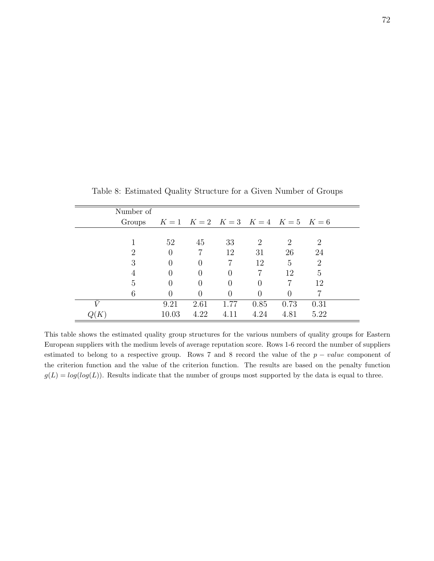|              | Number of |                                                 |                  |                  |                  |                             |      |
|--------------|-----------|-------------------------------------------------|------------------|------------------|------------------|-----------------------------|------|
|              | Groups    | $K = 1$ $K = 2$ $K = 3$ $K = 4$ $K = 5$ $K = 6$ |                  |                  |                  |                             |      |
|              |           |                                                 |                  |                  |                  |                             |      |
|              |           | 52                                              | 45               | 33               | $\overline{2}$   | $\mathcal{D}_{\mathcal{L}}$ | 2    |
|              | 2         |                                                 | 7                | 12               | 31               | 26                          | 24   |
|              | 3         | $\left( \right)$                                | $\left( \right)$ |                  | 12               | 5                           | 2    |
|              | 4         |                                                 | $\left( \right)$ | $\left( \right)$ |                  | 12                          | 5    |
|              | 5         |                                                 |                  | $\left( \right)$ | $\left( \right)$ |                             | 12   |
|              | 6         | $\left( \right)$                                | $\left( \right)$ | $\left( \right)$ | $\left( \right)$ |                             |      |
| $\mathbf{V}$ |           | 9.21                                            | 2.61             | 1.77             | 0.85             | 0.73                        | 0.31 |
| K            |           | 10.03                                           | 4.22             | 4.11             | 4.24             | 4.81                        | 5.22 |

Table 8: Estimated Quality Structure for a Given Number of Groups

This table shows the estimated quality group structures for the various numbers of quality groups for Eastern European suppliers with the medium levels of average reputation score. Rows 1-6 record the number of suppliers estimated to belong to a respective group. Rows 7 and 8 record the value of the  $p - value$  component of the criterion function and the value of the criterion function. The results are based on the penalty function  $g(L) = log(log(L))$ . Results indicate that the number of groups most supported by the data is equal to three.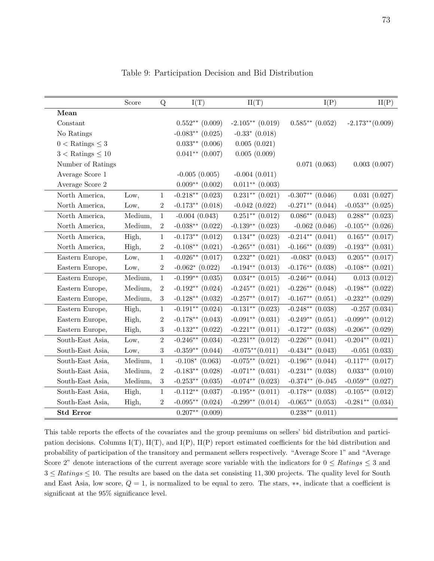|                         | Score   | $\mathbf Q$      | I(T)                 | II(T)                | I(P)                 | II(P)                |
|-------------------------|---------|------------------|----------------------|----------------------|----------------------|----------------------|
| Mean                    |         |                  |                      |                      |                      |                      |
| Constant                |         |                  | $0.552**$ (0.009)    | $-2.105**$ (0.019)   | $0.585**$ $(0.052)$  | $-2.173**$ (0.009)   |
| No Ratings              |         |                  | $-0.083**$ (0.025)   | $-0.33*$ $(0.018)$   |                      |                      |
| $0 <$ Ratings $\leq 3$  |         |                  | $0.033**$ $(0.006)$  | 0.005(0.021)         |                      |                      |
| $3 <$ Ratings $\leq 10$ |         |                  | $0.041**$ (0.007)    | 0.005(0.009)         |                      |                      |
| Number of Ratings       |         |                  |                      |                      | 0.071(0.063)         | 0.003(0.007)         |
| Average Score 1         |         |                  | $-0.005(0.005)$      | $-0.004(0.011)$      |                      |                      |
| Average Score 2         |         |                  | $0.009**$ (0.002)    | $0.011**$ (0.003)    |                      |                      |
| North America,          | Low,    | $\mathbf{1}$     | $-0.218**$ (0.023)   | $0.231**$ $(0.021)$  | $-0.307**$ (0.046)   | 0.031(0.027)         |
| North America,          | Low,    | $\overline{2}$   | $-0.173**$ (0.018)   | $-0.042(0.022)$      | $-0.271**$ (0.044)   | $-0.053**$ (0.025)   |
| North America,          | Medium, | $\mathbf{1}$     | $-0.004(0.043)$      | $0.251**$ $(0.012)$  | $0.086**$ (0.043)    | $0.288**$ (0.023)    |
| North America,          | Medium, | $\sqrt{2}$       | $-0.038**$ (0.022)   | $-0.139**$ (0.023)   | $-0.062(0.046)$      | $-0.105**$ (0.026)   |
| North America,          | High,   | $\mathbf{1}$     | $-0.173**$ (0.012)   | $0.134**$ $(0.023)$  | $-0.214**$ $(0.041)$ | $0.165**$ (0.017)    |
| North America,          | High,   | $\boldsymbol{2}$ | $-0.108**$ (0.021)   | $-0.265**$ (0.031)   | $-0.166**$ (0.039)   | $-0.193**$ (0.031)   |
| Eastern Europe,         | Low,    | $\mathbf{1}$     | $-0.026**$ (0.017)   | $0.232**$ $(0.021)$  | $-0.083*$ $(0.043)$  | $0.205**$ (0.017)    |
| Eastern Europe,         | Low,    | $\,2$            | $-0.062*$ $(0.022)$  | $-0.194**$ (0.013)   | $-0.176**$ (0.038)   | $-0.108**$ (0.021)   |
| Eastern Europe,         | Medium, | $\mathbf{1}$     | $-0.199**$ $(0.035)$ | $0.034**$ $(0.015)$  | $-0.246**$ (0.044)   | 0.013(0.012)         |
| Eastern Europe,         | Medium, | $\mathbf{2}$     | $-0.192**$ $(0.024)$ | $-0.245**$ $(0.021)$ | $-0.226**$ (0.048)   | $-0.198**$ $(0.022)$ |
| Eastern Europe,         | Medium, | $\sqrt{3}$       | $-0.128**$ (0.032)   | $-0.257**$ (0.017)   | $-0.167**$ $(0.051)$ | $-0.232**$ (0.029)   |
| Eastern Europe,         | High,   | $\mathbf{1}$     | $-0.191**$ $(0.024)$ | $-0.131**$ (0.023)   | $-0.248**$ (0.038)   | $-0.257(0.034)$      |
| Eastern Europe,         | High,   | $\sqrt{2}$       | $-0.178**$ (0.043)   | $-0.091**$ (0.031)   | $-0.249**$ (0.051)   | $-0.099**$ (0.012)   |
| Eastern Europe,         | High,   | $\boldsymbol{3}$ | $-0.132**$ $(0.022)$ | $-0.221**$ $(0.011)$ | $-0.172**$ (0.038)   | $-0.206**$ (0.029)   |
| South-East Asia,        | Low,    | $\overline{2}$   | $-0.246**$ (0.034)   | $-0.231**$ $(0.012)$ | $-0.226**$ $(0.041)$ | $-0.204**$ (0.021)   |
| South-East Asia,        | Low,    | $\boldsymbol{3}$ | $-0.359**$ (0.044)   | $-0.075**$ (0.011)   | $-0.434**$ (0.043)   | $-0.051(0.033)$      |
| South-East Asia,        | Medium, | $\mathbf{1}$     | $-0.108*(0.063)$     | $-0.075**$ (0.021)   | $-0.196**$ (0.044)   | $-0.117**$ (0.017)   |
| South-East Asia,        | Medium, | $\mathbf{2}$     | $-0.183**$ (0.028)   | $-0.071**$ (0.031)   | $-0.231**$ (0.038)   | $0.033**$ $(0.010)$  |
| South-East Asia,        | Medium, | 3                | $-0.253**$ $(0.035)$ | $-0.074**$ (0.023)   | $-0.374**$ (0-.045)  | $-0.059**$ (0.027)   |
| South-East Asia,        | High,   | $\mathbf{1}$     | $-0.112**$ (0.037)   | $-0.195**$ $(0.011)$ | $-0.178**$ (0.038)   | $-0.105**$ (0.012)   |
| South-East Asia,        | High,   | $\overline{2}$   | $-0.095**$ (0.024)   | $-0.299**$ (0.014)   | $-0.065**$ (0.053)   | $-0.281**$ (0.034)   |
| <b>Std Error</b>        |         |                  | $0.207**$ $(0.009)$  |                      | $0.238**$ $(0.011)$  |                      |

Table 9: Participation Decision and Bid Distribution

This table reports the effects of the covariates and the group premiums on sellers' bid distribution and participation decisions. Columns I(T), II(T), and I(P), II(P) report estimated coefficients for the bid distribution and probability of participation of the transitory and permanent sellers respectively. "Average Score 1" and "Average Score 2" denote interactions of the current average score variable with the indicators for  $0 \leq Ratings \leq 3$  and  $3 \leq Ratings \leq 10$ . The results are based on the data set consisting 11, 300 projects. The quality level for South and East Asia, low score,  $Q = 1$ , is normalized to be equal to zero. The stars, \*\*, indicate that a coefficient is significant at the 95% significance level.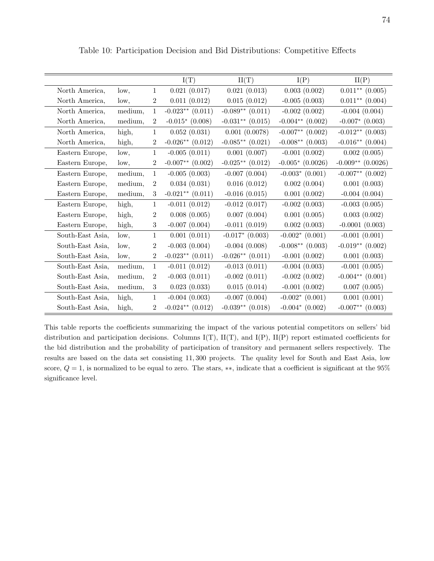|                  |         |                  | I(T)                 | II(T)                | I(P)                | II(P)               |
|------------------|---------|------------------|----------------------|----------------------|---------------------|---------------------|
| North America,   | low,    | $\mathbf{1}$     | 0.021(0.017)         | 0.021(0.013)         | 0.003(0.002)        | $0.011**$ (0.005)   |
| North America,   | low,    | $\overline{2}$   | 0.011(0.012)         | 0.015(0.012)         | $-0.005(0.003)$     | $0.011**$ (0.004)   |
| North America,   | medium, | $\mathbf{1}$     | $-0.023**$ $(0.011)$ | $-0.089**$ (0.011)   | $-0.002(0.002)$     | $-0.004(0.004)$     |
| North America,   | medium, | $\overline{2}$   | $-0.015*(0.008)$     | $-0.031**$ (0.015)   | $-0.004**$ (0.002)  | $-0.007*$ (0.003)   |
| North America,   | high,   | $\mathbf{1}$     | 0.052(0.031)         | 0.001(0.0078)        | $-0.007**$ (0.002)  | $-0.012**$ (0.003)  |
| North America,   | high,   | $\boldsymbol{2}$ | $-0.026**$ $(0.012)$ | $-0.085**$ (0.021)   | $-0.008**$ (0.003)  | $-0.016**$ (0.004)  |
| Eastern Europe,  | low,    | $\mathbf{1}$     | $-0.005(0.011)$      | 0.001(0.007)         | $-0.001(0.002)$     | 0.002(0.005)        |
| Eastern Europe,  | low,    | $\overline{2}$   | $-0.007**$ (0.002)   | $-0.025**$ (0.012)   | $-0.005*$ (0.0026)  | $-0.009**$ (0.0026) |
| Eastern Europe,  | medium, | $\mathbf{1}$     | $-0.005(0.003)$      | $-0.007(0.004)$      | $-0.003*$ $(0.001)$ | $-0.007**$ (0.002)  |
| Eastern Europe,  | medium, | $\overline{2}$   | 0.034(0.031)         | 0.016(0.012)         | 0.002(0.004)        | 0.001(0.003)        |
| Eastern Europe,  | medium, | 3                | $-0.021**$ $(0.011)$ | $-0.016(0.015)$      | 0.001(0.002)        | $-0.004(0.004)$     |
| Eastern Europe,  | high,   | $\mathbf{1}$     | $-0.011(0.012)$      | $-0.012(0.017)$      | $-0.002(0.003)$     | $-0.003(0.005)$     |
| Eastern Europe,  | high,   | $\overline{2}$   | 0.008(0.005)         | 0.007(0.004)         | 0.001(0.005)        | 0.003(0.002)        |
| Eastern Europe,  | high,   | 3                | $-0.007(0.004)$      | $-0.011(0.019)$      | 0.002(0.003)        | $-0.0001(0.003)$    |
| South-East Asia, | low,    | $\mathbf{1}$     | 0.001(0.011)         | $-0.017*$ (0.003)    | $-0.002*$ (0.001)   | $-0.001(0.001)$     |
| South-East Asia, | low,    | $\overline{2}$   | $-0.003(0.004)$      | $-0.004(0.008)$      | $-0.008**$ (0.003)  | $-0.019**$ (0.002)  |
| South-East Asia, | low,    | $\overline{2}$   | $-0.023**$ $(0.011)$ | $-0.026**$ $(0.011)$ | $-0.001(0.002)$     | 0.001(0.003)        |
| South-East Asia, | medium, | $\mathbf{1}$     | $-0.011(0.012)$      | $-0.013(0.011)$      | $-0.004(0.003)$     | $-0.001(0.005)$     |
| South-East Asia, | medium, | $\overline{2}$   | $-0.003(0.011)$      | $-0.002(0.011)$      | $-0.002(0.002)$     | $-0.004**$ (0.001)  |
| South-East Asia, | medium, | 3                | 0.023(0.033)         | 0.015(0.014)         | $-0.001(0.002)$     | 0.007(0.005)        |
| South-East Asia, | high,   | $\mathbf{1}$     | $-0.004(0.003)$      | $-0.007(0.004)$      | $-0.002*(0.001)$    | 0.001(0.001)        |
| South-East Asia, | high,   | 2                | $-0.024**$ (0.012)   | $-0.039**$ (0.018)   | $-0.004*$ (0.002)   | $-0.007**$ (0.003)  |

Table 10: Participation Decision and Bid Distributions: Competitive Effects

This table reports the coefficients summarizing the impact of the various potential competitors on sellers' bid distribution and participation decisions. Columns I(T), II(T), and I(P), II(P) report estimated coefficients for the bid distribution and the probability of participation of transitory and permanent sellers respectively. The results are based on the data set consisting 11, 300 projects. The quality level for South and East Asia, low score,  $Q = 1$ , is normalized to be equal to zero. The stars, \*\*, indicate that a coefficient is significant at the 95% significance level.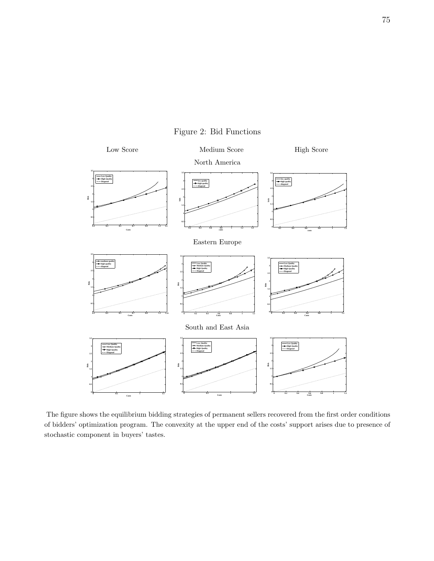

Figure 2: Bid Functions

The figure shows the equilibrium bidding strategies of permanent sellers recovered from the first order conditions of bidders' optimization program. The convexity at the upper end of the costs' support arises due to presence of stochastic component in buyers' tastes.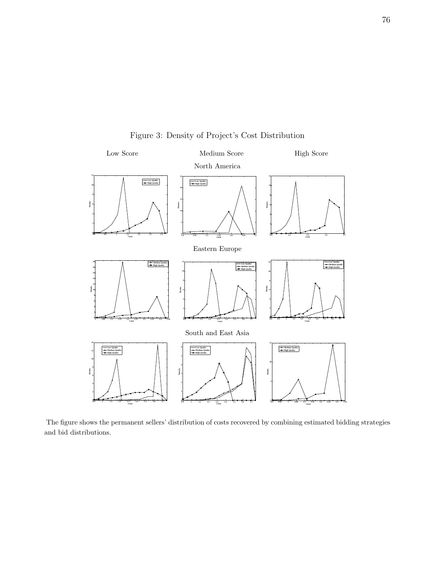

Figure 3: Density of Project's Cost Distribution

The figure shows the permanent sellers' distribution of costs recovered by combining estimated bidding strategies and bid distributions.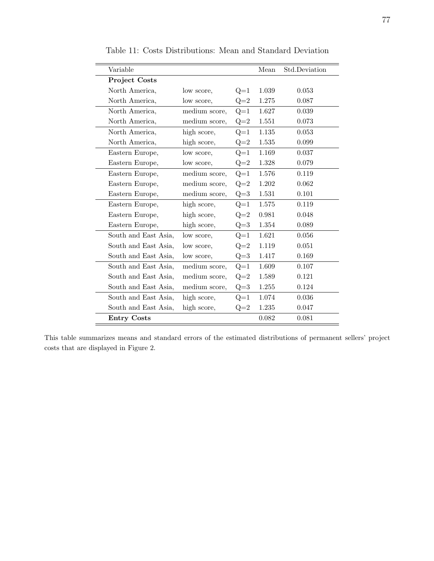| Variable             |               |       | Mean  | Std.Deviation |
|----------------------|---------------|-------|-------|---------------|
| <b>Project Costs</b> |               |       |       |               |
| North America,       | low score,    | $Q=1$ | 1.039 | 0.053         |
| North America,       | low score,    | $Q=2$ | 1.275 | 0.087         |
| North America,       | medium score, | $Q=1$ | 1.627 | 0.039         |
| North America,       | medium score, | $Q=2$ | 1.551 | 0.073         |
| North America,       | high score,   | $Q=1$ | 1.135 | 0.053         |
| North America,       | high score,   | $Q=2$ | 1.535 | 0.099         |
| Eastern Europe,      | low score.    | $Q=1$ | 1.169 | 0.037         |
| Eastern Europe,      | low score,    | $Q=2$ | 1.328 | 0.079         |
| Eastern Europe,      | medium score, | $Q=1$ | 1.576 | 0.119         |
| Eastern Europe,      | medium score, | $Q=2$ | 1.202 | 0.062         |
| Eastern Europe,      | medium score, | $Q=3$ | 1.531 | 0.101         |
| Eastern Europe,      | high score,   | $Q=1$ | 1.575 | 0.119         |
| Eastern Europe,      | high score,   | $Q=2$ | 0.981 | 0.048         |
| Eastern Europe,      | high score,   | $Q=3$ | 1.354 | 0.089         |
| South and East Asia, | low score,    | $Q=1$ | 1.621 | 0.056         |
| South and East Asia, | low score,    | $Q=2$ | 1.119 | 0.051         |
| South and East Asia, | low score,    | $Q=3$ | 1.417 | 0.169         |
| South and East Asia, | medium score, | $Q=1$ | 1.609 | 0.107         |
| South and East Asia, | medium score, | $Q=2$ | 1.589 | 0.121         |
| South and East Asia, | medium score, | $Q=3$ | 1.255 | 0.124         |
| South and East Asia, | high score,   | $Q=1$ | 1.074 | 0.036         |
| South and East Asia, | high score,   | $Q=2$ | 1.235 | 0.047         |
| <b>Entry Costs</b>   |               |       | 0.082 | 0.081         |

Table 11: Costs Distributions: Mean and Standard Deviation

This table summarizes means and standard errors of the estimated distributions of permanent sellers' project costs that are displayed in Figure 2.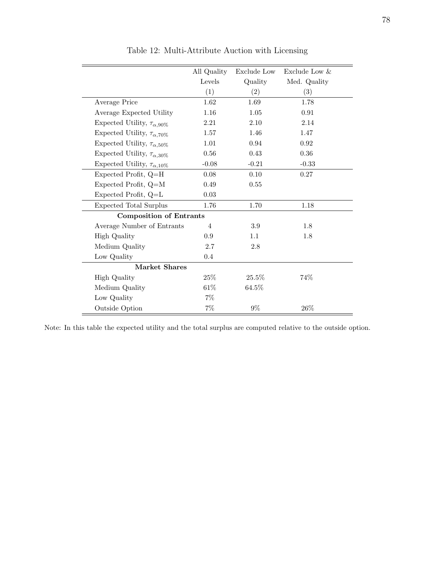|                                        | All Quality    | Exclude Low | Exclude Low & |
|----------------------------------------|----------------|-------------|---------------|
|                                        | Levels         | Quality     | Med. Quality  |
|                                        | (1)            | (2)         | (3)           |
| Average Price                          | 1.62           | 1.69        | 1.78          |
| Average Expected Utility               | 1.16           | 1.05        | 0.91          |
| Expected Utility, $\tau_{\alpha,90\%}$ | 2.21           | 2.10        | 2.14          |
| Expected Utility, $\tau_{\alpha,70\%}$ | 1.57           | 1.46        | 1.47          |
| Expected Utility, $\tau_{\alpha,50\%}$ | 1.01           | 0.94        | 0.92          |
| Expected Utility, $\tau_{\alpha,30\%}$ | 0.56           | 0.43        | 0.36          |
| Expected Utility, $\tau_{\alpha,10\%}$ | $-0.08$        | $-0.21$     | $-0.33$       |
| Expected Profit, Q=H                   | 0.08           | 0.10        | 0.27          |
| Expected Profit, Q=M                   | 0.49           | 0.55        |               |
| Expected Profit, Q=L                   | 0.03           |             |               |
| <b>Expected Total Surplus</b>          | 1.76           | 1.70        | 1.18          |
| <b>Composition of Entrants</b>         |                |             |               |
| Average Number of Entrants             | $\overline{4}$ | 3.9         | 1.8           |
| <b>High Quality</b>                    | 0.9            | 1.1         | 1.8           |
| Medium Quality                         | 2.7            | 2.8         |               |
| Low Quality                            | $0.4\,$        |             |               |
| <b>Market Shares</b>                   |                |             |               |
| <b>High Quality</b>                    | 25%            | 25.5%       | 74\%          |
| Medium Quality                         | 61\%           | 64.5%       |               |
| Low Quality                            | $7\%$          |             |               |
| <b>Outside Option</b>                  | $7\%$          | $9\%$       | 26\%          |

Table 12: Multi-Attribute Auction with Licensing

Note: In this table the expected utility and the total surplus are computed relative to the outside option.